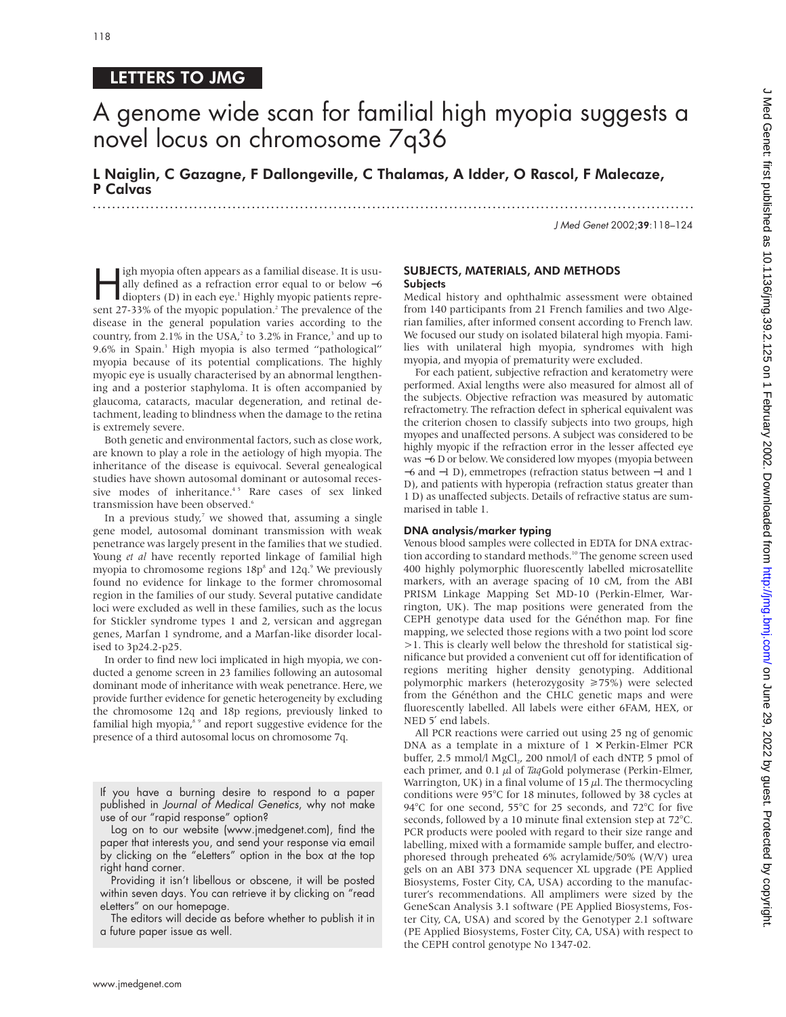## LETTERS TO JMG

## A genome wide scan for familial high myopia suggests a novel locus on chromosome 7q36

L Naiglin, C Gazagne, F Dallongeville, C Thalamas, A Idder, O Rascol, F Malecaze, P Calvas .............................................................................................................................

J Med Genet 2002;39:118–124

igh myopia often appears as a familial disease. It is usu-<br>ally defined as a refraction error equal to or below –6<br>diopters (D) in each eye.<sup>1</sup> Highly myopic patients repre-<br>sent 27,22% of the myopic paralleline <sup>2</sup> The pr ally defined as a refraction error equal to or below −6 sent 27-33% of the myopic population.<sup>2</sup> The prevalence of the disease in the general population varies according to the country, from 2.1% in the USA, $2$  to 3.2% in France, $3$  and up to 9.6% in Spain.<sup>3</sup> High myopia is also termed "pathological" myopia because of its potential complications. The highly myopic eye is usually characterised by an abnormal lengthening and a posterior staphyloma. It is often accompanied by glaucoma, cataracts, macular degeneration, and retinal detachment, leading to blindness when the damage to the retina is extremely severe.

Both genetic and environmental factors, such as close work, are known to play a role in the aetiology of high myopia. The inheritance of the disease is equivocal. Several genealogical studies have shown autosomal dominant or autosomal recessive modes of inheritance.<sup>45</sup> Rare cases of sex linked transmission have been observed.<sup>6</sup>

In a previous study, $7$  we showed that, assuming a single gene model, autosomal dominant transmission with weak penetrance was largely present in the families that we studied. Young *et al* have recently reported linkage of familial high myopia to chromosome regions 18p<sup>8</sup> and 12q.<sup>9</sup> We previously found no evidence for linkage to the former chromosomal region in the families of our study. Several putative candidate loci were excluded as well in these families, such as the locus for Stickler syndrome types 1 and 2, versican and aggregan genes, Marfan 1 syndrome, and a Marfan-like disorder localised to 3p24.2-p25.

In order to find new loci implicated in high myopia, we conducted a genome screen in 23 families following an autosomal dominant mode of inheritance with weak penetrance. Here, we provide further evidence for genetic heterogeneity by excluding the chromosome 12q and 18p regions, previously linked to familial high myopia, $\frac{8}{3}$  and report suggestive evidence for the presence of a third autosomal locus on chromosome 7q.

If you have a burning desire to respond to a paper published in Journal of Medical Genetics, why not make use of our "rapid response" option?

Log on to our website (www.jmedgenet.com), find the paper that interests you, and send your response via email by clicking on the "eLetters" option in the box at the top right hand corner.

Providing it isn't libellous or obscene, it will be posted within seven days. You can retrieve it by clicking on "read eLetters" on our homepage.

The editors will decide as before whether to publish it in a future paper issue as well.

#### SUBJECTS, MATERIALS, AND METHODS **Subjects**

Medical history and ophthalmic assessment were obtained from 140 participants from 21 French families and two Algerian families, after informed consent according to French law. We focused our study on isolated bilateral high myopia. Families with unilateral high myopia, syndromes with high myopia, and myopia of prematurity were excluded.

For each patient, subjective refraction and keratometry were performed. Axial lengths were also measured for almost all of the subjects. Objective refraction was measured by automatic refractometry. The refraction defect in spherical equivalent was the criterion chosen to classify subjects into two groups, high myopes and unaffected persons. A subject was considered to be highly myopic if the refraction error in the lesser affected eye was −6 D or below. We considered low myopes (myopia between −6 and −1 D), emmetropes (refraction status between −1 and 1 D), and patients with hyperopia (refraction status greater than 1 D) as unaffected subjects. Details of refractive status are summarised in table 1.

#### DNA analysis/marker typing

Venous blood samples were collected in EDTA for DNA extraction according to standard methods.<sup>10</sup> The genome screen used 400 highly polymorphic fluorescently labelled microsatellite markers, with an average spacing of 10 cM, from the ABI PRISM Linkage Mapping Set MD-10 (Perkin-Elmer, Warrington, UK). The map positions were generated from the CEPH genotype data used for the Généthon map. For fine mapping, we selected those regions with a two point lod score >1. This is clearly well below the threshold for statistical significance but provided a convenient cut off for identification of regions meriting higher density genotyping. Additional polymorphic markers (heterozygosity ≥75%) were selected from the Généthon and the CHLC genetic maps and were fluorescently labelled. All labels were either 6FAM, HEX, or NED 5′ end labels.

All PCR reactions were carried out using 25 ng of genomic DNA as a template in a mixture of  $1 \times$  Perkin-Elmer PCR buffer, 2.5 mmol/l MgCl $,$ , 200 nmol/l of each dNTP, 5 pmol of each primer, and 0.1  $\mu$ l of *Taq*Gold polymerase (Perkin-Elmer, Warrington, UK) in a final volume of  $15 \mu$ . The thermocycling conditions were 95°C for 18 minutes, followed by 38 cycles at 94℃ for one second, 55°C for 25 seconds, and 72°C for five seconds, followed by a 10 minute final extension step at 72°C. PCR products were pooled with regard to their size range and labelling, mixed with a formamide sample buffer, and electrophoresed through preheated 6% acrylamide/50% (W/V) urea gels on an ABI 373 DNA sequencer XL upgrade (PE Applied Biosystems, Foster City, CA, USA) according to the manufacturer's recommendations. All amplimers were sized by the GeneScan Analysis 3.1 software (PE Applied Biosystems, Foster City, CA, USA) and scored by the Genotyper 2.1 software (PE Applied Biosystems, Foster City, CA, USA) with respect to the CEPH control genotype No 1347-02.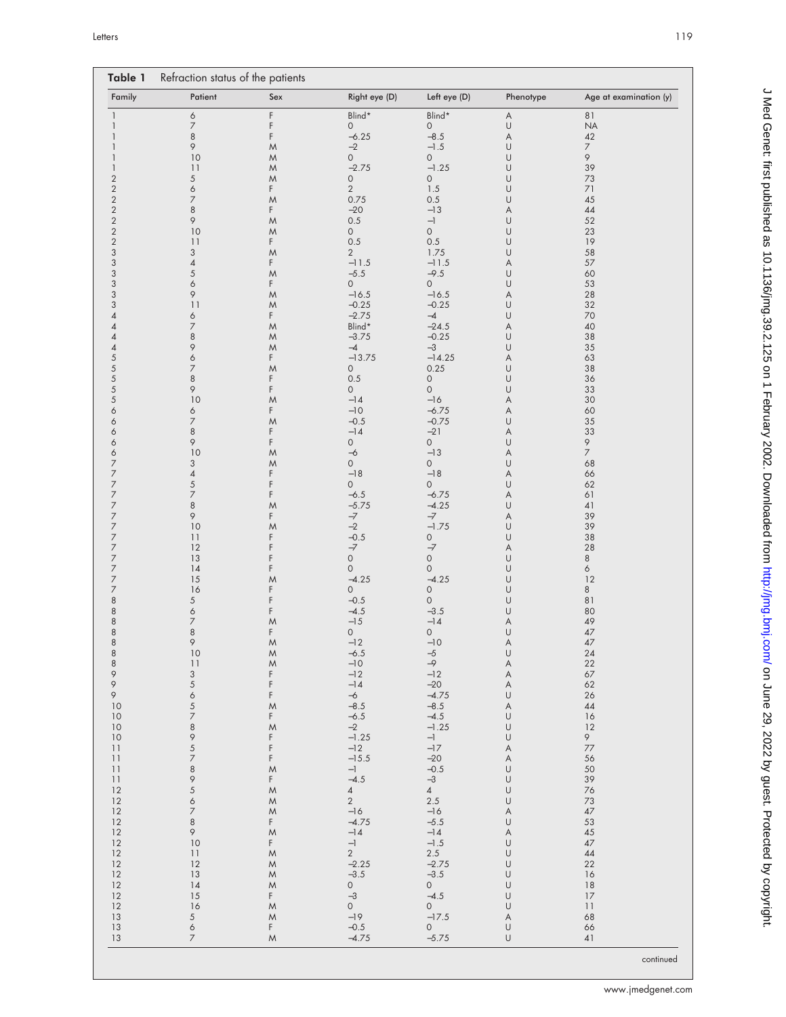| Family                                                         | Patient                                      | Sex                                                                                                        | Right eye (D)                                 | Left eye (D)                   | Phenotype         | Age at examination (y)                    |
|----------------------------------------------------------------|----------------------------------------------|------------------------------------------------------------------------------------------------------------|-----------------------------------------------|--------------------------------|-------------------|-------------------------------------------|
| $\mathbf{1}$<br>$\mathbf{1}$                                   | $\acute{\rm{o}}$<br>$\overline{\phantom{a}}$ | F<br>F                                                                                                     | $\mathsf{Blind}^{\star}$<br>$\circ$           | Blind*<br>$\circ$              | Α<br>$\cup$       | 81<br><b>NA</b>                           |
| $\mathbf{1}$                                                   | $\,8\,$                                      | F                                                                                                          | $-6.25$                                       | $-8.5$                         | $\mathsf{A}$      | 42                                        |
|                                                                | 9                                            | M                                                                                                          | $-2$                                          | $-1.5$                         | U                 | $\overline{7}$                            |
| 1                                                              | 10                                           | W                                                                                                          | $\mathsf{O}\xspace$                           | $\mathsf{O}\xspace$            | U                 | 9                                         |
|                                                                | 11                                           | ${\mathsf M}$                                                                                              | $-2.75$                                       | $-1.25$<br>$\mathsf{O}\xspace$ | U                 | 39<br>73                                  |
| $\mathbf{2}$                                                   | $\sqrt{5}$<br>$\acute{\rm{o}}$               | W<br>F                                                                                                     | $\mathsf{O}\xspace$<br>$\overline{2}$         | 1.5                            | U<br>U            | $71\,$                                    |
| $\sqrt{2}$<br>$\sqrt{2}$                                       | $\overline{7}$                               | W                                                                                                          | 0.75                                          | 0.5                            | U                 | 45                                        |
| $\sqrt{2}$<br>$\sqrt{2}$                                       | $\,8\,$                                      | F                                                                                                          | $-20$                                         | $-13$                          | A                 | 44                                        |
|                                                                | 9                                            | M                                                                                                          | 0.5                                           | $-1$<br>$\circ$                | U                 | 52                                        |
|                                                                | 10<br>11                                     | W<br>F                                                                                                     | $\circ$<br>0.5                                | 0.5                            | U<br>U            | 23<br>19                                  |
|                                                                | 3                                            | M                                                                                                          | $\overline{2}$                                | 1.75                           | $\cup$            | 58                                        |
|                                                                | 4                                            | F                                                                                                          | $-11.5$                                       | $-11.5$                        | A                 | 57                                        |
|                                                                | $\sqrt{5}$                                   | M                                                                                                          | $-5.5$                                        | $-9.5$                         | U                 | 60                                        |
|                                                                | 6<br>9                                       | F                                                                                                          | $\circ$                                       | $\mathsf{O}\xspace$            | U                 | 53<br>28                                  |
|                                                                | 11                                           | M<br>M                                                                                                     | $-16.5$<br>$-0.25$                            | $-16.5$<br>$-0.25$             | A<br>U            | 32                                        |
|                                                                | 6                                            | F                                                                                                          | $-2.75$                                       | $-4$                           | U                 | 70                                        |
|                                                                | $\overline{\phantom{a}}$                     | M                                                                                                          | $\mathsf{Blind}\star$                         | $-24.5$                        | A                 | 40                                        |
|                                                                | $\,8\,$                                      | M                                                                                                          | $-3.75$                                       | $-0.25$                        | $\cup$            | $38\,$                                    |
|                                                                | 9<br>6                                       | M<br>F                                                                                                     | $-4$<br>$-13.75$                              | $-3$<br>$-14.25$               | U<br>$\mathsf{A}$ | 35<br>63                                  |
|                                                                | $\overline{7}$                               | $\mathsf{M}% _{T}=\mathsf{M}_{T}\!\left( a,b\right) ,\ \mathsf{M}_{T}=\mathsf{M}_{T}\!\left( a,b\right) ,$ | $\circ$                                       | 0.25                           | U                 | 38                                        |
|                                                                | $\,8\,$                                      | F                                                                                                          | 0.5                                           | $\mathsf{O}\xspace$            | U                 | 36                                        |
|                                                                | 9                                            | F                                                                                                          | $\circ$                                       | $\mathsf{O}\xspace$            | U                 | 33                                        |
|                                                                | 10                                           | W<br>F                                                                                                     | $-14$<br>$-10$                                | $-16$                          | A                 | 30<br>60                                  |
|                                                                | 6<br>$\overline{7}$                          | M                                                                                                          | $-0.5$                                        | $-6.75$<br>$-0.75$             | A<br>U            | 35                                        |
|                                                                | 8                                            | F                                                                                                          | $-14$                                         | $-21$                          | A                 | 33                                        |
|                                                                | 9                                            | F                                                                                                          | $\circ$                                       | $\circ$                        | U                 | 9                                         |
|                                                                | 10                                           | M                                                                                                          | $-6$                                          | $-13$                          | A                 | $\overline{7}$                            |
|                                                                | 3<br>$\overline{4}$                          | M<br>F                                                                                                     | $\mathsf{O}\xspace$<br>$-18$                  | $\mathsf{O}\xspace$<br>$-18$   | U<br>A            | 68<br>66                                  |
|                                                                | $\sqrt{5}$                                   | F                                                                                                          | $\circ$                                       | $\mathsf{O}\xspace$            | U                 | 62                                        |
|                                                                | $\overline{7}$                               | F                                                                                                          | $-6.5$                                        | $-6.75$                        | A                 | 61                                        |
|                                                                | $\,8\,$                                      | M                                                                                                          | $-5.75$                                       | $-4.25$                        | U                 | 41                                        |
|                                                                | 9<br>10                                      | F<br>M                                                                                                     | $-7$<br>$-2$                                  | $-7$<br>$-1.75$                | A<br>U            | 39<br>39                                  |
|                                                                | 11                                           | F                                                                                                          | $-0.5$                                        | $\circ$                        | U                 | 38                                        |
|                                                                | 12                                           | F                                                                                                          | $-7$                                          | $-7$                           | A                 | 28                                        |
|                                                                | 13                                           | F                                                                                                          | $\circ$                                       | $\mathsf{O}\xspace$            | U                 | $\,8\,$                                   |
|                                                                | 14                                           | F                                                                                                          | $\circ$                                       | $\mathsf{O}\xspace$            | U                 | $\delta$                                  |
|                                                                | 15<br>16                                     | M<br>F                                                                                                     | $-4.25$<br>$\circ$                            | $-4.25$<br>$\mathsf{O}\xspace$ | U<br>U            | 12<br>8                                   |
|                                                                | 5                                            | F                                                                                                          | $-0.5$                                        | $\mathsf{O}\xspace$            | U                 | 81                                        |
|                                                                | 6                                            | F                                                                                                          | $-4.5$                                        | $-3.5$                         | U                 | 80                                        |
|                                                                | $\overline{7}$                               | M                                                                                                          | $-15$                                         | $-14$                          | $\mathsf A$       | 49                                        |
|                                                                | 8<br>9                                       | F<br>${\mathsf M}$                                                                                         | $\mathsf{O}\xspace$<br>$-12$                  | $\mathsf{O}\xspace$<br>$-10$   | U<br>A            | $47\,$<br>47                              |
|                                                                | 10                                           | M                                                                                                          | $-6.5$                                        | $-5$                           | U                 | 24                                        |
|                                                                | $\begin{array}{c} 1 \end{array}$             | M                                                                                                          | $-10$                                         | $-9$                           | A                 | $22\,$                                    |
|                                                                | 3                                            | F                                                                                                          | $-12$                                         | $-12$                          | A                 | $67\,$                                    |
|                                                                | 5                                            | F                                                                                                          | $-14$                                         | $-20$                          | A                 | 62                                        |
| 10                                                             | $\acute{\rm{o}}$<br>5                        | F<br>M                                                                                                     | $-6$<br>$-8.5$                                | $-4.75$<br>$-8.5$              | U<br>A            | $26\,$<br>44                              |
| 10                                                             | 7                                            | F                                                                                                          | $-6.5$                                        | $-4.5$                         | U                 | 16                                        |
| 10                                                             | 8                                            | $\overline{M}$                                                                                             | $-2$                                          | $-1.25$                        | U                 | 12                                        |
| 10                                                             | 9                                            | F                                                                                                          | $-1.25$                                       | $-1$                           | U                 | 9                                         |
| 11<br>$\vert\,\vert$                                           | 5<br>$\overline{\phantom{a}}$                | F<br>F                                                                                                     | $-12$<br>$-15.5$                              | $-17$<br>$-20$                 | Α                 | 77<br>56                                  |
| $\vert\,\vert$                                                 | 8                                            | M                                                                                                          | $\mathord{\hspace{1pt}\text{--}\hspace{1pt}}$ | $-0.5$                         | A<br>U            | 50                                        |
| $\ensuremath{\mathsf{1}}\xspace\ensuremath{\mathsf{1}}\xspace$ | 9                                            | F                                                                                                          | $-4.5$                                        | $-3$                           | U                 | 39                                        |
| 12                                                             | 5                                            | $\mathsf{M}$                                                                                               | $\overline{4}$                                | $\overline{4}$                 | U                 | $76\,$                                    |
| 12                                                             | 6                                            | M                                                                                                          | $\mathbf{2}$                                  | $2.5\,$                        | U                 | $73\,$                                    |
| 12<br>12                                                       | 7<br>8                                       | M<br>F                                                                                                     | $-16$<br>$-4.75$                              | $-16$<br>$-5.5$                | A<br>U            | 47<br>53                                  |
| 12                                                             | 9                                            | M                                                                                                          | $-14$                                         | $-14$                          | A                 | 45                                        |
| 12                                                             | 10                                           | F                                                                                                          | $\mathord{\text{--}}\mathord{\text{I}}$       | $-1.5$                         | U                 | $47\,$                                    |
| 12                                                             | $\vert \; \vert$                             | ${\mathsf M}$                                                                                              | $\overline{\mathbf{c}}$                       | $2.5\,$                        | U                 | 44                                        |
| 12                                                             | 12                                           | M                                                                                                          | $-2.25$                                       | $-2.75$                        | U                 | 22                                        |
| 12<br>12                                                       | 13<br>14                                     | M<br>M                                                                                                     | $-3.5$<br>$\mathsf{O}\xspace$                 | $-3.5$<br>$\circ$              | U<br>U            | 16<br>18                                  |
| 12                                                             | 15                                           | F                                                                                                          | $-3$                                          | $-4.5$                         | U                 | 17                                        |
| $12$                                                           | 16                                           | $\mathsf{M}% _{T}=\mathsf{M}_{T}\!\left( a,b\right) ,\ \mathsf{M}_{T}=\mathsf{M}_{T}\!\left( a,b\right) ,$ | $\mathsf{O}\xspace$                           | $\mathsf{O}\xspace$            | U                 | $\begin{smallmatrix}1&1\end{smallmatrix}$ |
| 13                                                             | 5<br>$\acute{\rm{o}}$                        | M<br>F                                                                                                     | $-19$<br>$-0.5$                               | $-17.5$<br>$\circ$             | A<br>U            | 68<br>66                                  |
| $13$                                                           |                                              |                                                                                                            |                                               |                                |                   |                                           |

continued

J Med Genet: first published as 10.1136/jmg.39.2.125 on 1 February 2002. Downloaded from http://jmg.bmj.com/ on June 29, 2022 by guest. Protected by copyright. J Med Genet: first published as 10.11136/jmg.39.2.125 on 1 February 2002. Downloaded from <http://jmg.bmj.com/> on June 29, 2022 by guest: Protected by copyright.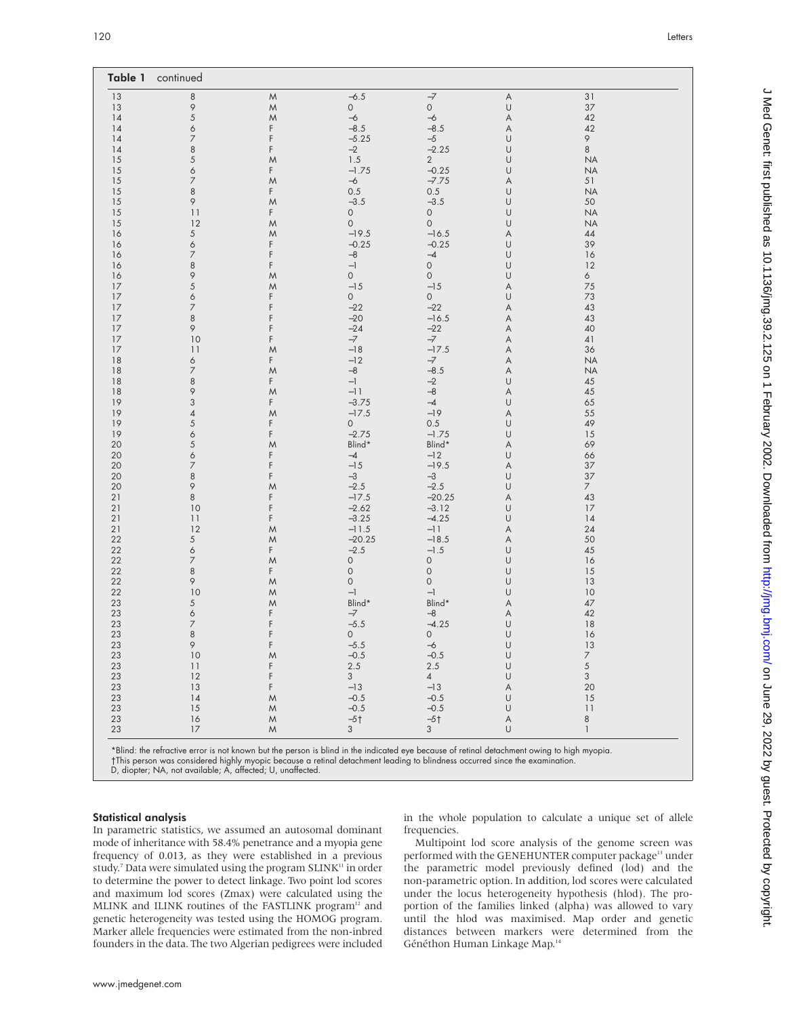|          | Table 1 continued                     |               |                                               |                     |                     |                                                                |  |
|----------|---------------------------------------|---------------|-----------------------------------------------|---------------------|---------------------|----------------------------------------------------------------|--|
| 13       | 8                                     | M             | $-6.5$                                        | $-7$                | A                   | 31                                                             |  |
| 13       | $\begin{array}{c} 9 \\ 5 \end{array}$ | M             | $\circ$                                       | $\circ$             | $\cup$              | 37                                                             |  |
| 14       |                                       | M             | $-6$                                          | $-6$                | $\mathsf{A}$        | 42                                                             |  |
| 14       | 6                                     | F<br>F        | $-8.5$<br>$-5.25$                             | $-8.5$              | A                   | 42                                                             |  |
| 14<br>14 | $\overline{7}$<br>$\,8\,$             | F             |                                               | $-5$<br>$-2.25$     | U<br>U              | 9<br>8                                                         |  |
| 15       | 5                                     | M             | $-2$<br>1.5                                   | $\overline{2}$      | U                   | NA                                                             |  |
| 15       | $\delta$                              | F             | $-1.75$                                       | $-0.25$             | U                   | NA                                                             |  |
| 15       | $\overline{\phantom{a}}$              | M             | $-6$                                          | $-7.75$             | Α                   | 51                                                             |  |
| 15       | 8                                     | F             | 0.5                                           | 0.5                 | U                   | <b>NA</b>                                                      |  |
| 15       | 9                                     | M             | $-3.5$                                        | $-3.5$              | U                   | 50                                                             |  |
| 15       | 11                                    | F             | $\circ$                                       | $\circ$             | U                   | <b>NA</b>                                                      |  |
| 15       | 12                                    | M             | $\circ$                                       | $\circ$             | U                   | <b>NA</b>                                                      |  |
| 16       | 5                                     | M             | $-19.5$                                       | $-16.5$             | A                   | 44                                                             |  |
| 16       | 6                                     | F             | $-0.25$                                       | $-0.25$             | U                   | 39                                                             |  |
| 16       | $\overline{\phantom{a}}$              | F             | $-8$                                          | $-4$                | U                   | 16                                                             |  |
| 16       | 8                                     | F             | $-\mathbb{I}$                                 | $\mathsf{O}\xspace$ | $\cup$              | 12                                                             |  |
| 16       | 9                                     | M             | $\mathsf{O}\xspace$                           | $\mathsf{O}\xspace$ | U                   | 6                                                              |  |
| 17       | 5                                     | M             | $-15$                                         | $-15$               | A                   | 75                                                             |  |
| 17<br>17 | 6<br>$\overline{7}$                   | F<br>F        | $\mathsf{O}\xspace$<br>$-22$                  | $\circ$<br>$-22$    | $\cup$              | 73<br>43                                                       |  |
| 17       | 8                                     |               | $-20$                                         | $-16.5$             | Α<br>$\overline{A}$ | 43                                                             |  |
| 17       | 9                                     | F             | $-24$                                         | $-22$               | Α                   | 40                                                             |  |
| 17       | 10                                    | F             | $-7$                                          | $-7$                | Α                   | 41                                                             |  |
| 17       | 11                                    | M             | $-18$                                         | $-17.5$             | $\overline{A}$      | 36                                                             |  |
| 18       | 6                                     | F             | $-12$                                         | $-7$                | A                   | <b>NA</b>                                                      |  |
| 18       | $\overline{7}$                        | M             | $-8$                                          | $-8.5$              | A                   | <b>NA</b>                                                      |  |
| 18       | 8                                     | F             | $-1$                                          | $-2$                | $\cup$              | 45                                                             |  |
| 18       | 9                                     | M             | $-11$                                         | $-8$                | Α                   | 45                                                             |  |
| 19       | 3                                     | F             | $-3.75$                                       | $-4$                | $\cup$              | 65                                                             |  |
| 19       | $\pmb{4}$                             | M             | $-17.5$                                       | $-19$               | A                   | 55                                                             |  |
| 19       | $\frac{5}{6}$                         | F             | $\circ$                                       | 0.5                 | U                   | 49                                                             |  |
| 19       |                                       | F             | $-2.75$                                       | $-1.75$             | U                   | 15                                                             |  |
| 20       | 5                                     | M             | Blind*                                        | Blind*              | Α                   | 69                                                             |  |
| 20       | $\delta$                              | F             | $-4$                                          | $-12$               | U                   | 66                                                             |  |
| 20       | $\overline{7}$<br>8                   | F<br>F        | $-15$<br>$-3$                                 | $-19.5$<br>$-3$     | Α<br>U              | 37<br>37                                                       |  |
| 20<br>20 | 9                                     | M             | $-2.5$                                        | $-2.5$              | $\cup$              | $\overline{7}$                                                 |  |
| 21       | 8                                     | F             | $-17.5$                                       | $-20.25$            | Α                   | 43                                                             |  |
| 21       | 10                                    | F             | $-2.62$                                       | $-3.12$             | U                   | 17                                                             |  |
| 21       | 11                                    | F             | $-3.25$                                       | $-4.25$             | $\cup$              | 14                                                             |  |
| 21       | 12                                    | M             | $-11.5$                                       | $-11$               | Α                   | 24                                                             |  |
| 22       | 5                                     | M             | $-20.25$                                      | $-18.5$             | A                   | 50                                                             |  |
| 22       | 6                                     | F             | $-2.5$                                        | $-1.5$              | U                   | 45                                                             |  |
| 22       | $\overline{\phantom{a}}$              | M             | $\circ$                                       | $\circ$             | $\cup$              | 16                                                             |  |
| 22       | 8                                     | F             | $\mathsf{O}\xspace$                           | $\circ$             | $\cup$              | 15                                                             |  |
| 22       | 9                                     | M             | $\circ$                                       | $\circ$             | $\cup$              | 13                                                             |  |
| 22       | 10                                    | M             | $\mathord{\hspace{1pt}\text{--}\hspace{1pt}}$ | $-1$                | U                   | 10                                                             |  |
| 23       | 5                                     | ${\sf M}$     | Blind*                                        | Blind*              | A                   | 47                                                             |  |
| 23       | 6<br>$\overline{7}$                   | F<br>F        | $-7$                                          | $-\bf 8$            | Α                   | 42                                                             |  |
| 23       |                                       |               | $-5.5$                                        | $-4.25$             | $\cup$              | 18                                                             |  |
| 23<br>23 | $\begin{array}{c} 8 \\ 9 \end{array}$ | F<br>F        | $\circ$<br>$-5.5$                             | $\circ$<br>$-6$     | $\cup$              | 16<br>13                                                       |  |
| 23       | $10$                                  | M             | $-0.5$                                        | $-0.5$              | U                   | $\overline{z}$                                                 |  |
| 23       | 11                                    | F             | $2.5\,$                                       | $2.5\,$             | U                   | 5                                                              |  |
| 23       | 12                                    | F             | $\mathbf{3}$                                  | $\overline{4}$      | U                   | $\overline{3}$                                                 |  |
| 23       | $13$                                  | F             | $-13$                                         | $-13$               | Α                   | 20                                                             |  |
| 23       | 14                                    | ${\mathsf M}$ | $-0.5$                                        | $-0.5$              | U                   | 15                                                             |  |
| $23\,$   | 15                                    | M             | $-0.5$                                        | $-0.5$              | U                   | $\ensuremath{\mathsf{1}}\xspace\ensuremath{\mathsf{1}}\xspace$ |  |
| $23\,$   | 16                                    | ${\mathsf M}$ | $-5$ †                                        | $-5$ <sup>†</sup>   | A                   | 8                                                              |  |
| 23       | $17\,$                                | ${\mathsf M}$ | 3 <sup>7</sup>                                | 3 <sup>7</sup>      | $\cup$              | $\mathbb{I}$                                                   |  |

\*Blind: the refractive error is not known but the person is blind in the indicated eye because of retinal detachment owing to high myopia. †This person was considered highly myopic because a retinal detachment leading to blindness occurred since the examination. D, diopter; NA, not available; A, affected; U, unaffected.

#### Statistical analysis

In parametric statistics, we assumed an autosomal dominant mode of inheritance with 58.4% penetrance and a myopia gene frequency of 0.013, as they were established in a previous study.<sup>7</sup> Data were simulated using the program SLINK<sup>11</sup> in order to determine the power to detect linkage. Two point lod scores and maximum lod scores (Zmax) were calculated using the MLINK and ILINK routines of the FASTLINK program<sup>12</sup> and genetic heterogeneity was tested using the HOMOG program. Marker allele frequencies were estimated from the non-inbred founders in the data. The two Algerian pedigrees were included

in the whole population to calculate a unique set of allele frequencies.

Multipoint lod score analysis of the genome screen was performed with the GENEHUNTER computer package<sup>13</sup> under the parametric model previously defined (lod) and the non-parametric option. In addition, lod scores were calculated under the locus heterogeneity hypothesis (hlod). The proportion of the families linked (alpha) was allowed to vary until the hlod was maximised. Map order and genetic distances between markers were determined from the Généthon Human Linkage Map.14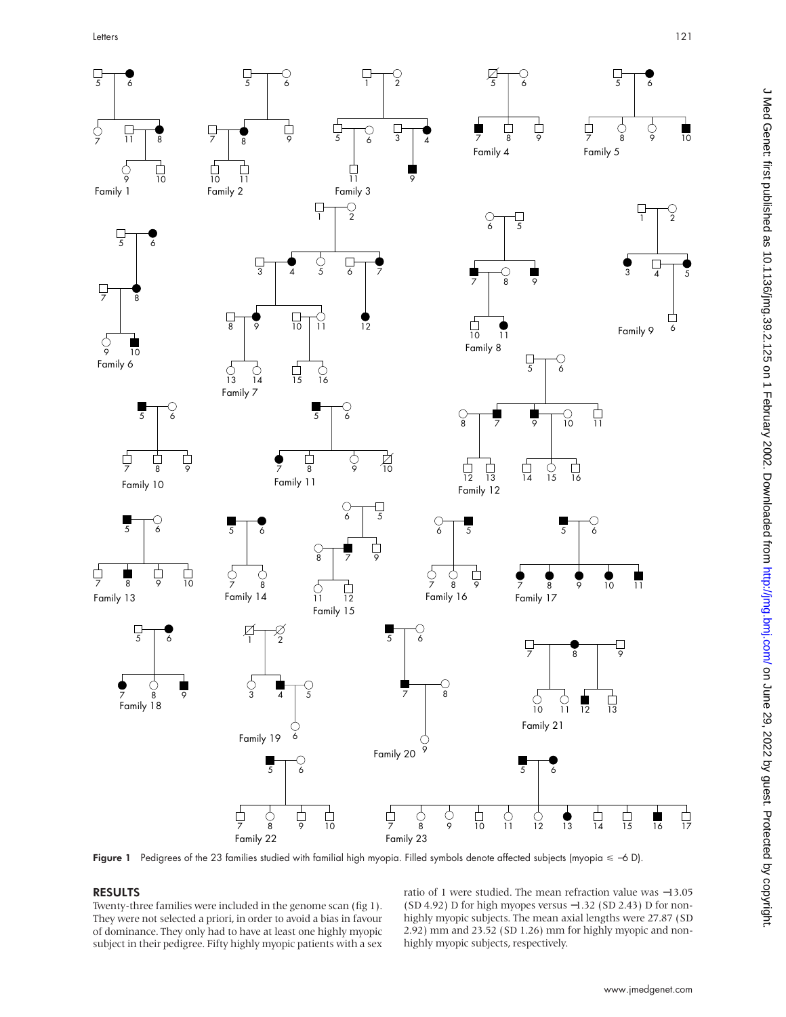Letters the contract of the contract of the contract of the contract of the contract of the contract of the contract of the contract of the contract of the contract of the contract of the contract of the contract of the co



Figure 1 Pedigrees of the 23 families studied with familial high myopia. Filled symbols denote affected subjects (myopia ≤ -6 D).

### RESULTS

Twenty-three families were included in the genome scan (fig 1). They were not selected a priori, in order to avoid a bias in favour of dominance. They only had to have at least one highly myopic subject in their pedigree. Fifty highly myopic patients with a sex

ratio of 1 were studied. The mean refraction value was −13.05 (SD 4.92) D for high myopes versus −1.32 (SD 2.43) D for nonhighly myopic subjects. The mean axial lengths were 27.87 (SD 2.92) mm and 23.52 (SD 1.26) mm for highly myopic and nonhighly myopic subjects, respectively.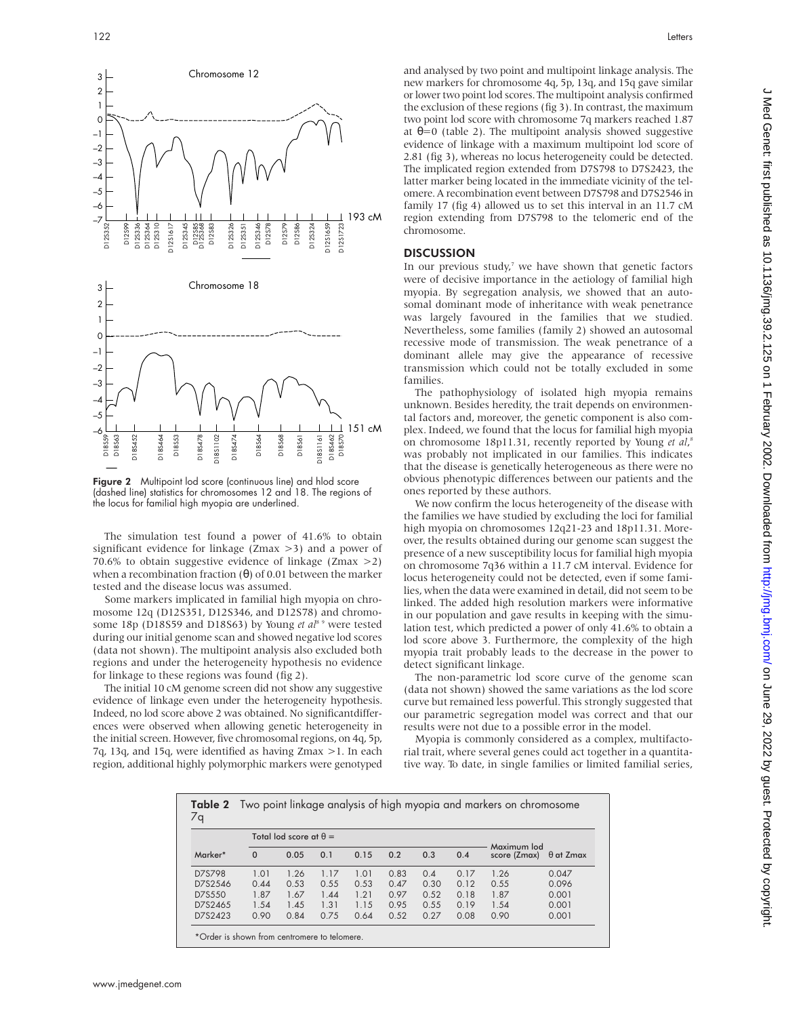

Figure 2 Multipoint lod score (continuous line) and hlod score (dashed line) statistics for chromosomes 12 and 18. The regions of the locus for familial high myopia are underlined.

The simulation test found a power of 41.6% to obtain significant evidence for linkage (Zmax >3) and a power of 70.6% to obtain suggestive evidence of linkage (Zmax >2) when a recombination fraction (θ) of 0.01 between the marker tested and the disease locus was assumed.

Some markers implicated in familial high myopia on chromosome 12q (D12S351, D12S346, and D12S78) and chromosome 18p (D18S59 and D18S63) by Young et al<sup>8 9</sup> were tested during our initial genome scan and showed negative lod scores (data not shown). The multipoint analysis also excluded both regions and under the heterogeneity hypothesis no evidence for linkage to these regions was found (fig 2).

The initial 10 cM genome screen did not show any suggestive evidence of linkage even under the heterogeneity hypothesis. Indeed, no lod score above 2 was obtained. No significantdifferences were observed when allowing genetic heterogeneity in the initial screen. However, five chromosomal regions, on 4q, 5p, 7q, 13q, and 15q, were identified as having Zmax >1. In each region, additional highly polymorphic markers were genotyped and analysed by two point and multipoint linkage analysis. The new markers for chromosome 4q, 5p, 13q, and 15q gave similar or lower two point lod scores. The multipoint analysis confirmed the exclusion of these regions (fig 3). In contrast, the maximum two point lod score with chromosome 7q markers reached 1.87 at θ=0 (table 2). The multipoint analysis showed suggestive evidence of linkage with a maximum multipoint lod score of 2.81 (fig 3), whereas no locus heterogeneity could be detected. The implicated region extended from D7S798 to D7S2423, the latter marker being located in the immediate vicinity of the telomere. A recombination event between D7S798 and D7S2546 in family 17 (fig 4) allowed us to set this interval in an 11.7 cM region extending from D7S798 to the telomeric end of the chromosome.

#### **DISCUSSION**

In our previous study, $7$  we have shown that genetic factors were of decisive importance in the aetiology of familial high myopia. By segregation analysis, we showed that an autosomal dominant mode of inheritance with weak penetrance was largely favoured in the families that we studied. Nevertheless, some families (family 2) showed an autosomal recessive mode of transmission. The weak penetrance of a dominant allele may give the appearance of recessive transmission which could not be totally excluded in some families.

The pathophysiology of isolated high myopia remains unknown. Besides heredity, the trait depends on environmental factors and, moreover, the genetic component is also complex. Indeed, we found that the locus for familial high myopia on chromosome 18p11.31, recently reported by Young *et al*, 8 was probably not implicated in our families. This indicates that the disease is genetically heterogeneous as there were no obvious phenotypic differences between our patients and the ones reported by these authors.

We now confirm the locus heterogeneity of the disease with the families we have studied by excluding the loci for familial high myopia on chromosomes 12q21-23 and 18p11.31. Moreover, the results obtained during our genome scan suggest the presence of a new susceptibility locus for familial high myopia on chromosome 7q36 within a 11.7 cM interval. Evidence for locus heterogeneity could not be detected, even if some families, when the data were examined in detail, did not seem to be linked. The added high resolution markers were informative in our population and gave results in keeping with the simulation test, which predicted a power of only 41.6% to obtain a lod score above 3. Furthermore, the complexity of the high myopia trait probably leads to the decrease in the power to detect significant linkage.

The non-parametric lod score curve of the genome scan (data not shown) showed the same variations as the lod score curve but remained less powerful. This strongly suggested that our parametric segregation model was correct and that our results were not due to a possible error in the model.

Myopia is commonly considered as a complex, multifactorial trait, where several genes could act together in a quantitative way. To date, in single families or limited familial series,

|         |          | Total lod score at $\theta =$ |      |      |      |      |      |                             |                  |
|---------|----------|-------------------------------|------|------|------|------|------|-----------------------------|------------------|
| Marker* | $\Omega$ | 0.05                          | 0.1  | 0.15 | 0.2  | 0.3  | 0.4  | Maximum lod<br>score (Zmax) | $\theta$ at Zmax |
| D7S798  | 1.01     | 1.26                          | 1.17 | 1.01 | 0.83 | 0.4  | 0.17 | 1.26                        | 0.047            |
| D7S2546 | 0.44     | 0.53                          | 0.55 | 0.53 | 0.47 | 0.30 | 0.12 | 0.55                        | 0.096            |
| D7S550  | 1.87     | 1.67                          | 1.44 | 1.21 | 0.97 | 0.52 | 0.18 | 1.87                        | 0.001            |
| D7S2465 | 1.54     | 1.45                          | 1.31 | 11.5 | 0.95 | 0.55 | 0.19 | 1.54                        | 0.001            |
| D7S2423 | 0.90     | 0.84                          | 0.75 | 0.64 | 0.52 | 0.27 | 0.08 | 0.90                        | 0.001            |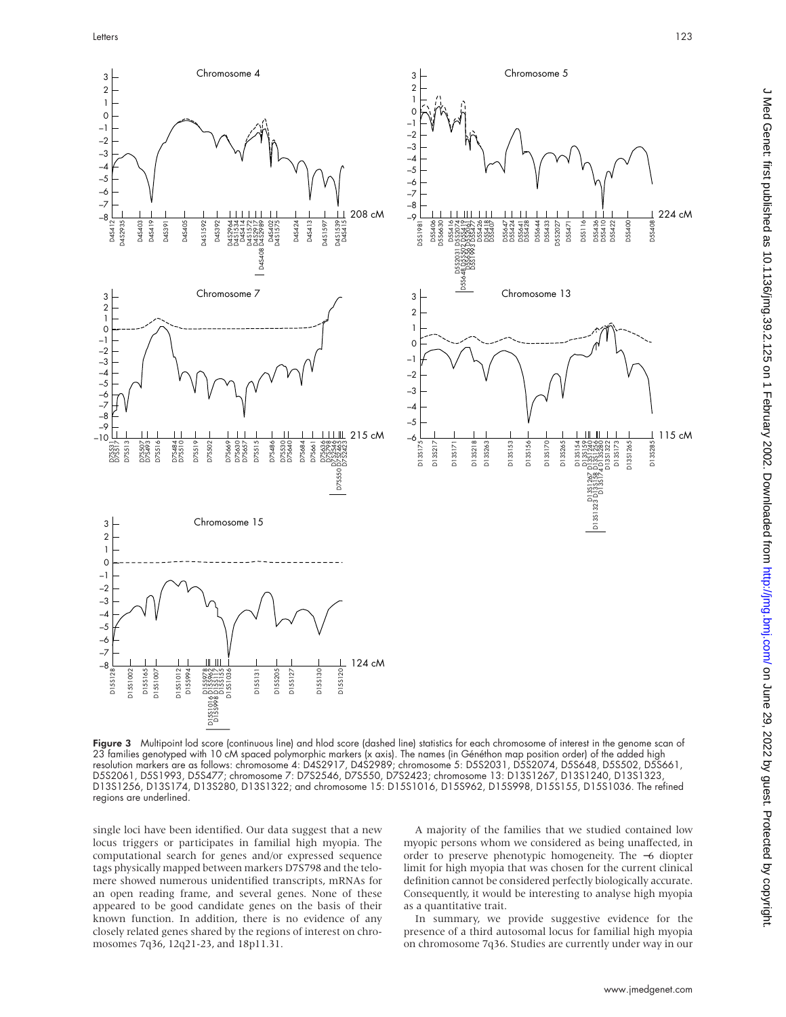

Figure 3 Multipoint lod score (continuous line) and hlod score (dashed line) statistics for each chromosome of interest in the genome scan of 23 families genotyped with 10 cM spaced polymorphic markers (x axis). The names (in Généthon map position order) of the added high resolution markers are as follows: chromosome 4: D4S2917, D4S2989; chromosome 5: D5S2031, D5S2074, D5S648, D5S502, D5S661, D5S2061, D5S1993, D5S477; chromosome 7: D7S2546, D7S550, D7S2423; chromosome 13: D13S1267, D13S1240, D13S1323, D13S1256, D13S174, D13S280, D13S1322; and chromosome 15: D15S1016, D15S962, D15S998, D15S155, D15S1036. The refined regions are underlined.

single loci have been identified. Our data suggest that a new locus triggers or participates in familial high myopia. The computational search for genes and/or expressed sequence tags physically mapped between markers D7S798 and the telomere showed numerous unidentified transcripts, mRNAs for an open reading frame, and several genes. None of these appeared to be good candidate genes on the basis of their known function. In addition, there is no evidence of any closely related genes shared by the regions of interest on chromosomes 7q36, 12q21-23, and 18p11.31.

A majority of the families that we studied contained low myopic persons whom we considered as being unaffected, in order to preserve phenotypic homogeneity. The −6 diopter limit for high myopia that was chosen for the current clinical definition cannot be considered perfectly biologically accurate. Consequently, it would be interesting to analyse high myopia as a quantitative trait.

In summary, we provide suggestive evidence for the presence of a third autosomal locus for familial high myopia on chromosome 7q36. Studies are currently under way in our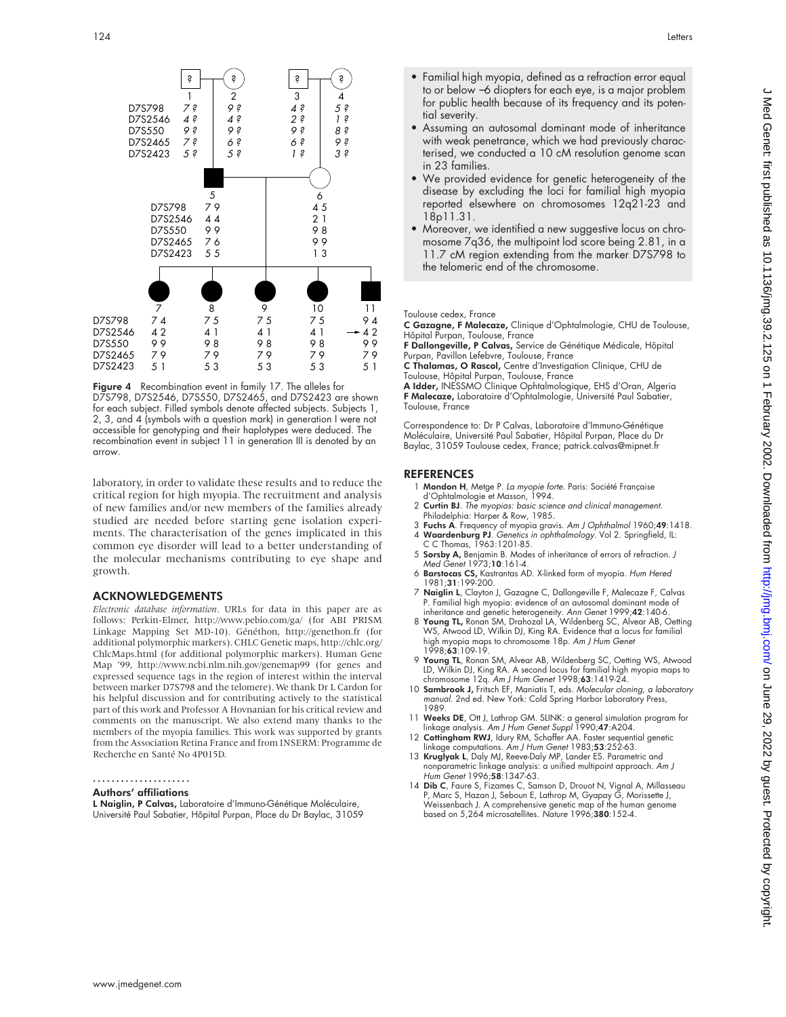

**Figure 4** Recombination event in family 17. The alleles for D7S798, D7S2546, D7S550, D7S2465, and D7S2423 are shown for each subject. Filled symbols denote affected subjects. Subjects 1, 2, 3, and 4 (symbols with a question mark) in generation I were not accessible for genotyping and their haplotypes were deduced. The recombination event in subject 11 in generation III is denoted by an arrow.

laboratory, in order to validate these results and to reduce the critical region for high myopia. The recruitment and analysis of new families and/or new members of the families already studied are needed before starting gene isolation experiments. The characterisation of the genes implicated in this common eye disorder will lead to a better understanding of the molecular mechanisms contributing to eye shape and growth.

#### ACKNOWLEDGEMENTS

*Electronic database information*. URLs for data in this paper are as follows: Perkin-Elmer, http://www.pebio.com/ga/ (for ABI PRISM Linkage Mapping Set MD-10). Généthon, http://genethon.fr (for additional polymorphic markers). CHLC Genetic maps, http://chlc.org/ ChlcMaps.html (for additional polymorphic markers). Human Gene Map '99, http://www.ncbi.nlm.nih.gov/genemap99 (for genes and expressed sequence tags in the region of interest within the interval between marker D7S798 and the telomere). We thank Dr L Cardon for his helpful discussion and for contributing actively to the statistical part of this work and Professor A Hovnanian for his critical review and comments on the manuscript. We also extend many thanks to the members of the myopia families. This work was supported by grants from the Association Retina France and from INSERM: Programme de Recherche en Santé No 4P015D.

#### .....................

Authors' affiliations

L Naiglin, P Calvas, Laboratoire d'Immuno-Génétique Moléculaire, Université Paul Sabatier, Hôpital Purpan, Place du Dr Baylac, 31059

- Familial high myopia, defined as a refraction error equal to or below −6 diopters for each eye, is a major problem for public health because of its frequency and its potential severity.
- Assuming an autosomal dominant mode of inheritance with weak penetrance, which we had previously characterised, we conducted a 10 cM resolution genome scan in 23 families.
- We provided evidence for genetic heterogeneity of the disease by excluding the loci for familial high myopia reported elsewhere on chromosomes 12q21-23 and 18p11.31.
- Moreover, we identified a new suggestive locus on chromosome 7q36, the multipoint lod score being 2.81, in a 11.7 cM region extending from the marker D7S798 to the telomeric end of the chromosome.

Toulouse cedex, France

C Gazagne, F Malecaze, Clinique d'Ophtalmologie, CHU de Toulouse, Hôpital Purpan, Toulouse, France

F Dallongeville, P Calvas, Service de Génétique Médicale, Hôpital Purpan, Pavillon Lefebvre, Toulouse, France

C Thalamas, O Rascol, Centre d'Investigation Clinique, CHU de Toulouse, Hôpital Purpan, Toulouse, France

**A Idder,** INESSMO Clinique Ophtalmologique, EHS d'Oran, Algeria<br>**F Malecaze,** Laboratoire d'Ophtalmologie, Université Paul Sabatier, Toulouse, France

Correspondence to: Dr P Calvas, Laboratoire d'Immuno-Génétique Moléculaire, Université Paul Sabatier, Hôpital Purpan, Place du Dr Baylac, 31059 Toulouse cedex, France; patrick.calvas@mipnet.fr

#### REFERENCES

- 1 Mondon H, Metge P. La myopie forte. Paris: Société Française d'Ophtalmologie et Masson, 1994.
- 2 Curtin BJ. The myopias: basic science and clinical management. Philadelphia: Harper & Row, 1985.
- Fuchs A. Frequency of myopia gravis. Am J Ophthalmol 1960;49:1418. Waardenburg PJ. Genetics in ophthalmology. Vol 2. Springfield, IL:
- C C Thomas, 1963:1201-85. 5 Sorsby A, Benjamin B. Modes of inheritance of errors of refraction. J Med Genet 1973;10:161-4.
- 6 Barstocas CS, Kastrantas AD. X-linked form of myopia. Hum Hered 1981;31:199-200.
- 7 Naiglin L, Clayton J, Gazagne C, Dallongeville F, Malecaze F, Calvas P. Familial high myopia: evidence of an autosomal dominant mode of
- inheritance and genetic heterogeneity. *Ann Genet* 1999;**42**:140-6.<br>8 **Young TL,** Ronan SM, Drahozal LA, Wildenberg SC, Alvear AB, Oetting<br>WS, Atwood LD, Wilkin DJ, King RA. Evidence that a locus for familial high myopia maps to chromosome 18p. Am J Hum Genet 1998;63:109-19.
- 9 Young TL, Ronan SM, Alvear AB, Wildenberg SC, Oetting WS, Atwood LD, Wilkin DJ, King RA. A second locus for familial high myopia maps to
- chromosome 12q. A*m J Hum Genet* 1998;**63**:1419-24.<br>10 **Sambrook J,** Fritsch EF, Maniatis T, eds. Molecular cloning, a laboratory manual. 2nd ed. New York: Cold Spring Harbor Laboratory Press, 1989.
- 11 Weeks DE, Ott J, Lathrop GM. SLINK: a general simulation program for linkage analysis. Am J Hum Genet Suppl 1990;47:A204.
- 12 Cottingham RWJ, Idury RM, Schaffer AA. Faster sequential genetic linkage computations. Am J Hum Genet 1983;53:252-63.
- 13 Kruglyak L, Daly MJ, Reeve-Daly MP, Lander ES. Parametric and nonparametric linkage analysis: a unified multipoint approach. Am J Hum Genet 1996;58:1347-63.
- 14 Dib C, Faure S, Fizames C, Samson D, Drouot N, Vignal A, Millasseau P, Marc S, Hazan J, Seboun E, Lathrop M, Gyapay G, Morissette J, Weissenbach J. A comprehensive genetic map of the human genome based on 5,264 microsatellites. Nature 1996;380:152-4.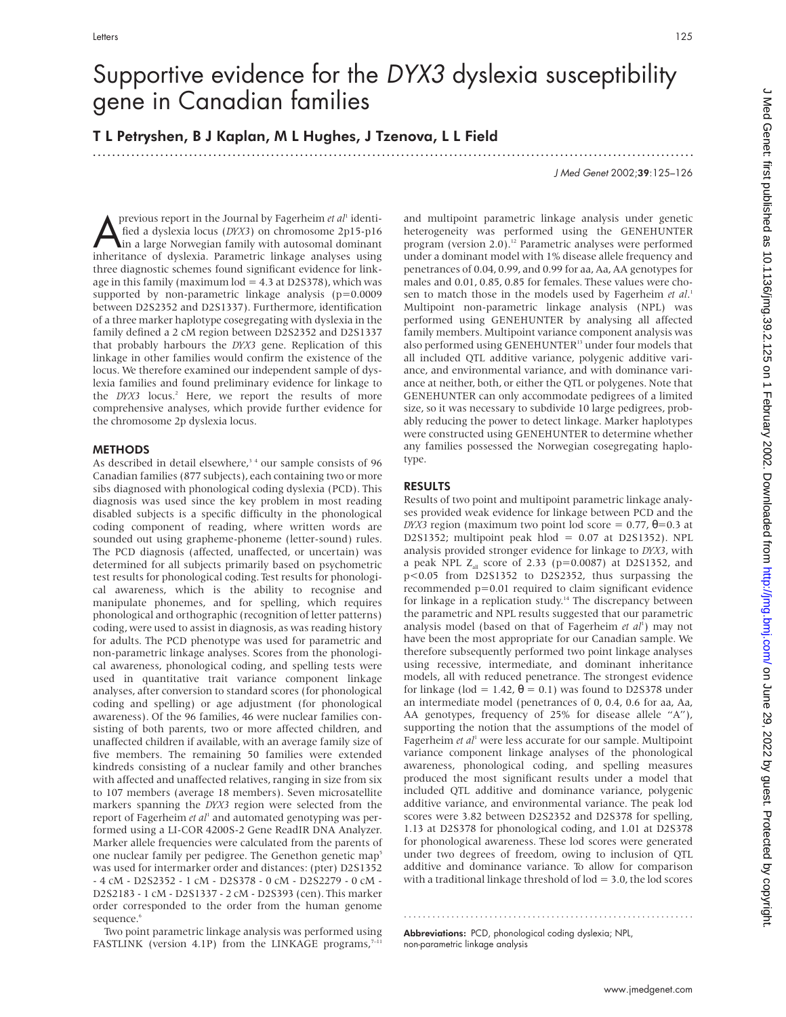## Supportive evidence for the DYX3 dyslexia susceptibility gene in Canadian families

.............................................................................................................................

T L Petryshen, B J Kaplan, M L Hughes, J Tzenova, L L Field

J Med Genet 2002;39:125–126

**A** previous report in the Journal by Fagerheim *et al*<sup>1</sup> identified a dyslexia locus (*DYX3*) on chromosome 2p15-p16 in a large Norwegian family with autosomal dominant fied a dyslexia locus (*DYX3*) on chromosome 2p15-p16 in a large Norwegian family with autosomal dominant inheritance of dyslexia. Parametric linkage analyses using three diagnostic schemes found significant evidence for linkage in this family (maximum  $\text{lod} = 4.3$  at D2S378), which was supported by non-parametric linkage analysis (p=0.0009 between D2S2352 and D2S1337). Furthermore, identification of a three marker haplotype cosegregating with dyslexia in the family defined a 2 cM region between D2S2352 and D2S1337 that probably harbours the *DYX3* gene. Replication of this linkage in other families would confirm the existence of the locus. We therefore examined our independent sample of dyslexia families and found preliminary evidence for linkage to the *DYX3* locus.<sup>2</sup> Here, we report the results of more comprehensive analyses, which provide further evidence for the chromosome 2p dyslexia locus.

#### **METHODS**

As described in detail elsewhere,<sup>34</sup> our sample consists of 96 Canadian families (877 subjects), each containing two or more sibs diagnosed with phonological coding dyslexia (PCD). This diagnosis was used since the key problem in most reading disabled subjects is a specific difficulty in the phonological coding component of reading, where written words are sounded out using grapheme-phoneme (letter-sound) rules. The PCD diagnosis (affected, unaffected, or uncertain) was determined for all subjects primarily based on psychometric test results for phonological coding. Test results for phonological awareness, which is the ability to recognise and manipulate phonemes, and for spelling, which requires phonological and orthographic (recognition of letter patterns) coding, were used to assist in diagnosis, as was reading history for adults. The PCD phenotype was used for parametric and non-parametric linkage analyses. Scores from the phonological awareness, phonological coding, and spelling tests were used in quantitative trait variance component linkage analyses, after conversion to standard scores (for phonological coding and spelling) or age adjustment (for phonological awareness). Of the 96 families, 46 were nuclear families consisting of both parents, two or more affected children, and unaffected children if available, with an average family size of five members. The remaining 50 families were extended kindreds consisting of a nuclear family and other branches with affected and unaffected relatives, ranging in size from six to 107 members (average 18 members). Seven microsatellite markers spanning the *DYX3* region were selected from the report of Fagerheim et al<sup>1</sup> and automated genotyping was performed using a LI-COR 4200S-2 Gene ReadIR DNA Analyzer. Marker allele frequencies were calculated from the parents of one nuclear family per pedigree. The Genethon genetic map<sup>5</sup> was used for intermarker order and distances: (pter) D2S1352 - 4 cM - D2S2352 - 1 cM - D2S378 - 0 cM - D2S2279 - 0 cM - D2S2183 - 1 cM - D2S1337 - 2 cM - D2S393 (cen). This marker order corresponded to the order from the human genome sequence.<sup>6</sup>

Two point parametric linkage analysis was performed using FASTLINK (version 4.1P) from the LINKAGE programs, $7$ - and multipoint parametric linkage analysis under genetic heterogeneity was performed using the GENEHUNTER program (version 2.0).<sup>12</sup> Parametric analyses were performed under a dominant model with 1% disease allele frequency and penetrances of 0.04, 0.99, and 0.99 for aa, Aa, AA genotypes for males and 0.01, 0.85, 0.85 for females. These values were chosen to match those in the models used by Fagerheim *et al*. 1 Multipoint non-parametric linkage analysis (NPL) was performed using GENEHUNTER by analysing all affected family members. Multipoint variance component analysis was also performed using GENEHUNTER<sup>13</sup> under four models that all included QTL additive variance, polygenic additive variance, and environmental variance, and with dominance variance at neither, both, or either the QTL or polygenes. Note that GENEHUNTER can only accommodate pedigrees of a limited size, so it was necessary to subdivide 10 large pedigrees, probably reducing the power to detect linkage. Marker haplotypes were constructed using GENEHUNTER to determine whether any families possessed the Norwegian cosegregating haplotype.

### RESULTS

Results of two point and multipoint parametric linkage analyses provided weak evidence for linkage between PCD and the *DYX3* region (maximum two point lod score =  $0.77$ ,  $\theta$ =0.3 at D2S1352; multipoint peak hlod =  $0.07$  at D2S1352). NPL analysis provided stronger evidence for linkage to *DYX3*, with a peak NPL  $Z_{all}$  score of 2.33 (p=0.0087) at D2S1352, and p<0.05 from D2S1352 to D2S2352, thus surpassing the recommended p=0.01 required to claim significant evidence for linkage in a replication study.<sup>14</sup> The discrepancy between the parametric and NPL results suggested that our parametric analysis model (based on that of Fagerheim et al<sup>1</sup>) may not have been the most appropriate for our Canadian sample. We therefore subsequently performed two point linkage analyses using recessive, intermediate, and dominant inheritance models, all with reduced penetrance. The strongest evidence for linkage (lod = 1.42,  $\theta$  = 0.1) was found to D2S378 under an intermediate model (penetrances of 0, 0.4, 0.6 for aa, Aa, AA genotypes, frequency of 25% for disease allele "A"), supporting the notion that the assumptions of the model of Fagerheim *et al*<sup>1</sup> were less accurate for our sample. Multipoint variance component linkage analyses of the phonological awareness, phonological coding, and spelling measures produced the most significant results under a model that included QTL additive and dominance variance, polygenic additive variance, and environmental variance. The peak lod scores were 3.82 between D2S2352 and D2S378 for spelling, 1.13 at D2S378 for phonological coding, and 1.01 at D2S378 for phonological awareness. These lod scores were generated under two degrees of freedom, owing to inclusion of QTL additive and dominance variance. To allow for comparison with a traditional linkage threshold of  $\text{lod} = 3.0$ , the  $\text{lod}$  scores

Abbreviations: PCD, phonological coding dyslexia; NPL, non-parametric linkage analysis

.............................................................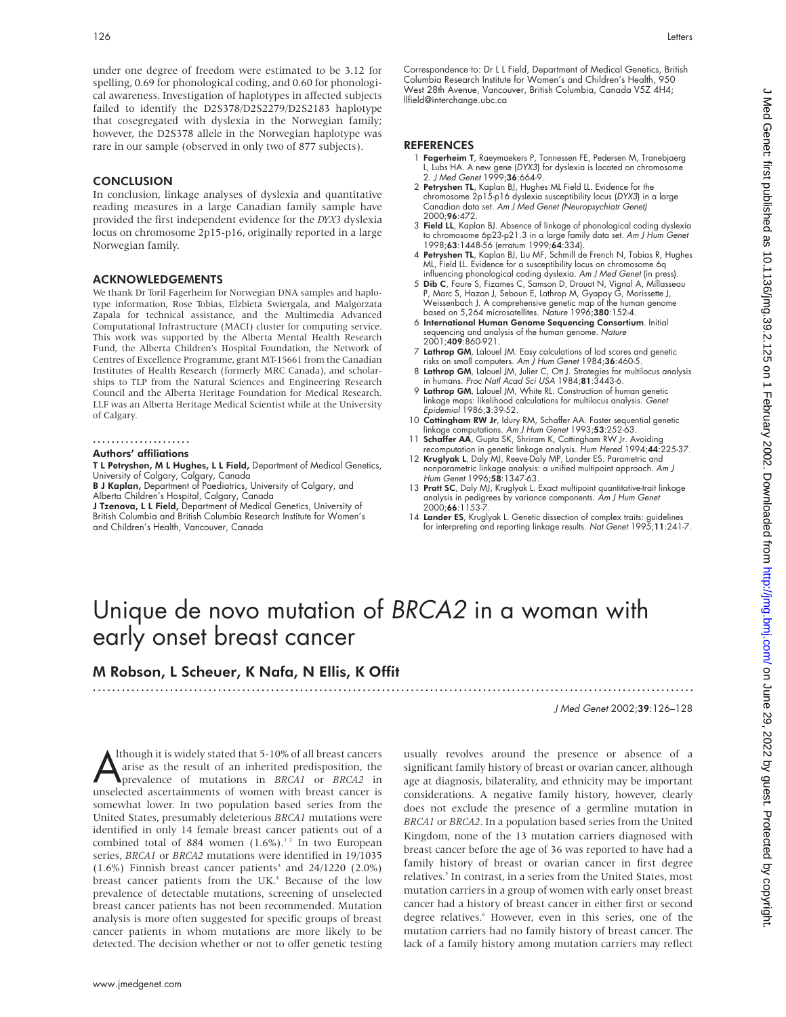under one degree of freedom were estimated to be 3.12 for spelling, 0.69 for phonological coding, and 0.60 for phonological awareness. Investigation of haplotypes in affected subjects failed to identify the D2S378/D2S2279/D2S2183 haplotype that cosegregated with dyslexia in the Norwegian family; however, the D2S378 allele in the Norwegian haplotype was rare in our sample (observed in only two of 877 subjects).

#### **CONCLUSION**

In conclusion, linkage analyses of dyslexia and quantitative reading measures in a large Canadian family sample have provided the first independent evidence for the *DYX3* dyslexia locus on chromosome 2p15-p16, originally reported in a large Norwegian family.

#### ACKNOWLEDGEMENTS

We thank Dr Toril Fagerheim for Norwegian DNA samples and haplotype information, Rose Tobias, Elzbieta Swiergala, and Malgorzata Zapala for technical assistance, and the Multimedia Advanced Computational Infrastructure (MACI) cluster for computing service. This work was supported by the Alberta Mental Health Research Fund, the Alberta Children's Hospital Foundation, the Network of Centres of Excellence Programme, grant MT-15661 from the Canadian Institutes of Health Research (formerly MRC Canada), and scholarships to TLP from the Natural Sciences and Engineering Research Council and the Alberta Heritage Foundation for Medical Research. LLF was an Alberta Heritage Medical Scientist while at the University of Calgary.

## .....................

#### Authors' affiliations

T L Petryshen, M L Hughes, L L Field, Department of Medical Genetics,

- University of Calgary, Calgary, Canada<br>**B J Kaplan,** Department of Paediatrics, University of Calgary, and
- Alberta Children's Hospital, Calgary, Canada<br>**J Tzenova, L L Field,** Department of Medical Genetics, University of British Columbia and British Columbia Research Institute for Women's and Children's Health, Vancouver, Canada

Correspondence to: Dr L L Field, Department of Medical Genetics, British Columbia Research Institute for Women's and Children's Health, 950 West 28th Avenue, Vancouver, British Columbia, Canada V5Z 4H4; llfield@interchange.ubc.ca

#### **REFERENCES**

- 1 Fagerheim T, Raeymaekers P, Tonnessen FE, Pedersen M, Tranebjaerg L, Lubs HA. A new gene (DYX3) for dyslexia is located on chromosome 2. J Med Genet 1999;36:664-9.
- 2 Petryshen TL, Kaplan BJ, Hughes ML Field LL. Evidence for the chromosome 2p15-p16 dyslexia susceptibility locus (DYX3) in a large Canadian data set. Am J Med Genet (Neuropsychiatr Genet) 2000;96:472.
- 3 Field LL, Kaplan BJ. Absence of linkage of phonological coding dyslexia to chromosome 6p23-p21.3 in a large family data set. Am J Hum Genet 1998;63:1448-56 (erratum 1999;64:334).
- 4 Petryshen TL, Kaplan BJ, Liu MF, Schmill de French N, Tobias R, Hughes ML, Field LL. Evidence for a susceptibility locus on chromosome 6q influencing phonological coding dyslexia. Am J Med Genet (in press).
- 5 Dib C, Faure S, Fizames C, Samson D, Drouot N, Vignal A, Millasseau P, Marc S, Hazan J, Seboun E, Lathrop M, Gyapay G, Morissette J, Weissenbach J. A comprehensive genetic map of the human genome based on 5,264 microsatellites. Nature 1996;380:152-4.
- 6 International Human Genome Sequencing Consortium. Initial sequencing and analysis of the human genome. Nature 2001;409:860-921.
- 7 Lathrop GM, Lalouel JM. Easy calculations of lod scores and genetic risks on small computers. Am J Hum Genet 1984;36:460-5.
- 8 Lathrop GM, Lalouel JM, Julier C, Ott J. Strategies for multilocus analysis in humans. Proc Natl Acad Sci USA 1984;81:3443-6.
- 9 Lathrop GM, Lalouel JM, White RL. Construction of human genetic linkage maps: likelihood calculations for multilocus analysis. Genet Epidemiol 1986;3:39-52.
- 10 Cottingham RW Jr, Idury RM, Schaffer AA. Faster sequential genetic linkage computations. Am J Hum Genet 1993;53:252-63.
- 11 Schaffer AA, Gupta SK, Shriram K, Cottingham RW Jr. Avoiding recomputation in genetic linkage analysis. Hum Hered 1994;44:225-37.
- 12 Kruglyak L, Daly MJ, Reeve-Daly MP, Lander ES. Parametric and nonparametric linkage analysis: a unified multipoint approach. *Am J*<br>*Hum Genet* 1996;**58**:1347-63.
- 13 Pratt SC, Daly MJ, Kruglyak L. Exact multipoint quantitative-trait linkage analysis in pedigrees by variance components. Am J Hum Genet  $2000:66:1153$ -7
- 14 Lander ES, Kruglyak L. Genetic dissection of complex traits: guidelines for interpreting and reporting linkage results. Nat Genet 1995;11:241-7.

## Unique de novo mutation of BRCA2 in a woman with early onset breast cancer

.............................................................................................................................

### M Robson, L Scheuer, K Nafa, N Ellis, K Offit

J Med Genet 2002;39:126–128

Although it is widely stated that 5-10% of all breast cancers<br>arise as the result of an inherited predisposition, the<br>prevalence of mutations in *BRCA1* or *BRCA2* in<br>unselected ascertainments of women with breast cancer i lthough it is widely stated that 5-10% of all breast cancers arise as the result of an inherited predisposition, the prevalence of mutations in *BRCA1* or *BRCA2* in somewhat lower. In two population based series from the United States, presumably deleterious *BRCA1* mutations were identified in only 14 female breast cancer patients out of a combined total of 884 women  $(1.6\%)$ .<sup>12</sup> In two European series, *BRCA1* or *BRCA2* mutations were identified in 19/1035  $(1.6\%)$  Finnish breast cancer patients<sup>3</sup> and 24/1220  $(2.0\%)$ breast cancer patients from the UK.<sup>4</sup> Because of the low prevalence of detectable mutations, screening of unselected breast cancer patients has not been recommended. Mutation analysis is more often suggested for specific groups of breast cancer patients in whom mutations are more likely to be detected. The decision whether or not to offer genetic testing

usually revolves around the presence or absence of a significant family history of breast or ovarian cancer, although age at diagnosis, bilaterality, and ethnicity may be important considerations. A negative family history, however, clearly does not exclude the presence of a germline mutation in *BRCA1* or *BRCA2*. In a population based series from the United Kingdom, none of the 13 mutation carriers diagnosed with breast cancer before the age of 36 was reported to have had a family history of breast or ovarian cancer in first degree relatives.<sup>5</sup> In contrast, in a series from the United States, most mutation carriers in a group of women with early onset breast cancer had a history of breast cancer in either first or second degree relatives.<sup>6</sup> However, even in this series, one of the mutation carriers had no family history of breast cancer. The lack of a family history among mutation carriers may reflect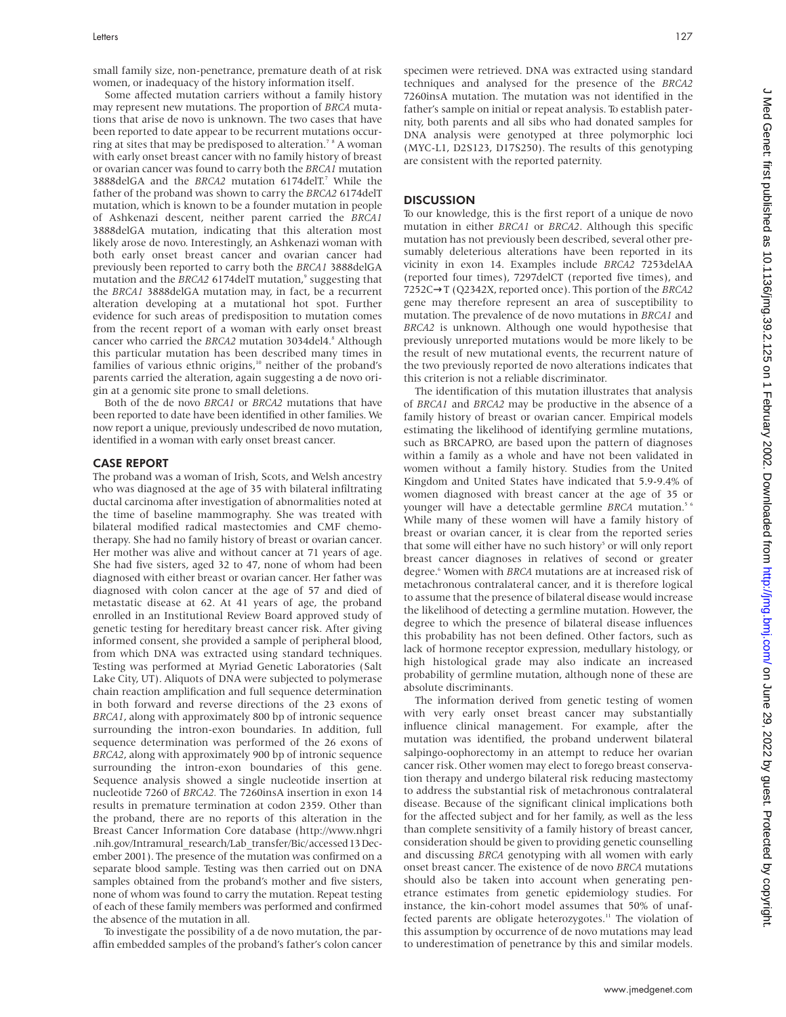small family size, non-penetrance, premature death of at risk women, or inadequacy of the history information itself.

Some affected mutation carriers without a family history may represent new mutations. The proportion of *BRCA* mutations that arise de novo is unknown. The two cases that have been reported to date appear to be recurrent mutations occurring at sites that may be predisposed to alteration.<sup>7  $\textdegree$ </sup> A woman with early onset breast cancer with no family history of breast or ovarian cancer was found to carry both the *BRCA1* mutation 3888delGA and the *BRCA2* mutation 6174delT.<sup>7</sup> While the father of the proband was shown to carry the *BRCA2* 6174delT mutation, which is known to be a founder mutation in people of Ashkenazi descent, neither parent carried the *BRCA1* 3888delGA mutation, indicating that this alteration most likely arose de novo. Interestingly, an Ashkenazi woman with both early onset breast cancer and ovarian cancer had previously been reported to carry both the *BRCA1* 3888delGA mutation and the *BRCA2* 6174delT mutation,<sup>9</sup> suggesting that the *BRCA1* 3888delGA mutation may, in fact, be a recurrent alteration developing at a mutational hot spot. Further evidence for such areas of predisposition to mutation comes from the recent report of a woman with early onset breast cancer who carried the *BRCA2* mutation 3034del4.<sup>8</sup> Although this particular mutation has been described many times in families of various ethnic origins,<sup>10</sup> neither of the proband's parents carried the alteration, again suggesting a de novo origin at a genomic site prone to small deletions.

Both of the de novo *BRCA1* or *BRCA2* mutations that have been reported to date have been identified in other families. We now report a unique, previously undescribed de novo mutation, identified in a woman with early onset breast cancer.

#### CASE REPORT

The proband was a woman of Irish, Scots, and Welsh ancestry who was diagnosed at the age of 35 with bilateral infiltrating ductal carcinoma after investigation of abnormalities noted at the time of baseline mammography. She was treated with bilateral modified radical mastectomies and CMF chemotherapy. She had no family history of breast or ovarian cancer. Her mother was alive and without cancer at 71 years of age. She had five sisters, aged 32 to 47, none of whom had been diagnosed with either breast or ovarian cancer. Her father was diagnosed with colon cancer at the age of 57 and died of metastatic disease at 62. At 41 years of age, the proband enrolled in an Institutional Review Board approved study of genetic testing for hereditary breast cancer risk. After giving informed consent, she provided a sample of peripheral blood, from which DNA was extracted using standard techniques. Testing was performed at Myriad Genetic Laboratories (Salt Lake City, UT). Aliquots of DNA were subjected to polymerase chain reaction amplification and full sequence determination in both forward and reverse directions of the 23 exons of *BRCA1*, along with approximately 800 bp of intronic sequence surrounding the intron-exon boundaries. In addition, full sequence determination was performed of the 26 exons of *BRCA2*, along with approximately 900 bp of intronic sequence surrounding the intron-exon boundaries of this gene. Sequence analysis showed a single nucleotide insertion at nucleotide 7260 of *BRCA2.* The 7260insA insertion in exon 14 results in premature termination at codon 2359. Other than the proband, there are no reports of this alteration in the Breast Cancer Information Core database (http://www.nhgri .nih.gov/Intramural\_research/Lab\_transfer/Bic/accessed13December 2001). The presence of the mutation was confirmed on a separate blood sample. Testing was then carried out on DNA samples obtained from the proband's mother and five sisters, none of whom was found to carry the mutation. Repeat testing of each of these family members was performed and confirmed the absence of the mutation in all.

To investigate the possibility of a de novo mutation, the paraffin embedded samples of the proband's father's colon cancer specimen were retrieved. DNA was extracted using standard techniques and analysed for the presence of the *BRCA2* 7260insA mutation. The mutation was not identified in the father's sample on initial or repeat analysis. To establish paternity, both parents and all sibs who had donated samples for DNA analysis were genotyped at three polymorphic loci (MYC-L1, D2S123, D17S250). The results of this genotyping are consistent with the reported paternity.

#### **DISCUSSION**

To our knowledge, this is the first report of a unique de novo mutation in either *BRCA1* or *BRCA2*. Although this specific mutation has not previously been described, several other presumably deleterious alterations have been reported in its vicinity in exon 14. Examples include *BRCA2* 7253delAA (reported four times), 7297delCT (reported five times), and 7252C→T (Q2342X, reported once). This portion of the *BRCA2* gene may therefore represent an area of susceptibility to mutation. The prevalence of de novo mutations in *BRCA1* and *BRCA2* is unknown. Although one would hypothesise that previously unreported mutations would be more likely to be the result of new mutational events, the recurrent nature of the two previously reported de novo alterations indicates that this criterion is not a reliable discriminator.

The identification of this mutation illustrates that analysis of *BRCA1* and *BRCA2* may be productive in the absence of a family history of breast or ovarian cancer. Empirical models estimating the likelihood of identifying germline mutations, such as BRCAPRO, are based upon the pattern of diagnoses within a family as a whole and have not been validated in women without a family history. Studies from the United Kingdom and United States have indicated that 5.9-9.4% of women diagnosed with breast cancer at the age of 35 or younger will have a detectable germline *BRCA* mutation.<sup>56</sup> While many of these women will have a family history of breast or ovarian cancer, it is clear from the reported series that some will either have no such history<sup>5</sup> or will only report breast cancer diagnoses in relatives of second or greater degree.6 Women with *BRCA* mutations are at increased risk of metachronous contralateral cancer, and it is therefore logical to assume that the presence of bilateral disease would increase the likelihood of detecting a germline mutation. However, the degree to which the presence of bilateral disease influences this probability has not been defined. Other factors, such as lack of hormone receptor expression, medullary histology, or high histological grade may also indicate an increased probability of germline mutation, although none of these are absolute discriminants.

The information derived from genetic testing of women with very early onset breast cancer may substantially influence clinical management. For example, after the mutation was identified, the proband underwent bilateral salpingo-oophorectomy in an attempt to reduce her ovarian cancer risk. Other women may elect to forego breast conservation therapy and undergo bilateral risk reducing mastectomy to address the substantial risk of metachronous contralateral disease. Because of the significant clinical implications both for the affected subject and for her family, as well as the less than complete sensitivity of a family history of breast cancer, consideration should be given to providing genetic counselling and discussing *BRCA* genotyping with all women with early onset breast cancer. The existence of de novo *BRCA* mutations should also be taken into account when generating penetrance estimates from genetic epidemiology studies. For instance, the kin-cohort model assumes that 50% of unaffected parents are obligate heterozygotes.<sup>11</sup> The violation of this assumption by occurrence of de novo mutations may lead to underestimation of penetrance by this and similar models.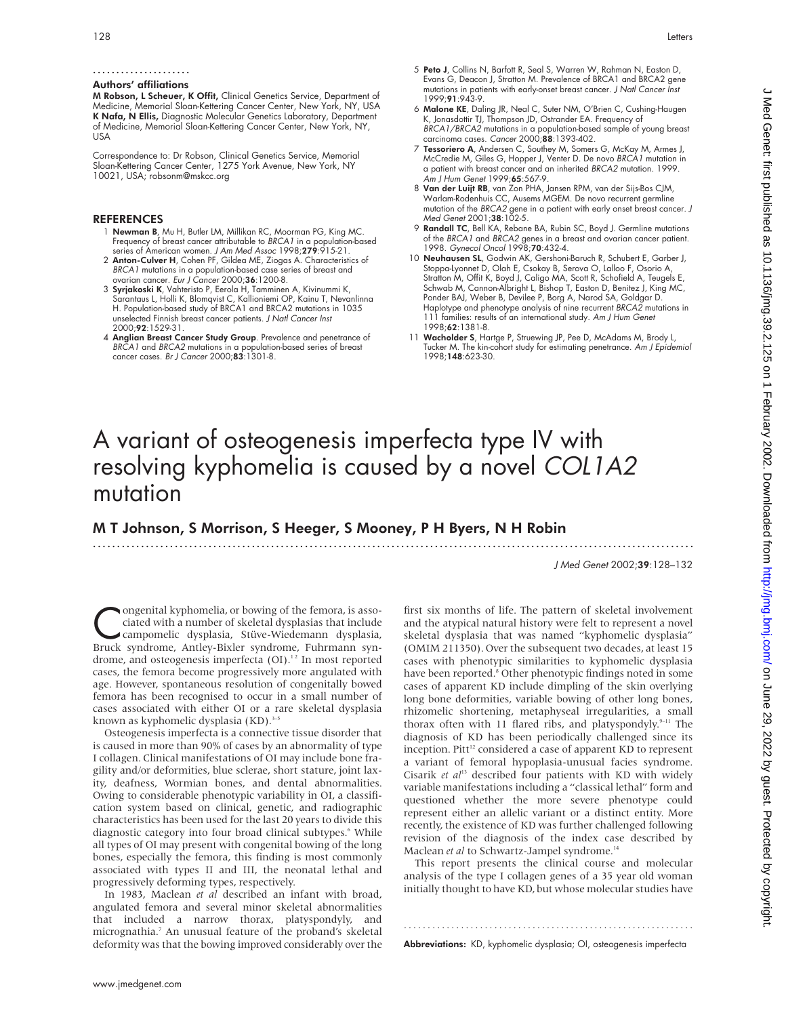### Authors' affiliations

M Robson, L Scheuer, K Offit, Clinical Genetics Service, Department of Medicine, Memorial Sloan-Kettering Cancer Center, New York, NY, USA<br>**K Nafa, N Ellis,** Diagnostic Molecular Genetics Laboratory, Department of Medicine, Memorial Sloan-Kettering Cancer Center, New York, NY, USA

Correspondence to: Dr Robson, Clinical Genetics Service, Memorial Sloan-Kettering Cancer Center, 1275 York Avenue, New York, NY 10021, USA; robsonm@mskcc.org

#### REFERENCES

- 1 Newman B, Mu H, Butler LM, Millikan RC, Moorman PG, King MC. Frequency of breast cancer attributable to BRCA1 in a population-based series of American women. J Am Med Assoc 1998;279:915-21.
- 2 Anton-Culver H, Cohen PF, Gildea ME, Ziogas A. Characteristics of BRCA1 mutations in a population-based case series of breast and ovarian cancer. Eur J Cancer 2000;36:1200-8.
- 3 Syrjakoski K, Vahteristo P, Eerola H, Tamminen A, Kivinummi K, arantaus L, Holli K, Blomqvist C, Kallioniemi OP, Kainu T, Nevanlinna H. Population-based study of BRCA1 and BRCA2 mutations in 1035 unselected Finnish breast cancer patients. J Natl Cancer Inst 2000;92:1529-31.
- 4 Anglian Breast Cancer Study Group. Prevalence and penetrance of BRCA1 and BRCA2 mutations in a population-based series of breast<br>cancer cases. Br J Cancer 2000;**83**:1301-8.
- 5 Peto J, Collins N, Barfott R, Seal S, Warren W, Rahman N, Easton D, Evans G, Deacon J, Stratton M. Prevalence of BRCA1 and BRCA2 gene mutations in patients with early-onset breast cancer. J Natl Cancer Inst 1999;91:943-9.
- 6 **Malone KE**, Daling JR, Neal C, Suter NM, O'Brien C, Cushing-Haugen<br>K, Jonasdottir TJ, Thompson JD, Ostrander EA. Frequency of<br>BRCA1/BRCA2 mutations in a population-based sample of young breast carcinoma cases. Cancer 2000;88:1393-402.
- 7 Tessoriero A, Andersen C, Southey M, Somers G, McKay M, Armes J, McCredie M, Giles G, Hopper J, Venter D. De novo BRCA1 mutation in a patient with breast cancer and an inherited BRCA2 mutation. 1999. Am J Hum Genet 1999;65:567-9.
- 8 Van der Luijt RB, van Zon PHA, Jansen RPM, van der Sijs-Bos CJM, Warlam-Rodenhuis CC, Ausems MGEM. De novo recurrent germline mutation of the BRCA2 gene in a patient with early onset breast cancer. J<br>Med Genet 2001;**38**:102-5.
- 9 Randall TC, Bell KA, Rebane BA, Rubin SC, Boyd J. Germline mutations of the BRCA1 and BRCA2 genes in a breast and ovarian cancer patient. 1998. Gynecol Oncol 1998;70:432-4.
- 10 Neuhausen SL, Godwin AK, Gershoni-Baruch R, Schubert E, Garber J, Stoppa-Lyonnet D, Olah E, Csokay B, Serova O, Lalloo F, Osorio A, Stratton M, Offit K, Boyd J, Caligo MA, Scott R, Schofield A, Teugels E, Schwab M, Cannon-Albright L, Bishop T, Easton D, Benitez J, King MC, Ponder BAJ, Weber B, Devilee P, Borg A, Narod SA, Goldgar D. Haplotype and phenotype analysis of nine recurrent BRCA2 mutations in 111 families: results of an international study. Am J Hum Genet 1998;62:1381-8.
- 11 Wacholder S, Hartge P, Struewing JP, Pee D, McAdams M, Brody L, Tucker M. The kin-cohort study for estimating penetrance. Am J Epidemiol 1998;148:623-30.

# A variant of osteogenesis imperfecta type IV with resolving kyphomelia is caused by a novel COL1A2 mutation

## M T Johnson, S Morrison, S Heeger, S Mooney, P H Byers, N H Robin

.............................................................................................................................

J Med Genet 2002;39:128–132

Congenital kyphomelia, or bowing of the femora, is associated with a number of skeletal dysplasias that include<br>
campomelic dysplasia, Stüve-Wiedemann dysplasia,<br>
Rruck syndrome Antley-Rivler syndrome Euhrmann synciated with a number of skeletal dysplasias that include Bruck syndrome, Antley-Bixler syndrome, Fuhrmann syndrome, and osteogenesis imperfecta  $(OI)^{12}$  In most reported cases, the femora become progressively more angulated with age. However, spontaneous resolution of congenitally bowed femora has been recognised to occur in a small number of cases associated with either OI or a rare skeletal dysplasia known as kyphomelic dysplasia  $(KD)$ .<sup>3–5</sup>

Osteogenesis imperfecta is a connective tissue disorder that is caused in more than 90% of cases by an abnormality of type I collagen. Clinical manifestations of OI may include bone fragility and/or deformities, blue sclerae, short stature, joint laxity, deafness, Wormian bones, and dental abnormalities. Owing to considerable phenotypic variability in OI, a classification system based on clinical, genetic, and radiographic characteristics has been used for the last 20 years to divide this diagnostic category into four broad clinical subtypes.<sup>6</sup> While all types of OI may present with congenital bowing of the long bones, especially the femora, this finding is most commonly associated with types II and III, the neonatal lethal and progressively deforming types, respectively.

In 1983, Maclean *et al* described an infant with broad, angulated femora and several minor skeletal abnormalities that included a narrow thorax, platyspondyly, and micrognathia.7 An unusual feature of the proband's skeletal deformity was that the bowing improved considerably over the first six months of life. The pattern of skeletal involvement and the atypical natural history were felt to represent a novel skeletal dysplasia that was named "kyphomelic dysplasia" (OMIM 211350). Over the subsequent two decades, at least 15 cases with phenotypic similarities to kyphomelic dysplasia have been reported.<sup>8</sup> Other phenotypic findings noted in some cases of apparent KD include dimpling of the skin overlying long bone deformities, variable bowing of other long bones, rhizomelic shortening, metaphyseal irregularities, a small thorax often with 11 flared ribs, and platyspondyly.<sup>9-11</sup> The diagnosis of KD has been periodically challenged since its inception. Pitt<sup>12</sup> considered a case of apparent KD to represent a variant of femoral hypoplasia-unusual facies syndrome. Cisarik *et al*<sup>13</sup> described four patients with KD with widely variable manifestations including a "classical lethal" form and questioned whether the more severe phenotype could represent either an allelic variant or a distinct entity. More recently, the existence of KD was further challenged following revision of the diagnosis of the index case described by Maclean *et al* to Schwartz-Jampel syndrome.<sup>14</sup>

This report presents the clinical course and molecular analysis of the type I collagen genes of a 35 year old woman initially thought to have KD, but whose molecular studies have

............................................................. Abbreviations: KD, kyphomelic dysplasia; OI, osteogenesis imperfecta

www.jmedgenet.com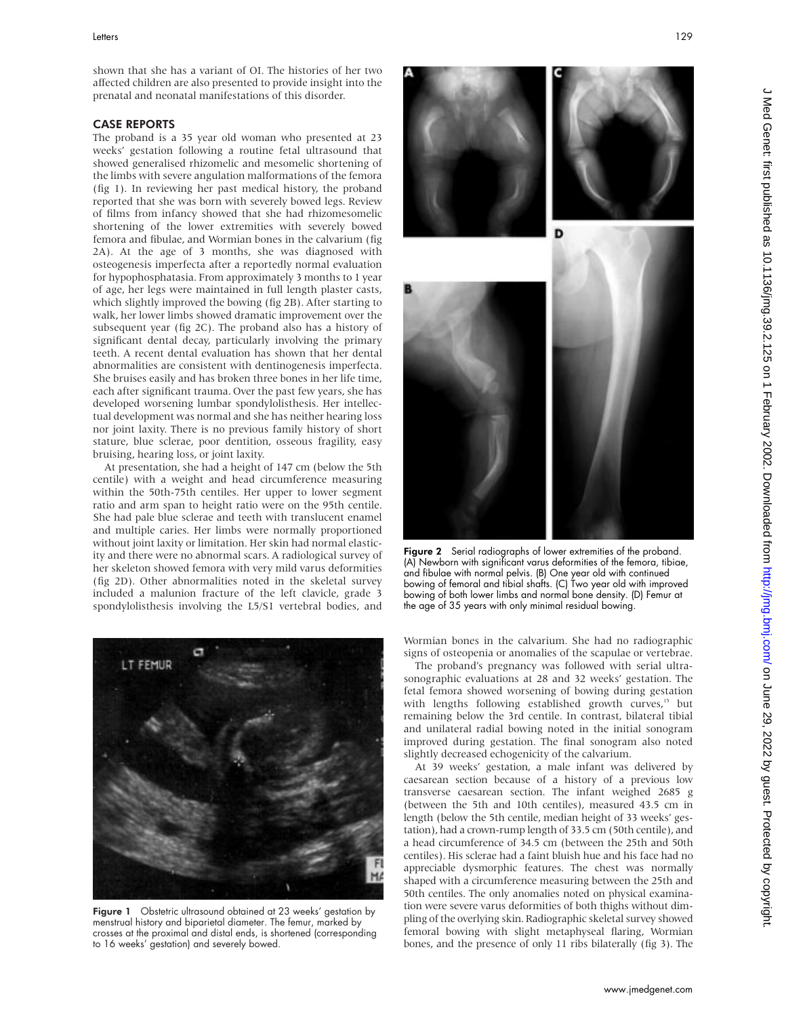shown that she has a variant of OI. The histories of her two affected children are also presented to provide insight into the prenatal and neonatal manifestations of this disorder.

#### CASE REPORTS

The proband is a 35 year old woman who presented at 23 weeks' gestation following a routine fetal ultrasound that showed generalised rhizomelic and mesomelic shortening of the limbs with severe angulation malformations of the femora (fig 1). In reviewing her past medical history, the proband reported that she was born with severely bowed legs. Review of films from infancy showed that she had rhizomesomelic shortening of the lower extremities with severely bowed femora and fibulae, and Wormian bones in the calvarium (fig 2A). At the age of 3 months, she was diagnosed with osteogenesis imperfecta after a reportedly normal evaluation for hypophosphatasia. From approximately 3 months to 1 year of age, her legs were maintained in full length plaster casts, which slightly improved the bowing (fig 2B). After starting to walk, her lower limbs showed dramatic improvement over the subsequent year (fig 2C). The proband also has a history of significant dental decay, particularly involving the primary teeth. A recent dental evaluation has shown that her dental abnormalities are consistent with dentinogenesis imperfecta. She bruises easily and has broken three bones in her life time, each after significant trauma. Over the past few years, she has developed worsening lumbar spondylolisthesis. Her intellectual development was normal and she has neither hearing loss nor joint laxity. There is no previous family history of short stature, blue sclerae, poor dentition, osseous fragility, easy bruising, hearing loss, or joint laxity.

At presentation, she had a height of 147 cm (below the 5th centile) with a weight and head circumference measuring within the 50th-75th centiles. Her upper to lower segment ratio and arm span to height ratio were on the 95th centile. She had pale blue sclerae and teeth with translucent enamel and multiple caries. Her limbs were normally proportioned without joint laxity or limitation. Her skin had normal elasticity and there were no abnormal scars. A radiological survey of her skeleton showed femora with very mild varus deformities (fig 2D). Other abnormalities noted in the skeletal survey included a malunion fracture of the left clavicle, grade 3 spondylolisthesis involving the L5/S1 vertebral bodies, and



Figure 1 Obstetric ultrasound obtained at 23 weeks' gestation by menstrual history and biparietal diameter. The femur, marked by crosses at the proximal and distal ends, is shortened (corresponding to 16 weeks' gestation) and severely bowed.



Figure 2 Serial radiographs of lower extremities of the proband. (A) Newborn with significant varus deformities of the femora, tibiae, and fibulae with normal pelvis. (B) One year old with continued bowing of femoral and tibial shafts. (C) Two year old with improved bowing of both lower limbs and normal bone density. (D) Femur at the age of 35 years with only minimal residual bowing.

Wormian bones in the calvarium. She had no radiographic signs of osteopenia or anomalies of the scapulae or vertebrae.

The proband's pregnancy was followed with serial ultrasonographic evaluations at 28 and 32 weeks' gestation. The fetal femora showed worsening of bowing during gestation with lengths following established growth curves,<sup>15</sup> but remaining below the 3rd centile. In contrast, bilateral tibial and unilateral radial bowing noted in the initial sonogram improved during gestation. The final sonogram also noted slightly decreased echogenicity of the calvarium.

At 39 weeks' gestation, a male infant was delivered by caesarean section because of a history of a previous low transverse caesarean section. The infant weighed 2685 g (between the 5th and 10th centiles), measured 43.5 cm in length (below the 5th centile, median height of 33 weeks' gestation), had a crown-rump length of 33.5 cm (50th centile), and a head circumference of 34.5 cm (between the 25th and 50th centiles). His sclerae had a faint bluish hue and his face had no appreciable dysmorphic features. The chest was normally shaped with a circumference measuring between the 25th and 50th centiles. The only anomalies noted on physical examination were severe varus deformities of both thighs without dimpling of the overlying skin. Radiographic skeletal survey showed femoral bowing with slight metaphyseal flaring, Wormian bones, and the presence of only 11 ribs bilaterally (fig 3). The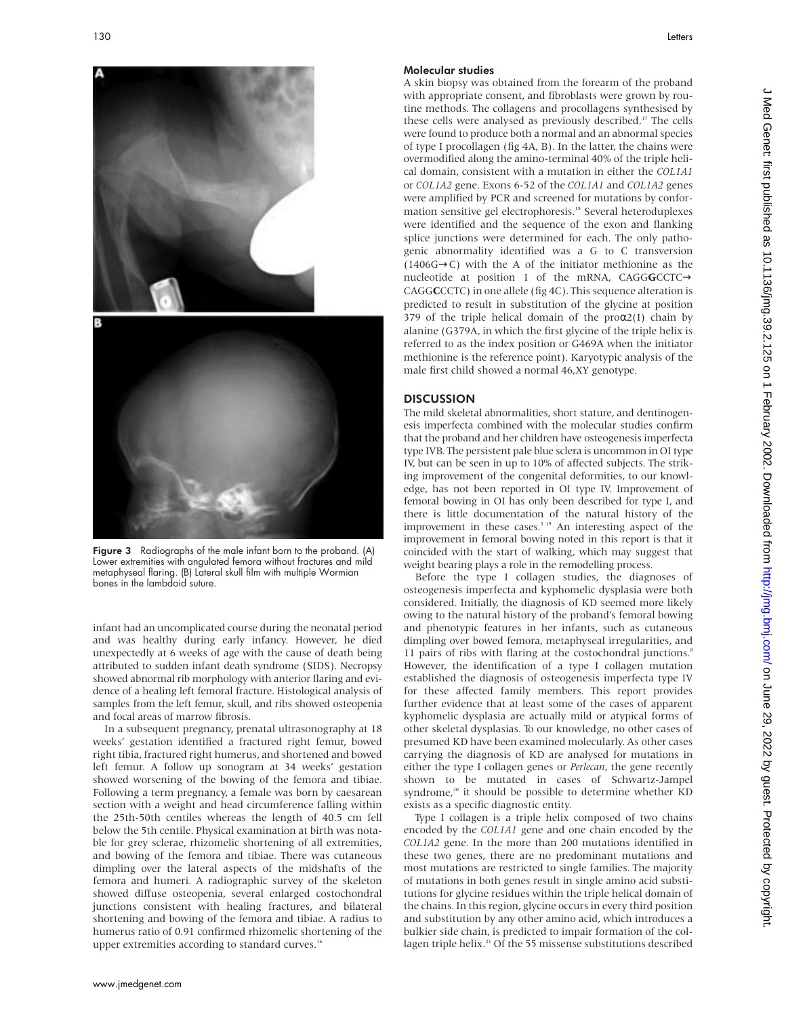

Figure 3 Radiographs of the male infant born to the proband. (A) Lower extremities with angulated femora without fractures and mild metaphyseal flaring. (B) Lateral skull film with multiple Wormian bones in the lambdoid suture.

infant had an uncomplicated course during the neonatal period and was healthy during early infancy. However, he died unexpectedly at 6 weeks of age with the cause of death being attributed to sudden infant death syndrome (SIDS). Necropsy showed abnormal rib morphology with anterior flaring and evidence of a healing left femoral fracture. Histological analysis of samples from the left femur, skull, and ribs showed osteopenia and focal areas of marrow fibrosis.

In a subsequent pregnancy, prenatal ultrasonography at 18 weeks' gestation identified a fractured right femur, bowed right tibia, fractured right humerus, and shortened and bowed left femur. A follow up sonogram at 34 weeks' gestation showed worsening of the bowing of the femora and tibiae. Following a term pregnancy, a female was born by caesarean section with a weight and head circumference falling within the 25th-50th centiles whereas the length of 40.5 cm fell below the 5th centile. Physical examination at birth was notable for grey sclerae, rhizomelic shortening of all extremities, and bowing of the femora and tibiae. There was cutaneous dimpling over the lateral aspects of the midshafts of the femora and humeri. A radiographic survey of the skeleton showed diffuse osteopenia, several enlarged costochondral junctions consistent with healing fractures, and bilateral shortening and bowing of the femora and tibiae. A radius to humerus ratio of 0.91 confirmed rhizomelic shortening of the upper extremities according to standard curves.<sup>16</sup>

#### Molecular studies

A skin biopsy was obtained from the forearm of the proband with appropriate consent, and fibroblasts were grown by routine methods. The collagens and procollagens synthesised by these cells were analysed as previously described.<sup>17</sup> The cells were found to produce both a normal and an abnormal species of type I procollagen (fig 4A, B). In the latter, the chains were overmodified along the amino-terminal 40% of the triple helical domain, consistent with a mutation in either the *COL1A1* or *COL1A2* gene. Exons 6-52 of the *COL1A1* and *COL1A2* genes were amplified by PCR and screened for mutations by conformation sensitive gel electrophoresis.<sup>18</sup> Several heteroduplexes were identified and the sequence of the exon and flanking splice junctions were determined for each. The only pathogenic abnormality identified was a G to C transversion  $(1406G \rightarrow C)$  with the A of the initiator methionine as the nucleotide at position 1 of the mRNA, CAGG**G**CCTC→ CAGG**C**CCTC) in one allele (fig 4C). This sequence alteration is predicted to result in substitution of the glycine at position 379 of the triple helical domain of the  $prox(1)$  chain by alanine (G379A, in which the first glycine of the triple helix is referred to as the index position or G469A when the initiator methionine is the reference point). Karyotypic analysis of the male first child showed a normal 46,XY genotype.

#### **DISCUSSION**

The mild skeletal abnormalities, short stature, and dentinogenesis imperfecta combined with the molecular studies confirm that the proband and her children have osteogenesis imperfecta type IVB. The persistent pale blue sclera is uncommon in OI type IV, but can be seen in up to 10% of affected subjects. The striking improvement of the congenital deformities, to our knowledge, has not been reported in OI type IV. Improvement of femoral bowing in OI has only been described for type I, and there is little documentation of the natural history of the improvement in these cases.<sup>3 19</sup> An interesting aspect of the improvement in femoral bowing noted in this report is that it coincided with the start of walking, which may suggest that weight bearing plays a role in the remodelling process.

Before the type I collagen studies, the diagnoses of osteogenesis imperfecta and kyphomelic dysplasia were both considered. Initially, the diagnosis of KD seemed more likely owing to the natural history of the proband's femoral bowing and phenotypic features in her infants, such as cutaneous dimpling over bowed femora, metaphyseal irregularities, and 11 pairs of ribs with flaring at the costochondral junctions.<sup>8</sup> However, the identification of a type I collagen mutation established the diagnosis of osteogenesis imperfecta type IV for these affected family members. This report provides further evidence that at least some of the cases of apparent kyphomelic dysplasia are actually mild or atypical forms of other skeletal dysplasias. To our knowledge, no other cases of presumed KD have been examined molecularly. As other cases carrying the diagnosis of KD are analysed for mutations in either the type I collagen genes or *Perlecan*, the gene recently shown to be mutated in cases of Schwartz-Jampel syndrome,<sup>20</sup> it should be possible to determine whether KD exists as a specific diagnostic entity.

Type I collagen is a triple helix composed of two chains encoded by the *COL1A1* gene and one chain encoded by the *COL1A2* gene. In the more than 200 mutations identified in these two genes, there are no predominant mutations and most mutations are restricted to single families. The majority of mutations in both genes result in single amino acid substitutions for glycine residues within the triple helical domain of the chains. In this region, glycine occurs in every third position and substitution by any other amino acid, which introduces a bulkier side chain, is predicted to impair formation of the collagen triple helix.<sup>21</sup> Of the 55 missense substitutions described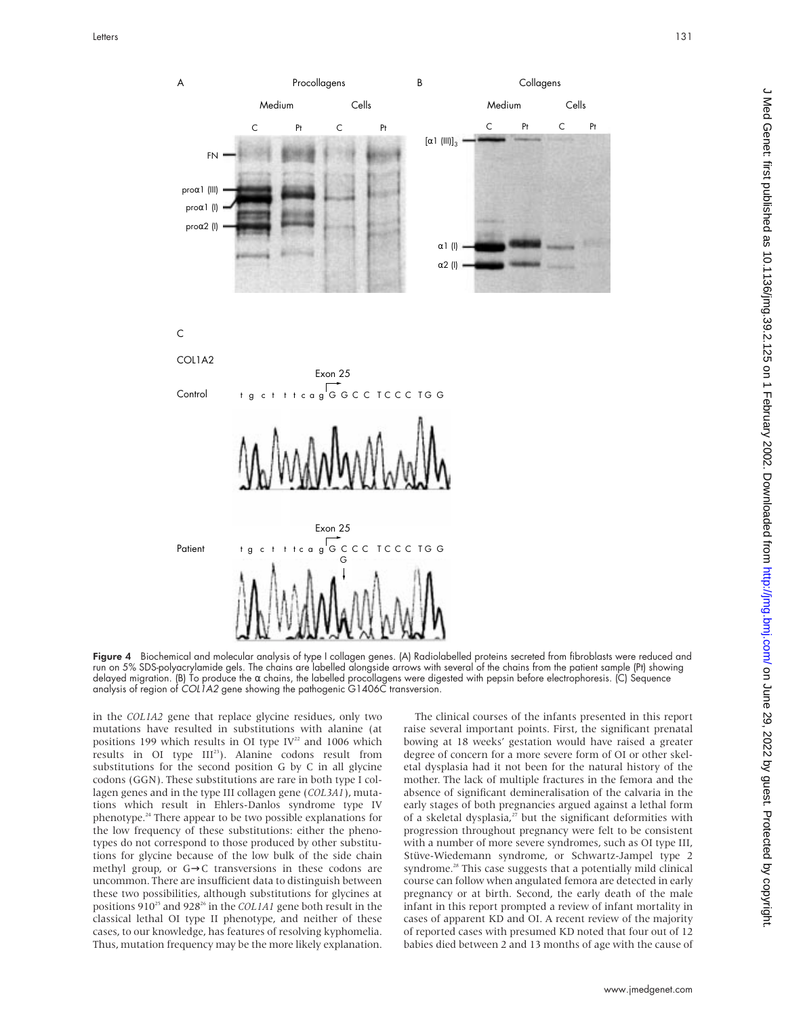

Figure 4 Biochemical and molecular analysis of type I collagen genes. (A) Radiolabelled proteins secreted from fibroblasts were reduced and run on 5% SDS-polyacrylamide gels. The chains are labelled alongside arrows with several of the chains from the patient sample (Pt) showing delayed migration. (B) To produce the α chains, the labelled procollagens were digested with pepsin before electrophoresis. (C) Sequence analysis of region of COL1A2 gene showing the pathogenic G1406C transversion.

in the *COL1A2* gene that replace glycine residues, only two mutations have resulted in substitutions with alanine (at positions 199 which results in OI type  $IV<sup>22</sup>$  and 1006 which results in OI type III<sup>23</sup>). Alanine codons result from substitutions for the second position G by C in all glycine codons (GGN). These substitutions are rare in both type I collagen genes and in the type III collagen gene (*COL3A1*), mutations which result in Ehlers-Danlos syndrome type IV phenotype.24 There appear to be two possible explanations for the low frequency of these substitutions: either the phenotypes do not correspond to those produced by other substitutions for glycine because of the low bulk of the side chain methyl group, or G→C transversions in these codons are uncommon. There are insufficient data to distinguish between these two possibilities, although substitutions for glycines at positions 910<sup>25</sup> and 928<sup>26</sup> in the *COL1A1* gene both result in the classical lethal OI type II phenotype, and neither of these cases, to our knowledge, has features of resolving kyphomelia. Thus, mutation frequency may be the more likely explanation.

The clinical courses of the infants presented in this report raise several important points. First, the significant prenatal bowing at 18 weeks' gestation would have raised a greater degree of concern for a more severe form of OI or other skeletal dysplasia had it not been for the natural history of the mother. The lack of multiple fractures in the femora and the absence of significant demineralisation of the calvaria in the early stages of both pregnancies argued against a lethal form of a skeletal dysplasia, $27$  but the significant deformities with progression throughout pregnancy were felt to be consistent with a number of more severe syndromes, such as OI type III, Stüve-Wiedemann syndrome, or Schwartz-Jampel type 2 syndrome.<sup>28</sup> This case suggests that a potentially mild clinical course can follow when angulated femora are detected in early pregnancy or at birth. Second, the early death of the male infant in this report prompted a review of infant mortality in cases of apparent KD and OI. A recent review of the majority of reported cases with presumed KD noted that four out of 12 babies died between 2 and 13 months of age with the cause of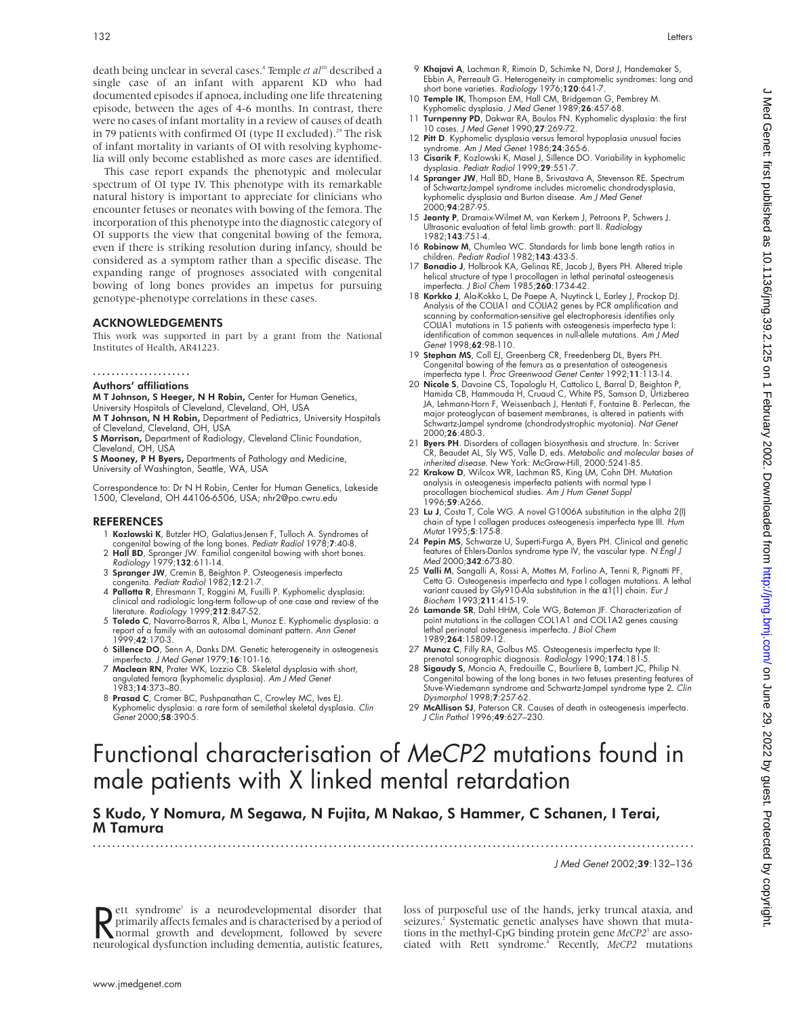death being unclear in several cases.<sup>4</sup> Temple et al<sup>10</sup> described a single case of an infant with apparent KD who had documented episodes if apnoea, including one life threatening episode, between the ages of 4-6 months. In contrast, there were no cases of infant mortality in a review of causes of death in 79 patients with confirmed OI (type II excluded).<sup>29</sup> The risk of infant mortality in variants of OI with resolving kyphomelia will only become established as more cases are identified.

This case report expands the phenotypic and molecular spectrum of OI type IV. This phenotype with its remarkable natural history is important to appreciate for clinicians who encounter fetuses or neonates with bowing of the femora. The incorporation of this phenotype into the diagnostic category of OI supports the view that congenital bowing of the femora, even if there is striking resolution during infancy, should be considered as a symptom rather than a specific disease. The expanding range of prognoses associated with congenital bowing of long bones provides an impetus for pursuing genotype-phenotype correlations in these cases.

#### ACKNOWLEDGEMENTS

This work was supported in part by a grant from the National Institutes of Health, AR41223.

#### .....................

#### Authors' affiliations

M T Johnson, S Heeger, N H Robin, Center for Human Genetics, University Hospitals of Cleveland, Cleveland, OH, USA

- M T Johnson, N H Robin, Department of Pediatrics, University Hospitals of Cleveland, Cleveland, OH, USA
- **S Morrison,** Department of Radiology, Cleveland Clinic Foundation,<br>Cleveland, OH, USA

S Mooney, P H Byers, Departments of Pathology and Medicine, University of Washington, Seattle, WA, USA

Correspondence to: Dr N H Robin, Center for Human Genetics, Lakeside 1500, Cleveland, OH 44106-6506, USA; nhr2@po.cwru.edu

#### **REFERENCES**

- 1 **Kozlowski K**, Butzler HO, Galatius-Jensen F, Tulloch A. Syndromes of<br>congenital bowing of the long bones. *Pediatr Radiol* 1978;**7**:40-8.<br>2 **Hall BD**, Spranger JW. Familial congenital bowing with short bones.
- Radiology 1979;132:611-14.
- 3 Spranger JW, Cremin B, Beighton P. Osteogenesis imperfecta congenita. Pediatr Radiol 1982;12:21-7.
- 4 Pallotta R, Ehresmann T, Roggini M, Fusilli P. Kyphomelic dysplasia: clinical and radiologic long-term follow-up of one case and review of the<br>literature. *Radiology* 1999;**212**:847-52.<br>5 **Toledo C**, Navarro-Barros R, Alba L, Munoz E. Kyphomelic dysplasia: a
- report of a family with an autosomal dominant pattern. Ann Genet 1999;42:170-3.
- 6 Sillence DO, Senn A, Danks DM. Genetic heterogeneity in osteogenesis imperfecta. *J Med Genet* 1979;**16**:101-16.<br>7 **Maclean RN**, Prater WK, Lozzio CB. Skeletal dysplasia with short,
- angulated femora (kyphomelic dysplasia). Am J Med Genet 1983;14:373–80.
- 8 Prasad C, Cramer BC, Pushpanathan C, Crowley MC, Ives EJ. Kyphomelic dysplasia: a rare form of semilethal skeletal dysplasia. Clin Genet 2000;58:390-5.
- 9 Khajavi A, Lachman R, Rimoin D, Schimke N, Dorst J, Handemaker S. Ebbin A, Perreault G. Heterogeneity in camptomelic syndromes: long and
- short bone varieties. *Radiology* 1976;**120**:641-7.<br>10 **Temple IK**, Thompson EM, Hall CM, Bridgeman G, Pembrey M. Kyphomelic dysplasia. J Med Genet 1989;26:457-68.
- 11 Turnpenny PD, Dakwar RA, Boulos FN. Kyphomelic dysplasia: the first 10 cases. J Med Genet 1990;27:269-72.
- 12 Pitt D. Kyphomelic dysplasia versus femoral hypoplasia unusual facies syndrome. A*m J Med Genet* 1986;**24**:365-6.
- 13 Cisarik F, Kozlowski K, Masel J, Sillence DO. Variability in kyphomelic dysplasia. Pediatr Radiol 1999;29:551-7.
- 14 Spranger JW, Hall BD, Hane B, Srivastava A, Stevenson RE. Spectrum of Schwartz-Jampel syndrome includes micromelic chondrodysplasia, kyphomelic dysplasia and Burton disease. Am J Med Genet 2000;94:287-95.
- 15 Jeanty P, Dramaix-Wilmet M, van Kerkem J, Petroons P, Schwers J. Ultrasonic evaluation of fetal limb growth: part II. Radiology 1982;143:751-4.
- 16 Robinow M, Chumlea WC. Standards for limb bone length ratios in children. Pediatr Radiol 1982;143:433-5.
- 17 Bonadio J, Holbrook KA, Gelinas RE, Jacob J, Byers PH. Altered triple helical structure of type I procollagen in lethal perinatal osteogenesis imperfecta. J Biol Chem 1985;260:1734-42.
- 18 Korkko J, Ala-Kokko L, De Paepe A, Nuytinck L, Earley J, Prockop DJ. Analysis of the COLIA1 and COLIA2 genes by PCR amplification and scanning by conformation-sensitive gel electrophoresis identifies only COLIA1 mutations in 15 patients with osteogenesis imperfecta type 1: identification of common sequences in null-allele mutations. Am J Med Genet 1998;62:98-110.
- 19 Stephan MS, Coll EJ, Greenberg CR, Freedenberg DL, Byers PH. Congenital bowing of the femurs as a presentation of osteogenesis<br>imperfecta type I. *Proc Greenwood Genet Center* 1992;**11**:113-14.<br>20 **Nicole S**, Davoine CS, Topaloglu H, Cattolico L, Barral D, Beighton P,
- Hamida CB, Hammouda H, Cruaud C, White PS, Samson D, Urtizberea JA, Lehmann-Horn F, Weissenbach J, Hentati F, Fontaine B. Perlecan, the major proteoglycan of basement membranes, is altered in patients with Schwartz-Jampel syndrome (chondrodystrophic myotonia). Nat Genet 2000;26:480-3.
- 21 Byers PH. Disorders of collagen biosynthesis and structure. In: Scriver CR, Beaudet AL, Sly WS, Valle D, eds. Metabolic and molecular bases of inherited disease. New York: McGraw-Hill, 2000:5241-85.
- 22 Krakow D, Wilcox WR, Lachman RS, King LM, Cohn DH. Mutation analysis in osteogenesis imperfecta patients with normal type I procollagen biochemical studies. Am J Hum Genet Suppl 1996;59:A266.
- 23 Lu J, Costa T, Cole WG. A novel G1006A substitution in the alpha 2(I) chain of type I collagen produces osteogenesis imperfecta type III. Hum Mutat 1995;5:175-8.
- 24 Pepin MS, Schwarze U, Superti-Furga A, Byers PH. Clinical and genetic features of Ehlers-Danlos syndrome type IV, the vascular type. N Engl J Med 2000;342:673-80.
- 25 Valli M, Sangalli A, Rossi A, Mottes M, Forlino A, Tenni R, Pignatti PF Cetta G. Osteogenesis imperfecta and type I collagen mutations. A lethal variant caused by Gly910-Ala substitution in the α1(1) chain. Eur J Biochem 1993;211:415-19.
- 26 Lamande SR, Dahl HHM, Cole WG, Bateman JF. Characterization of point mutations in the collagen COL1A1 and COL1A2 genes causing lethal perinatal osteogenesis imperfecta. J Biol Chem 1989;264:15809-12.
- 27 Munoz C, Filly RA, Golbus MS. Osteogenesis imperfecta type II: prenatal sonographic diagnosis. Radiology 1990;174:181-5.
- 28 Sigaudy S, Moncia A, Fredouille C, Bourliere B, Lambert JC, Philip N. Congenital bowing of the long bones in two fetuses presenting features of Stuve-Wiedemann syndrome and Schwartz-Jampel syndrome type 2. Clin Dysmorphol 1998;7:257-62.
- 29 McAllison SJ, Paterson CR. Causes of death in osteogenesis imperfecta. J Clin Pathol 1996;49:627–230.

# Functional characterisation of MeCP2 mutations found in male patients with X linked mental retardation

.............................................................................................................................

## S Kudo, Y Nomura, M Segawa, N Fujita, M Nakao, S Hammer, C Schanen, I Terai, M Tamura

J Med Genet 2002;39:132–136

**Example 18 Syndrome'** is a neurodevelopmental disorder that primarily affects females and is characterised by a period of normal growth and development, followed by severe neurological dysfunction including dementia, auti ett syndrome<sup>1</sup> is a neurodevelopmental disorder that  $\sum_{n=1}^{\infty}$ primarily affects females and is characterised by a period of neurological dysfunction including dementia, autistic features,

loss of purposeful use of the hands, jerky truncal ataxia, and seizures.<sup>2</sup> Systematic genetic analyses have shown that mutations in the methyl-CpG binding protein gene *MeCP2*<sup>3</sup> are associated with Rett syndrome.<sup>4</sup> Recently, MeCP2 mutations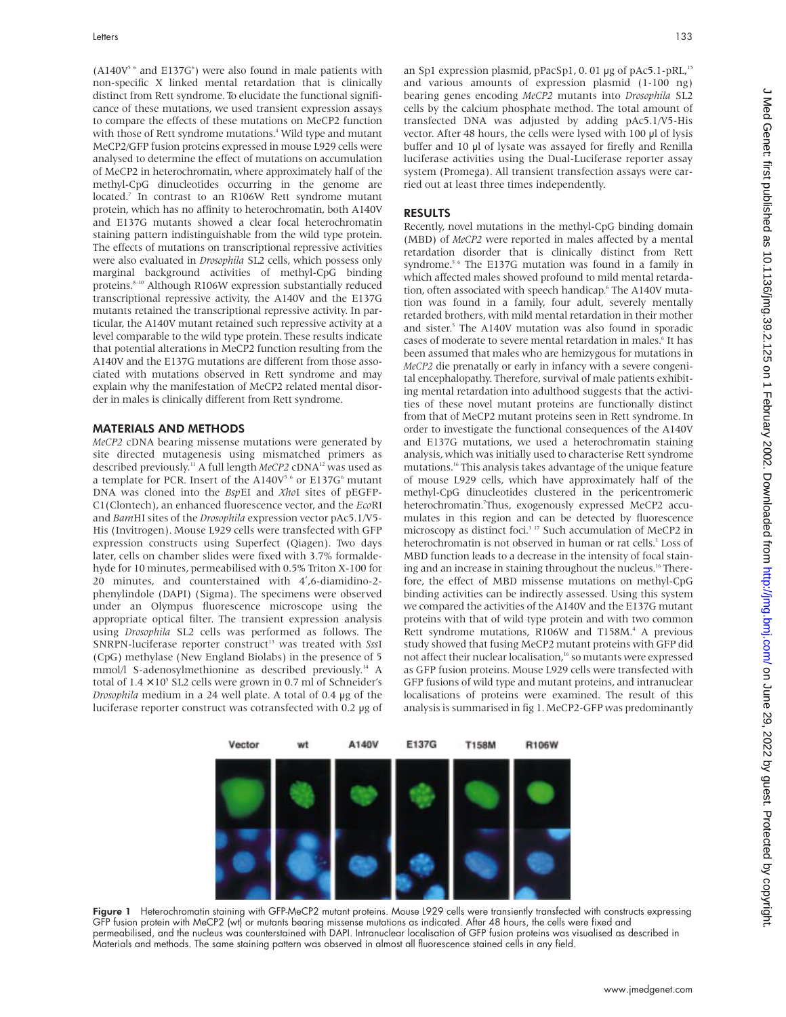$(A140V<sup>56</sup>)$  and E137G<sup>6</sup>) were also found in male patients with non-specific X linked mental retardation that is clinically distinct from Rett syndrome. To elucidate the functional significance of these mutations, we used transient expression assays to compare the effects of these mutations on MeCP2 function with those of Rett syndrome mutations.<sup>4</sup> Wild type and mutant MeCP2/GFP fusion proteins expressed in mouse L929 cells were analysed to determine the effect of mutations on accumulation of MeCP2 in heterochromatin, where approximately half of the methyl-CpG dinucleotides occurring in the genome are located.7 In contrast to an R106W Rett syndrome mutant protein, which has no affinity to heterochromatin, both A140V and E137G mutants showed a clear focal heterochromatin staining pattern indistinguishable from the wild type protein. The effects of mutations on transcriptional repressive activities were also evaluated in *Drosophila* SL2 cells, which possess only marginal background activities of methyl-CpG binding proteins.<sup>8–10</sup> Although R106W expression substantially reduced transcriptional repressive activity, the A140V and the E137G mutants retained the transcriptional repressive activity. In particular, the A140V mutant retained such repressive activity at a level comparable to the wild type protein. These results indicate that potential alterations in MeCP2 function resulting from the A140V and the E137G mutations are different from those associated with mutations observed in Rett syndrome and may explain why the manifestation of MeCP2 related mental disorder in males is clinically different from Rett syndrome.

#### MATERIALS AND METHODS

*MeCP2* cDNA bearing missense mutations were generated by site directed mutagenesis using mismatched primers as described previously.11 A full length *MeCP2* cDNA12 was used as a template for PCR. Insert of the A140V<sup>56</sup> or E137G<sup>6</sup> mutant DNA was cloned into the *Bsp*EI and *Xho*I sites of pEGFP-C1(Clontech), an enhanced fluorescence vector, and the *Eco*RI and *Bam*HI sites of the *Drosophila* expression vector pAc5.1/V5- His (Invitrogen). Mouse L929 cells were transfected with GFP expression constructs using Superfect (Qiagen). Two days later, cells on chamber slides were fixed with 3.7% formaldehyde for 10 minutes, permeabilised with 0.5% Triton X-100 for 20 minutes, and counterstained with 4′,6-diamidino-2 phenylindole (DAPI) (Sigma). The specimens were observed under an Olympus fluorescence microscope using the appropriate optical filter. The transient expression analysis using *Drosophila* SL2 cells was performed as follows. The SNRPN-luciferase reporter construct<sup>13</sup> was treated with *SssI* (CpG) methylase (New England Biolabs) in the presence of 5 mmol/l S-adenosylmethionine as described previously.14 A total of  $1.4 \times 10^5$  SL2 cells were grown in 0.7 ml of Schneider's *Drosophila* medium in a 24 well plate. A total of 0.4 µg of the luciferase reporter construct was cotransfected with 0.2 µg of

an Sp1 expression plasmid, pPacSp1, 0.01 µg of pAc5.1-pRL,<sup>15</sup> and various amounts of expression plasmid (1-100 ng) bearing genes encoding *MeCP2* mutants into *Drosophila* SL2 cells by the calcium phosphate method. The total amount of transfected DNA was adjusted by adding pAc5.1/V5-His vector. After 48 hours, the cells were lysed with 100 µl of lysis buffer and 10 µl of lysate was assayed for firefly and Renilla luciferase activities using the Dual-Luciferase reporter assay system (Promega). All transient transfection assays were carried out at least three times independently.

#### RESULTS

Recently, novel mutations in the methyl-CpG binding domain (MBD) of *MeCP2* were reported in males affected by a mental retardation disorder that is clinically distinct from Rett syndrome.5 6 The E137G mutation was found in a family in which affected males showed profound to mild mental retardation, often associated with speech handicap.<sup>6</sup> The A140V mutation was found in a family, four adult, severely mentally retarded brothers, with mild mental retardation in their mother and sister.5 The A140V mutation was also found in sporadic cases of moderate to severe mental retardation in males.<sup>6</sup> It has been assumed that males who are hemizygous for mutations in *MeCP2* die prenatally or early in infancy with a severe congenital encephalopathy. Therefore, survival of male patients exhibiting mental retardation into adulthood suggests that the activities of these novel mutant proteins are functionally distinct from that of MeCP2 mutant proteins seen in Rett syndrome. In order to investigate the functional consequences of the A140V and E137G mutations, we used a heterochromatin staining analysis, which was initially used to characterise Rett syndrome mutations.16 This analysis takes advantage of the unique feature of mouse L929 cells, which have approximately half of the methyl-CpG dinucleotides clustered in the pericentromeric heterochromatin.<sup>7</sup>Thus, exogenously expressed MeCP2 accumulates in this region and can be detected by fluorescence microscopy as distinct foci.<sup>3 17</sup> Such accumulation of MeCP2 in heterochromatin is not observed in human or rat cells.<sup>3</sup> Loss of MBD function leads to a decrease in the intensity of focal staining and an increase in staining throughout the nucleus.<sup>16</sup> Therefore, the effect of MBD missense mutations on methyl-CpG binding activities can be indirectly assessed. Using this system we compared the activities of the A140V and the E137G mutant proteins with that of wild type protein and with two common Rett syndrome mutations, R106W and T158M.<sup>4</sup> A previous study showed that fusing MeCP2 mutant proteins with GFP did not affect their nuclear localisation,<sup>16</sup> so mutants were expressed as GFP fusion proteins. Mouse L929 cells were transfected with GFP fusions of wild type and mutant proteins, and intranuclear localisations of proteins were examined. The result of this analysis is summarised in fig 1. MeCP2-GFP was predominantly



Figure 1 Heterochromatin staining with GFP-MeCP2 mutant proteins. Mouse L929 cells were transiently transfected with constructs expressing GFP fusion protein with MeCP2 (wt) or mutants bearing missense mutations as indicated. After 48 hours, the cells were fixed and permeabilised, and the nucleus was counterstained with DAPI. Intranuclear localisation of GFP fusion proteins was visualised as described in Materials and methods. The same staining pattern was observed in almost all fluorescence stained cells in any field.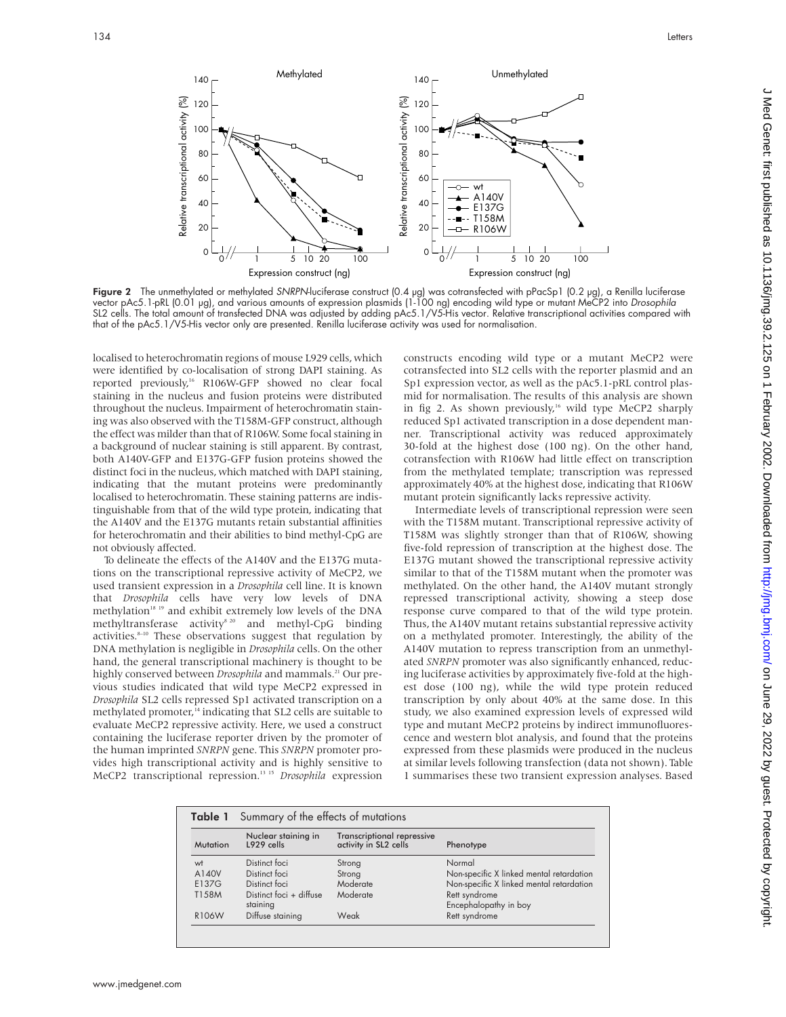

Figure 2 The unmethylated or methylated SNRPN-luciferase construct (0.4 µg) was cotransfected with pPacSp1 (0.2 µg), a Renilla luciferase vector pAc5.1-pRL (0.01 µg), and various amounts of expression plasmids (1-100 ng) encoding wild type or mutant MeCP2 into Drosophila SL2 cells. The total amount of transfected DNA was adjusted by adding pAc5.1/V5-His vector. Relative transcriptional activities compared with that of the pAc5.1/V5-His vector only are presented. Renilla luciferase activity was used for normalisation.

localised to heterochromatin regions of mouse L929 cells, which were identified by co-localisation of strong DAPI staining. As reported previously,<sup>16</sup> R106W-GFP showed no clear focal staining in the nucleus and fusion proteins were distributed throughout the nucleus. Impairment of heterochromatin staining was also observed with the T158M-GFP construct, although the effect was milder than that of R106W. Some focal staining in a background of nuclear staining is still apparent. By contrast, both A140V-GFP and E137G-GFP fusion proteins showed the distinct foci in the nucleus, which matched with DAPI staining, indicating that the mutant proteins were predominantly localised to heterochromatin. These staining patterns are indistinguishable from that of the wild type protein, indicating that the A140V and the E137G mutants retain substantial affinities for heterochromatin and their abilities to bind methyl-CpG are not obviously affected.

To delineate the effects of the A140V and the E137G mutations on the transcriptional repressive activity of MeCP2, we used transient expression in a *Drosophila* cell line. It is known that *Drosophila* cells have very low levels of DNA methylation<sup>18</sup> <sup>19</sup> and exhibit extremely low levels of the DNA methyltransferase activity<sup>8 20</sup> and methyl-CpG binding activities. $8-10$  These observations suggest that regulation by DNA methylation is negligible in *Drosophila* cells. On the other hand, the general transcriptional machinery is thought to be highly conserved between *Drosophila* and mammals.<sup>21</sup> Our previous studies indicated that wild type MeCP2 expressed in *Drosophila* SL2 cells repressed Sp1 activated transcription on a methylated promoter,<sup>14</sup> indicating that SL2 cells are suitable to evaluate MeCP2 repressive activity. Here, we used a construct containing the luciferase reporter driven by the promoter of the human imprinted *SNRPN* gene. This *SNRPN* promoter provides high transcriptional activity and is highly sensitive to MeCP2 transcriptional repression.<sup>13 15</sup> *Drosophila* expression

constructs encoding wild type or a mutant MeCP2 were cotransfected into SL2 cells with the reporter plasmid and an Sp1 expression vector, as well as the pAc5.1-pRL control plasmid for normalisation. The results of this analysis are shown in fig 2. As shown previously,<sup>16</sup> wild type MeCP2 sharply reduced Sp1 activated transcription in a dose dependent manner. Transcriptional activity was reduced approximately 30-fold at the highest dose (100 ng). On the other hand, cotransfection with R106W had little effect on transcription from the methylated template; transcription was repressed approximately 40% at the highest dose, indicating that R106W mutant protein significantly lacks repressive activity.

Intermediate levels of transcriptional repression were seen with the T158M mutant. Transcriptional repressive activity of T158M was slightly stronger than that of R106W, showing five-fold repression of transcription at the highest dose. The E137G mutant showed the transcriptional repressive activity similar to that of the T158M mutant when the promoter was methylated. On the other hand, the A140V mutant strongly repressed transcriptional activity, showing a steep dose response curve compared to that of the wild type protein. Thus, the A140V mutant retains substantial repressive activity on a methylated promoter. Interestingly, the ability of the A140V mutation to repress transcription from an unmethylated *SNRPN* promoter was also significantly enhanced, reducing luciferase activities by approximately five-fold at the highest dose (100 ng), while the wild type protein reduced transcription by only about 40% at the same dose. In this study, we also examined expression levels of expressed wild type and mutant MeCP2 proteins by indirect immunofluorescence and western blot analysis, and found that the proteins expressed from these plasmids were produced in the nucleus at similar levels following transfection (data not shown). Table 1 summarises these two transient expression analyses. Based

|          | <b>Table 1</b> Summary of the effects of mutations |                                                     |                                          |
|----------|----------------------------------------------------|-----------------------------------------------------|------------------------------------------|
| Mutation | Nuclear staining in<br>L929 cells                  | Transcriptional repressive<br>activity in SL2 cells | Phenotype                                |
| wt       | Distinct foci                                      | Strong                                              | Normal                                   |
| A140V    | Distinct foci                                      | Strong                                              | Non-specific X linked mental retardation |
| E137G    | Distinct foci                                      | Moderate                                            | Non-specific X linked mental retardation |
| T158M    | Distinct foci + diffuse                            | Moderate                                            | Rett syndrome                            |
|          | staining                                           |                                                     | Encephalopathy in boy                    |
| R106W    | Diffuse staining                                   | Weak                                                | Rett syndrome                            |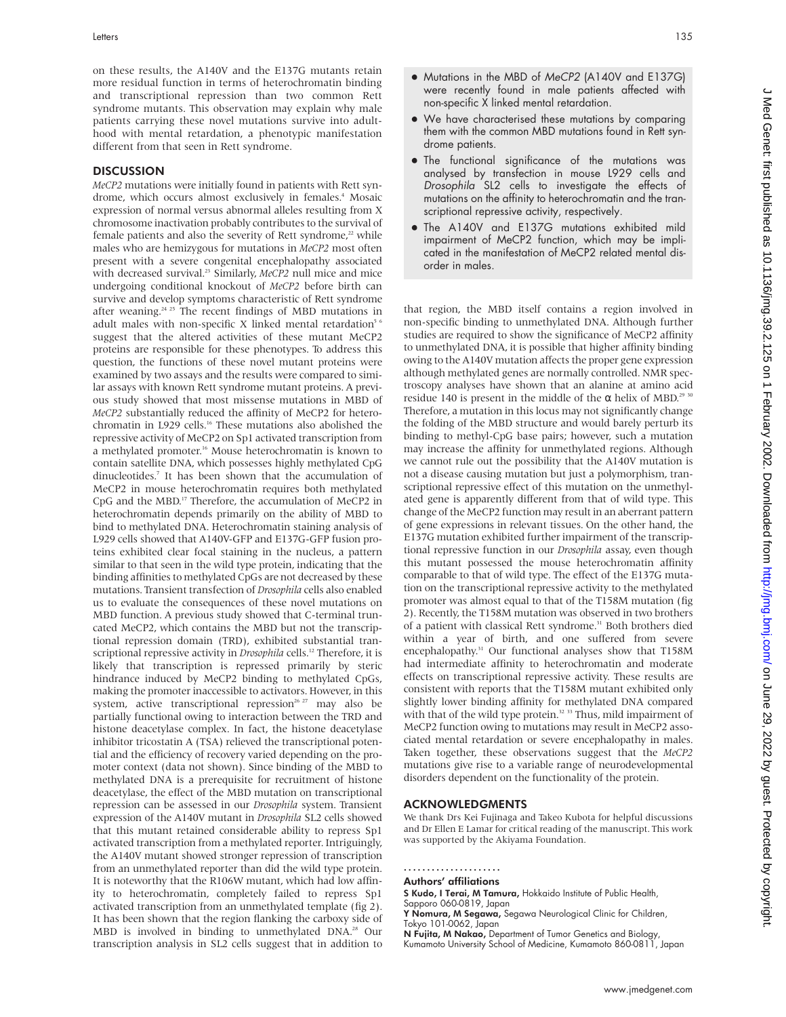on these results, the A140V and the E137G mutants retain more residual function in terms of heterochromatin binding and transcriptional repression than two common Rett syndrome mutants. This observation may explain why male patients carrying these novel mutations survive into adulthood with mental retardation, a phenotypic manifestation different from that seen in Rett syndrome.

#### **DISCUSSION**

*MeCP2* mutations were initially found in patients with Rett syndrome, which occurs almost exclusively in females.<sup>4</sup> Mosaic expression of normal versus abnormal alleles resulting from X chromosome inactivation probably contributes to the survival of female patients and also the severity of Rett syndrome, $22$  while males who are hemizygous for mutations in *MeCP2* most often present with a severe congenital encephalopathy associated with decreased survival.<sup>23</sup> Similarly, *MeCP2* null mice and mice undergoing conditional knockout of *MeCP2* before birth can survive and develop symptoms characteristic of Rett syndrome after weaning.<sup>24-25</sup> The recent findings of MBD mutations in adult males with non-specific X linked mental retardation<sup>56</sup> suggest that the altered activities of these mutant MeCP2 proteins are responsible for these phenotypes. To address this question, the functions of these novel mutant proteins were examined by two assays and the results were compared to similar assays with known Rett syndrome mutant proteins. A previous study showed that most missense mutations in MBD of *MeCP2* substantially reduced the affinity of MeCP2 for heterochromatin in L929 cells.<sup>16</sup> These mutations also abolished the repressive activity of MeCP2 on Sp1 activated transcription from a methylated promoter.<sup>16</sup> Mouse heterochromatin is known to contain satellite DNA, which possesses highly methylated CpG dinucleotides.7 It has been shown that the accumulation of MeCP2 in mouse heterochromatin requires both methylated CpG and the MBD.17 Therefore, the accumulation of MeCP2 in heterochromatin depends primarily on the ability of MBD to bind to methylated DNA. Heterochromatin staining analysis of L929 cells showed that A140V-GFP and E137G-GFP fusion proteins exhibited clear focal staining in the nucleus, a pattern similar to that seen in the wild type protein, indicating that the binding affinities to methylated CpGs are not decreased by these mutations. Transient transfection of *Drosophila* cells also enabled us to evaluate the consequences of these novel mutations on MBD function. A previous study showed that C-terminal truncated MeCP2, which contains the MBD but not the transcriptional repression domain (TRD), exhibited substantial transcriptional repressive activity in *Drosophila* cells.<sup>12</sup> Therefore, it is likely that transcription is repressed primarily by steric hindrance induced by MeCP2 binding to methylated CpGs, making the promoter inaccessible to activators. However, in this system, active transcriptional repression<sup>26 27</sup> may also be partially functional owing to interaction between the TRD and histone deacetylase complex. In fact, the histone deacetylase inhibitor tricostatin A (TSA) relieved the transcriptional potential and the efficiency of recovery varied depending on the promoter context (data not shown). Since binding of the MBD to methylated DNA is a prerequisite for recruitment of histone deacetylase, the effect of the MBD mutation on transcriptional repression can be assessed in our *Drosophila* system. Transient expression of the A140V mutant in *Drosophila* SL2 cells showed that this mutant retained considerable ability to repress Sp1 activated transcription from a methylated reporter. Intriguingly, the A140V mutant showed stronger repression of transcription from an unmethylated reporter than did the wild type protein. It is noteworthy that the R106W mutant, which had low affinity to heterochromatin, completely failed to repress Sp1 activated transcription from an unmethylated template (fig 2). It has been shown that the region flanking the carboxy side of MBD is involved in binding to unmethylated DNA.<sup>28</sup> Our transcription analysis in SL2 cells suggest that in addition to

- Mutations in the MBD of MeCP2 (A140V and E137G) were recently found in male patients affected with non-specific X linked mental retardation.
- We have characterised these mutations by comparing them with the common MBD mutations found in Rett syndrome patients.
- $\bullet$  The functional significance of the mutations was analysed by transfection in mouse L929 cells and Drosophila SL2 cells to investigate the effects of mutations on the affinity to heterochromatin and the transcriptional repressive activity, respectively.
- The A140V and E137G mutations exhibited mild impairment of MeCP2 function, which may be implicated in the manifestation of MeCP2 related mental disorder in males.

that region, the MBD itself contains a region involved in non-specific binding to unmethylated DNA. Although further studies are required to show the significance of MeCP2 affinity to unmethylated DNA, it is possible that higher affinity binding owing to the A140V mutation affects the proper gene expression although methylated genes are normally controlled. NMR spectroscopy analyses have shown that an alanine at amino acid residue 140 is present in the middle of the α helix of MBD.<sup>29 30</sup> Therefore, a mutation in this locus may not significantly change the folding of the MBD structure and would barely perturb its binding to methyl-CpG base pairs; however, such a mutation may increase the affinity for unmethylated regions. Although we cannot rule out the possibility that the A140V mutation is not a disease causing mutation but just a polymorphism, transcriptional repressive effect of this mutation on the unmethylated gene is apparently different from that of wild type. This change of the MeCP2 function may result in an aberrant pattern of gene expressions in relevant tissues. On the other hand, the E137G mutation exhibited further impairment of the transcriptional repressive function in our *Drosophila* assay, even though this mutant possessed the mouse heterochromatin affinity comparable to that of wild type. The effect of the E137G mutation on the transcriptional repressive activity to the methylated promoter was almost equal to that of the T158M mutation (fig 2). Recently, the T158M mutation was observed in two brothers of a patient with classical Rett syndrome.<sup>31</sup> Both brothers died within a year of birth, and one suffered from severe encephalopathy.<sup>31</sup> Our functional analyses show that T158M had intermediate affinity to heterochromatin and moderate effects on transcriptional repressive activity. These results are consistent with reports that the T158M mutant exhibited only slightly lower binding affinity for methylated DNA compared with that of the wild type protein.<sup>32</sup> <sup>33</sup> Thus, mild impairment of MeCP2 function owing to mutations may result in MeCP2 associated mental retardation or severe encephalopathy in males. Taken together, these observations suggest that the *MeCP2* mutations give rise to a variable range of neurodevelopmental disorders dependent on the functionality of the protein.

#### ACKNOWLEDGMENTS

We thank Drs Kei Fujinaga and Takeo Kubota for helpful discussions and Dr Ellen E Lamar for critical reading of the manuscript. This work was supported by the Akiyama Foundation.

..................... Authors' affiliations

Y Nomura, M Segawa, Segawa Neurological Clinic for Children, Tokyo 101-0062, Japan

N Fujita, M Nakao, Department of Tumor Genetics and Biology, Kumamoto University School of Medicine, Kumamoto 860-0811, Japan

S Kudo, I Terai, M Tamura, Hokkaido Institute of Public Health, Sapporo 060-0819, Japan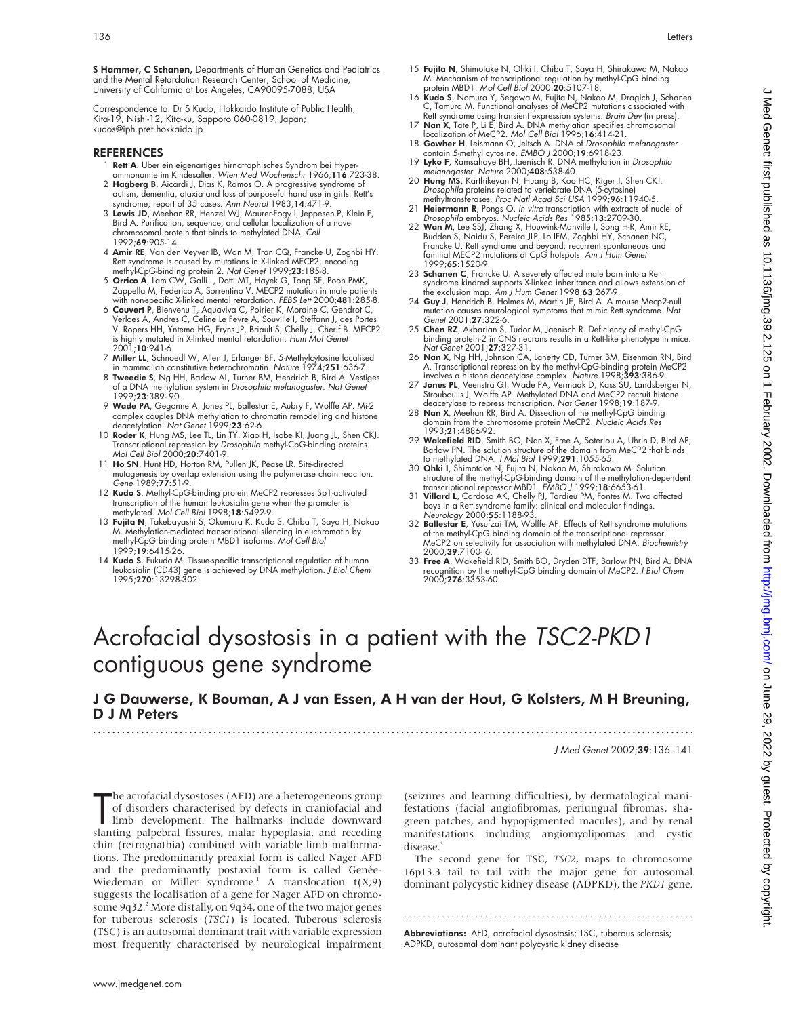S Hammer, C Schanen, Departments of Human Genetics and Pediatrics and the Mental Retardation Research Center, School of Medicine, University of California at Los Angeles, CA90095-7088, USA

Correspondence to: Dr S Kudo, Hokkaido Institute of Public Health, Kita-19, Nishi-12, Kita-ku, Sapporo 060-0819, Japan; kudos@iph.pref.hokkaido.jp

#### REFERENCES

- 1 Rett A. Uber ein eigenartiges hirnatrophisches Syndrom bei Hyper ammonamie im Kindesalter. Wien Med Wochenschr 1966;116:723-38.
- 2 Hagberg B, Aicardi J, Dias K, Ramos O. A progressive syndrome of autism, dementia, ataxia and loss of purposeful hand use in girls: Rett's syndrome; report of 35 cases. Ann Neurol 1983;14:471-9.
- 3 Lewis JD, Meehan RR, Henzel WJ, Maurer-Fogy I, Jeppesen P, Klein F, Bird A. Purification, sequence, and cellular localization of a novel chromosomal protein that binds to methylated DNA. Cell 1992;69:905-14.
- 4 Amir RE, Van den Veyver IB, Wan M, Tran CQ, Francke U, Zoghbi HY. Rett syndrome is caused by mutations in X-linked MECP2, encoding methyl-CpG-binding protein 2. Nat Genet 1999;23:185-8.
- 5 Orrico A, Lam CW, Galli L, Dotti MT, Hayek G, Tong SF, Poon PMK, Zappella M, Federico A, Sorrentino V. MECP2 mutation in male patients with non-specific X-linked mental retardation. FEBS Lett 2000;4**81**:285-8.
- 6 Couvert P, Bienvenu T, Aquaviva C, Poirier K, Moraine C, Gendrot C, Verloes A, Andres C, Celine Le Fevre A, Souville I, Steffann J, des Portes V, Ropers HH, Yntema HG, Fryns JP, Briault S, Chelly J, Cherif B. MECP2 is highly mutated in X-linked mental retardation. Hum Mol Genet 2001;10:941-6.
- 7 Miller LL, Schnoedl W, Allen J, Erlanger BF. 5-Methylcytosine localised in mammalian constitutive heterochromatin. Nature 1974;251:636-7. 8 Tweedie S, Ng HH, Barlow AL, Turner BM, Hendrich B, Bird A. Vestiges
- of a DNA methylation system in Drosophila melanogaster. Nat Genet 1999;23:389- 90.
- 9 Wade PA, Gegonne A, Jones PL, Ballestar E, Aubry F, Wolffe AP. Mi-2 complex couples DNA methylation to chromatin remodelling and histone deacetylation. Nat Genet 1999;23:62-6.
- 10 Roder K, Hung MS, Lee TL, Lin TY, Xiao H, Isobe KI, Juang JL, Shen CKJ. Transcriptional repression by Drosophila methyl-CpG-binding proteins. Mol Cell Biol 2000;20:7401-9.
- 11 Ho SN, Hunt HD, Horton RM, Pullen JK, Pease LR. Site-directed mutagenesis by overlap extension using the polymerase chain reaction. Gene 1989;77:51-9.
- 12 Kudo S. Methyl-CpG-binding protein MeCP2 represses Sp1-activated transcription ot the human leukosialin gene when the promoter is<br>methylated. *Mol Cell Biol* 1998;**18**:5492-9.
- 13 Fujita N, Takebayashi S, Okumura K, Kudo S, Chiba T, Saya H, Nakao M. Methylation-mediated transcriptional silencing in euchromatin by methyl-CpG binding protein MBD1 isoforms. Mol Cell Biol 1999;19:6415-26.
- 14 Kudo S, Fukuda M. Tissue-specific transcriptional regulation of human leukosialin (CD43) gene is achieved by DNA methylation. *J Biol Chem*<br>1995;**270**:13298-302.
- 15 **Fujita N**, Shimotake N, Ohki I, Chiba T, Saya H, Shirakawa M, Nakao<br>M. Mechanism of transcriptional regulation by methyl-CpG binding<br>protein MBD1. *Mol Cell Biol* 2000;**20**:5107-18.
- 16 Kudo S, Nomura Y, Segawa M, Fujita N, Nakao M, Dragich J, Schanen C, Tamura M. Functional analyses of MeCP2 mutations associated with
- Rett syndrome using transient expression systems. *Brain Dev* (in press).<br>17 **Nan X**, Tate P, Li E, Bird A. DNA methylation specifies chromosomal
- localization of MeCP2. *Mol Cell Biol* 1996;16:414-21.<br>18 Gowher H, Leismann O, Jeltsch A. DNA of *Drosophila melanogaster*<br>contain 5-methyl cytosine. *EMBO J* 2000;19:6918-23.
- 19 Lyko F, Ramsahoye BH, Jaenisch R. DNA methylation in Drosophila melanogaster. Nature 2000;408:538-40. 20 Hung MS, Karthikeyan N, Huang B, Koo HC, Kiger J, Shen CKJ.
- Drosophila proteins related to vertebrate DNA (5-cytosine) methyltransferases. Proc Natl Acad Sci USA 1999;96:11940-5.
- 
- 21 **Heiermann R**, Pongs O. *In vitro* transcription with extracts of nuclei of *Drosophila* embryos. *Nucleic Acids Res* 1985;13:2709-30.<br>22 **Wan M**, Lee SSI, Zhang X, Houwink-Manville I, Song H-R, Amir RE, Budden S, Naidu 1999;65:1520-9.
- 23 Schanen C, Francke U. A severely affected male born into a Rett syndrome kindred supports X-linked inheritance and allows extension of
- the exclusion map. *Am J Hum Genet* 1998;**63**:267-9.<br>24 **Guy J**, Hendrich B, Holmes M, Martin JE, Bird A. A mouse Mecp2-null mutation causes neurological symptoms that mimic Rett syndrome. Nat
- Genet 2001;27:322-6. 25 Chen RZ, Akbarian S, Tudor M, Jaenisch R. Deficiency of methyl-CpG binding protein-2 in CNS neurons results in a Rett-like phenotype in mice. Nat Genet 2001;27:327-31.
- 26 Nan X, Ng HH, Johnson CA, Laherty CD, Turner BM, Eisenman RN, Bird
- A. Transcriptional repression by the methyl-CpG-binding protein MeCP2<br>involves a histone deacetylase complex. Nature 1998;393:386-9.<br>27 Jones PL, Veenstra GJ, Wade PA, Vermand D, Kass SU, Landsberger N,<br>Strouboulis J, Wolf
- 28 Nan X, Meehan RR, Bird A. Dissection of the methyl-CpG binding domain from the chromosome protein MeCP2. Nucleic Acids Res 1993;21:4886-92.
- 29 Wakefield RID, Smith BO, Nan X, Free A, Soteriou A, Uhrin D, Bird AP, Barlow PN. The solution structure of the domain from MeCP2 that binds to methylated DNA. J Mol Biol 1999;291:1055-65.
- 30 Ohki I, Shimotake N, Fujita N, Nakao M, Shirakawa M. Solution structure of the methyl-CpG-binding domain of the methylation-dependent transcriptional repressor MBD1. EMBO J 1999;18:6653-61.
- 31 Villard L, Cardoso AK, Chelly PJ, Tardieu PM, Fontes M. Two affected boys in a Rett syndrome family: clinical and molecular findings. Neurology 2000;55:1188-93.
- 32 Ballestar E, Yusufzai TM, Wolffe AP. Effects of Rett syndrome mutations of the methyl-CpG binding domain of the transcriptional repressor MeCP2 on selectivity for association with methylated DNA. Biochemistry 2000;39:7100- 6.
- 33 Free A, Wakefield RID, Smith BO, Dryden DTF, Barlow PN, Bird A. DNA recognition by the methyl-CpG binding domain of MeCP2*. J Biol Chem*<br>2000;**276**:3353-60.

# Acrofacial dysostosis in a patient with the TSC2-PKD1 contiguous gene syndrome

J G Dauwerse, K Bouman, A J van Essen, A H van der Hout, G Kolsters, M H Breuning, D J M Peters

.............................................................................................................................

J Med Genet 2002;39:136–141

The acrotacial dysostoses (AFD) are a heterogeneous group<br>of disorders characterised by defects in craniofacial and<br>limb development. The hallmarks include downward<br>slanting palpebral fissures, malar hypoplasia, and recedi he acrofacial dysostoses (AFD) are a heterogeneous group of disorders characterised by defects in craniofacial and limb development. The hallmarks include downward chin (retrognathia) combined with variable limb malformations. The predominantly preaxial form is called Nager AFD and the predominantly postaxial form is called Genée-Wiedeman or Miller syndrome.<sup>1</sup> A translocation  $t(X;9)$ suggests the localisation of a gene for Nager AFD on chromosome 9q32.<sup>2</sup> More distally, on 9q34, one of the two major genes for tuberous sclerosis (*TSC1*) is located. Tuberous sclerosis (TSC) is an autosomal dominant trait with variable expression most frequently characterised by neurological impairment

(seizures and learning difficulties), by dermatological manifestations (facial angiofibromas, periungual fibromas, shagreen patches, and hypopigmented macules), and by renal manifestations including angiomyolipomas and cystic disease.<sup>3</sup>

The second gene for TSC, *TSC2*, maps to chromosome 16p13.3 tail to tail with the major gene for autosomal dominant polycystic kidney disease (ADPKD), the *PKD1* gene.

.............................................................

Abbreviations: AFD, acrofacial dysostosis; TSC, tuberous sclerosis; ADPKD, autosomal dominant polycystic kidney disease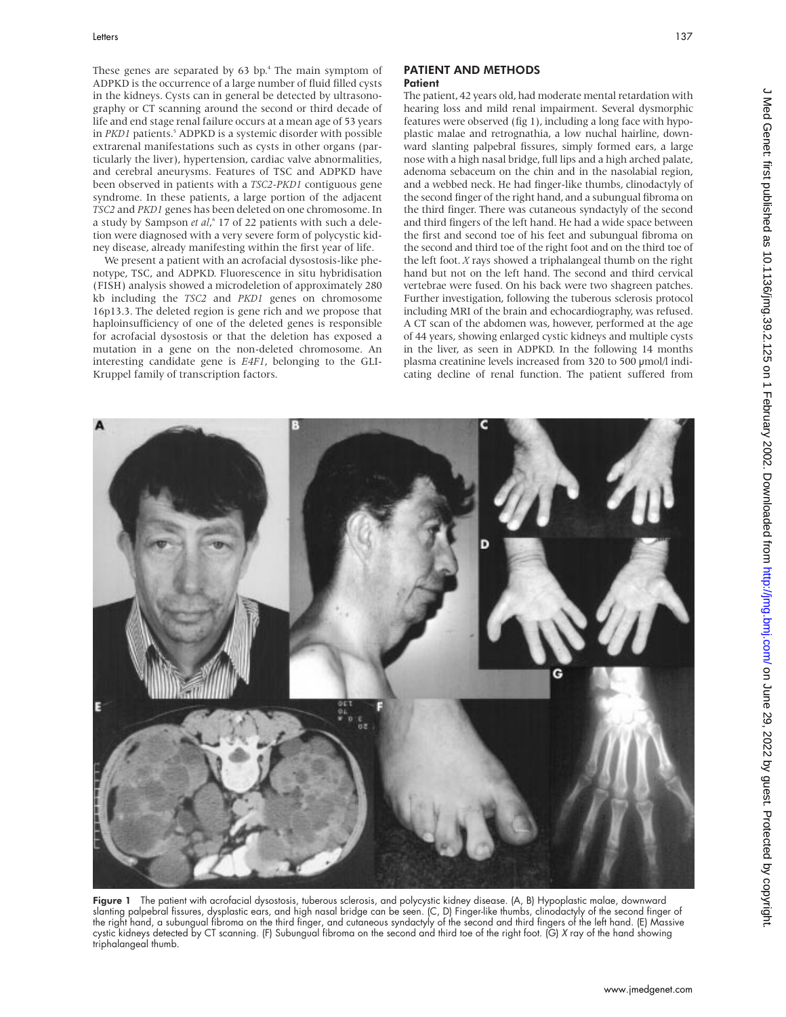These genes are separated by  $63$  bp.<sup>4</sup> The main symptom of ADPKD is the occurrence of a large number of fluid filled cysts in the kidneys. Cysts can in general be detected by ultrasonography or CT scanning around the second or third decade of life and end stage renal failure occurs at a mean age of 53 years in *PKD1* patients.<sup>5</sup> ADPKD is a systemic disorder with possible extrarenal manifestations such as cysts in other organs (particularly the liver), hypertension, cardiac valve abnormalities, and cerebral aneurysms. Features of TSC and ADPKD have been observed in patients with a *TSC2-PKD1* contiguous gene syndrome. In these patients, a large portion of the adjacent *TSC2* and *PKD1* genes has been deleted on one chromosome. In a study by Sampson *et al*, <sup>6</sup> 17 of 22 patients with such a deletion were diagnosed with a very severe form of polycystic kidney disease, already manifesting within the first year of life.

We present a patient with an acrofacial dysostosis-like phenotype, TSC, and ADPKD. Fluorescence in situ hybridisation (FISH) analysis showed a microdeletion of approximately 280 kb including the *TSC2* and *PKD1* genes on chromosome 16p13.3. The deleted region is gene rich and we propose that haploinsufficiency of one of the deleted genes is responsible for acrofacial dysostosis or that the deletion has exposed a mutation in a gene on the non-deleted chromosome. An interesting candidate gene is *E4F1*, belonging to the GLI-Kruppel family of transcription factors.

#### PATIENT AND METHODS **Patient**

The patient, 42 years old, had moderate mental retardation with hearing loss and mild renal impairment. Several dysmorphic features were observed (fig 1), including a long face with hypoplastic malae and retrognathia, a low nuchal hairline, downward slanting palpebral fissures, simply formed ears, a large nose with a high nasal bridge, full lips and a high arched palate, adenoma sebaceum on the chin and in the nasolabial region, and a webbed neck. He had finger-like thumbs, clinodactyly of the second finger of the right hand, and a subungual fibroma on the third finger. There was cutaneous syndactyly of the second and third fingers of the left hand. He had a wide space between the first and second toe of his feet and subungual fibroma on the second and third toe of the right foot and on the third toe of the left foot. *X* rays showed a triphalangeal thumb on the right hand but not on the left hand. The second and third cervical vertebrae were fused. On his back were two shagreen patches. Further investigation, following the tuberous sclerosis protocol including MRI of the brain and echocardiography, was refused. A CT scan of the abdomen was, however, performed at the age of 44 years, showing enlarged cystic kidneys and multiple cysts in the liver, as seen in ADPKD. In the following 14 months plasma creatinine levels increased from 320 to 500 µmol/l indicating decline of renal function. The patient suffered from



Figure 1 The patient with acrofacial dysostosis, tuberous sclerosis, and polycystic kidney disease. (A, B) Hypoplastic malae, downward slanting palpebral fissures, dysplastic ears, and high nasal bridge can be seen. (C, D) Finger-like thumbs, clinodactyly of the second finger of the right hand, a subungual fibroma on the third finger, and cutaneous syndactyly of the second and third fingers of the left hand. (E) Massive cystic kidneys detected by CT scanning. (F) Subungual fibroma on the second and third toe of the right foot. (G) X ray of the hand showing triphalangeal thumb.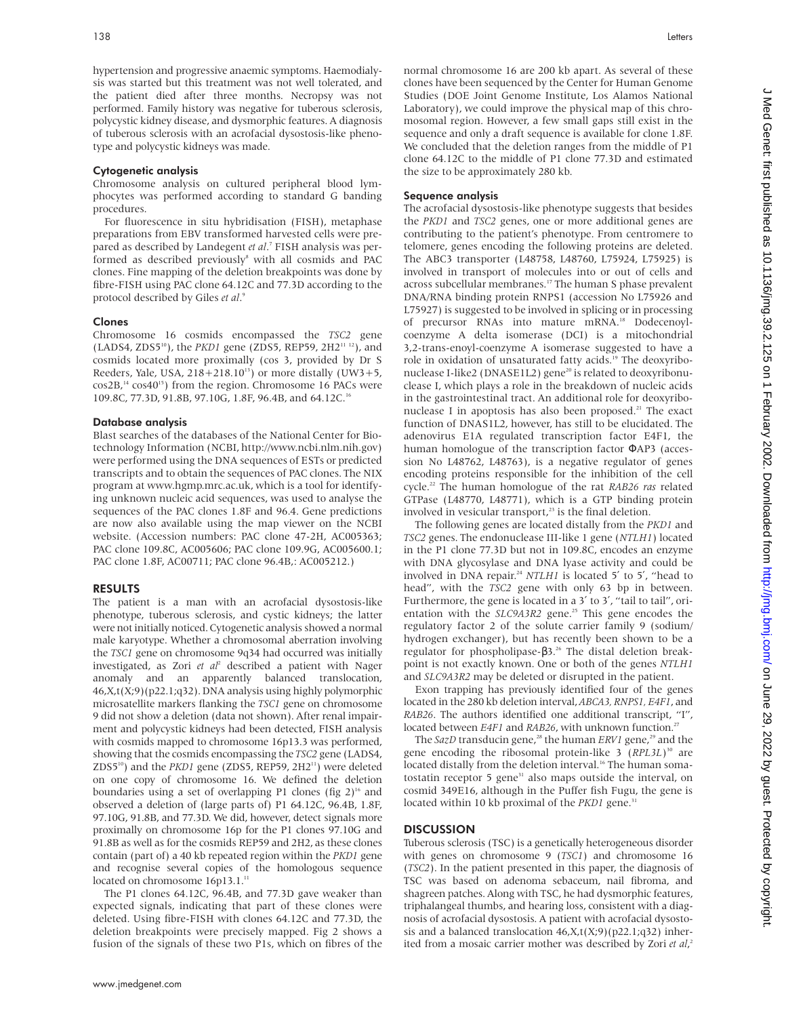hypertension and progressive anaemic symptoms. Haemodialysis was started but this treatment was not well tolerated, and the patient died after three months. Necropsy was not performed. Family history was negative for tuberous sclerosis, polycystic kidney disease, and dysmorphic features. A diagnosis of tuberous sclerosis with an acrofacial dysostosis-like phenotype and polycystic kidneys was made.

#### Cytogenetic analysis

Chromosome analysis on cultured peripheral blood lymphocytes was performed according to standard G banding procedures.

For fluorescence in situ hybridisation (FISH), metaphase preparations from EBV transformed harvested cells were prepared as described by Landegent *et al*. <sup>7</sup> FISH analysis was performed as described previously<sup>8</sup> with all cosmids and PAC clones. Fine mapping of the deletion breakpoints was done by fibre-FISH using PAC clone 64.12C and 77.3D according to the protocol described by Giles *et al*. 9

#### Clones

Chromosome 16 cosmids encompassed the *TSC2* gene (LADS4, ZDS5<sup>10</sup>), the *PKD1* gene (ZDS5, REP59, 2H2<sup>11-12</sup>), and cosmids located more proximally (cos 3, provided by Dr S Reeders, Yale, USA,  $218+218.10^{13}$ ) or more distally (UW3+5,  $cos2B$ ,<sup>14</sup>  $cos40^{15}$ ) from the region. Chromosome 16 PACs were 109.8C, 77.3D, 91.8B, 97.10G, 1.8F, 96.4B, and 64.12C.<sup>16</sup>

#### Database analysis

Blast searches of the databases of the National Center for Biotechnology Information (NCBI, http://www.ncbi.nlm.nih.gov) were performed using the DNA sequences of ESTs or predicted transcripts and to obtain the sequences of PAC clones. The NIX program at www.hgmp.mrc.ac.uk, which is a tool for identifying unknown nucleic acid sequences, was used to analyse the sequences of the PAC clones 1.8F and 96.4. Gene predictions are now also available using the map viewer on the NCBI website. (Accession numbers: PAC clone 47-2H, AC005363; PAC clone 109.8C, AC005606; PAC clone 109.9G, AC005600.1; PAC clone 1.8F, AC00711; PAC clone 96.4B,: AC005212.)

#### RESULTS

The patient is a man with an acrofacial dysostosis-like phenotype, tuberous sclerosis, and cystic kidneys; the latter were not initially noticed. Cytogenetic analysis showed a normal male karyotype. Whether a chromosomal aberration involving the *TSC1* gene on chromosome 9q34 had occurred was initially investigated, as Zori *et al*<sup>2</sup> described a patient with Nager anomaly and an apparently balanced translocation, 46,X,t(X;9)(p22.1;q32). DNA analysis using highly polymorphic microsatellite markers flanking the *TSC1* gene on chromosome 9 did not show a deletion (data not shown). After renal impairment and polycystic kidneys had been detected, FISH analysis with cosmids mapped to chromosome 16p13.3 was performed, showing that the cosmids encompassing the *TSC2* gene (LADS4, ZDS5<sup>10</sup>) and the *PKD1* gene (ZDS5, REP59, 2H2<sup>11</sup>) were deleted on one copy of chromosome 16. We defined the deletion boundaries using a set of overlapping P1 clones (fig  $2)^{16}$  and observed a deletion of (large parts of) P1 64.12C, 96.4B, 1.8F, 97.10G, 91.8B, and 77.3D. We did, however, detect signals more proximally on chromosome 16p for the P1 clones 97.10G and 91.8B as well as for the cosmids REP59 and 2H2, as these clones contain (part of) a 40 kb repeated region within the *PKD1* gene and recognise several copies of the homologous sequence located on chromosome 16p13.1.<sup>11</sup>

The P1 clones 64.12C, 96.4B, and 77.3D gave weaker than expected signals, indicating that part of these clones were deleted. Using fibre-FISH with clones 64.12C and 77.3D, the deletion breakpoints were precisely mapped. Fig 2 shows a fusion of the signals of these two P1s, which on fibres of the

normal chromosome 16 are 200 kb apart. As several of these clones have been sequenced by the Center for Human Genome Studies (DOE Joint Genome Institute, Los Alamos National Laboratory), we could improve the physical map of this chromosomal region. However, a few small gaps still exist in the sequence and only a draft sequence is available for clone 1.8F. We concluded that the deletion ranges from the middle of P1 clone 64.12C to the middle of P1 clone 77.3D and estimated the size to be approximately 280 kb.

#### Sequence analysis

The acrofacial dysostosis-like phenotype suggests that besides the *PKD1* and *TSC2* genes, one or more additional genes are contributing to the patient's phenotype. From centromere to telomere, genes encoding the following proteins are deleted. The ABC3 transporter (L48758, L48760, L75924, L75925) is involved in transport of molecules into or out of cells and across subcellular membranes.<sup>17</sup> The human S phase prevalent DNA/RNA binding protein RNPS1 (accession No L75926 and L75927) is suggested to be involved in splicing or in processing of precursor RNAs into mature mRNA.<sup>18</sup> Dodecenoylcoenzyme A delta isomerase (DCI) is a mitochondrial 3,2-trans-enoyl-coenzyme A isomerase suggested to have a role in oxidation of unsaturated fatty acids.<sup>19</sup> The deoxyribonuclease I-like2 (DNASE1L2) gene<sup>20</sup> is related to deoxyribonuclease I, which plays a role in the breakdown of nucleic acids in the gastrointestinal tract. An additional role for deoxyribonuclease I in apoptosis has also been proposed. $21$  The exact function of DNAS1L2, however, has still to be elucidated. The adenovirus E1A regulated transcription factor E4F1, the human homologue of the transcription factor ΦAP3 (accession No L48762, L48763), is a negative regulator of genes encoding proteins responsible for the inhibition of the cell cycle.22 The human homologue of the rat *RAB26 ras* related GTPase (L48770, L48771), which is a GTP binding protein involved in vesicular transport, $23$  is the final deletion.

The following genes are located distally from the *PKD1* and *TSC2* genes. The endonuclease III-like 1 gene (*NTLH1*) located in the P1 clone 77.3D but not in 109.8C, encodes an enzyme with DNA glycosylase and DNA lyase activity and could be involved in DNA repair.<sup>24</sup> *NTLH1* is located 5' to 5', "head to head", with the *TSC2* gene with only 63 bp in between. Furthermore, the gene is located in a 3′ to 3′, "tail to tail", orientation with the *SLC9A3R2* gene.<sup>25</sup> This gene encodes the regulatory factor 2 of the solute carrier family 9 (sodium/ hydrogen exchanger), but has recently been shown to be a regulator for phospholipase-β3.26 The distal deletion breakpoint is not exactly known. One or both of the genes *NTLH1* and *SLC9A3R2* may be deleted or disrupted in the patient.

Exon trapping has previously identified four of the genes located in the 280 kb deletion interval,*ABCA3, RNPS1, E4F1*, and *RAB26*. The authors identified one additional transcript, "I", located between *E4F1* and *RAB26*, with unknown function.<sup>27</sup>

The *SazD* transducin gene,<sup>28</sup> the human *ERV1* gene,<sup>29</sup> and the gene encoding the ribosomal protein-like 3 (RPL3L)<sup>30</sup> are located distally from the deletion interval.<sup>16</sup> The human somatostatin receptor 5 gene<sup>31</sup> also maps outside the interval, on cosmid 349E16, although in the Puffer fish Fugu, the gene is located within 10 kb proximal of the *PKD1* gene.<sup>31</sup>

#### **DISCUSSION**

Tuberous sclerosis (TSC) is a genetically heterogeneous disorder with genes on chromosome 9 (*TSC1*) and chromosome 16 (*TSC2*). In the patient presented in this paper, the diagnosis of TSC was based on adenoma sebaceum, nail fibroma, and shagreen patches. Along with TSC, he had dysmorphic features, triphalangeal thumbs, and hearing loss, consistent with a diagnosis of acrofacial dysostosis. A patient with acrofacial dysostosis and a balanced translocation  $46$ , $X$ , $t(X;9)$ (p22.1;q32) inherited from a mosaic carrier mother was described by Zori *et al*, 2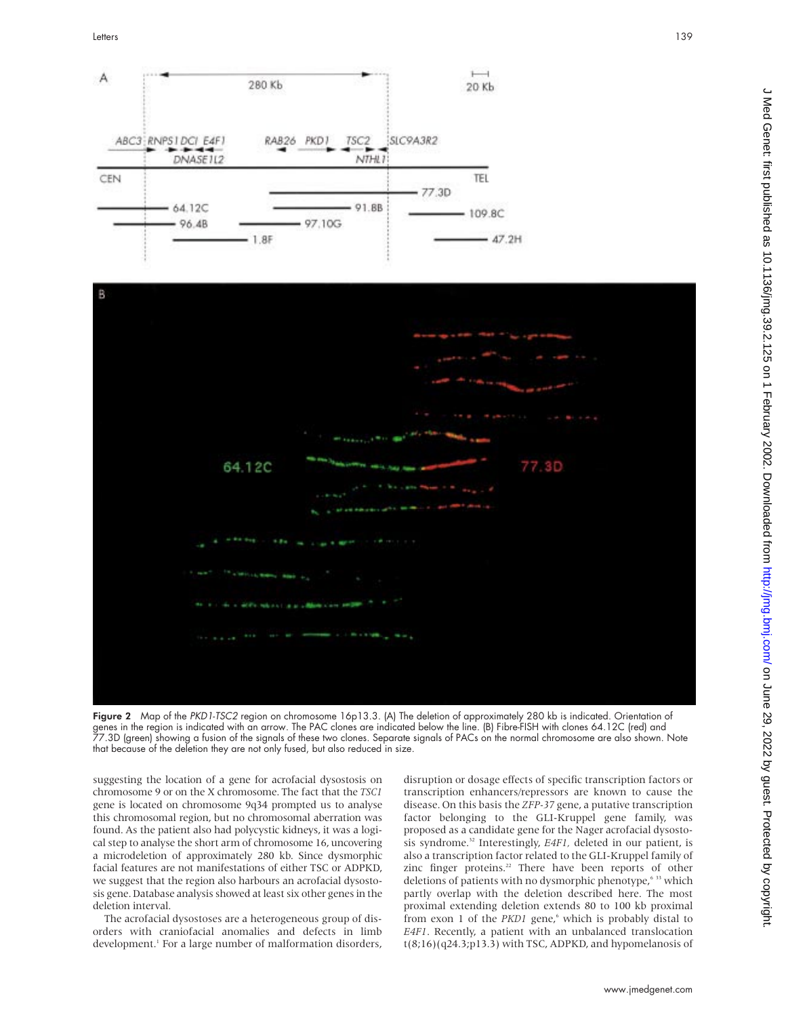



Figure 2 Map of the PKD1-TSC2 region on chromosome 16p13.3. (A) The deletion of approximately 280 kb is indicated. Orientation of genes in the region is indicated with an arrow. The PAC clones are indicated below the line. (B) Fibre-FISH with clones 64.12C (red) and 77.3D (green) showing a fusion of the signals of these two clones. Separate signals of PACs on the normal chromosome are also shown. Note that because of the deletion they are not only fused, but also reduced in size.

suggesting the location of a gene for acrofacial dysostosis on chromosome 9 or on the X chromosome. The fact that the *TSC1* gene is located on chromosome 9q34 prompted us to analyse this chromosomal region, but no chromosomal aberration was found. As the patient also had polycystic kidneys, it was a logical step to analyse the short arm of chromosome 16, uncovering a microdeletion of approximately 280 kb. Since dysmorphic facial features are not manifestations of either TSC or ADPKD, we suggest that the region also harbours an acrofacial dysostosis gene. Database analysis showed at least six other genes in the deletion interval.

The acrofacial dysostoses are a heterogeneous group of disorders with craniofacial anomalies and defects in limb development.<sup>1</sup> For a large number of malformation disorders,

disruption or dosage effects of specific transcription factors or transcription enhancers/repressors are known to cause the disease. On this basis the *ZFP-37* gene, a putative transcription factor belonging to the GLI-Kruppel gene family, was proposed as a candidate gene for the Nager acrofacial dysostosis syndrome.<sup>32</sup> Interestingly, *E4F1*, deleted in our patient, is also a transcription factor related to the GLI-Kruppel family of zinc finger proteins.<sup>22</sup> There have been reports of other deletions of patients with no dysmorphic phenotype,<sup>633</sup> which partly overlap with the deletion described here. The most proximal extending deletion extends 80 to 100 kb proximal from exon 1 of the *PKD1* gene,<sup>6</sup> which is probably distal to *E4F1*. Recently, a patient with an unbalanced translocation t(8;16)(q24.3;p13.3) with TSC, ADPKD, and hypomelanosis of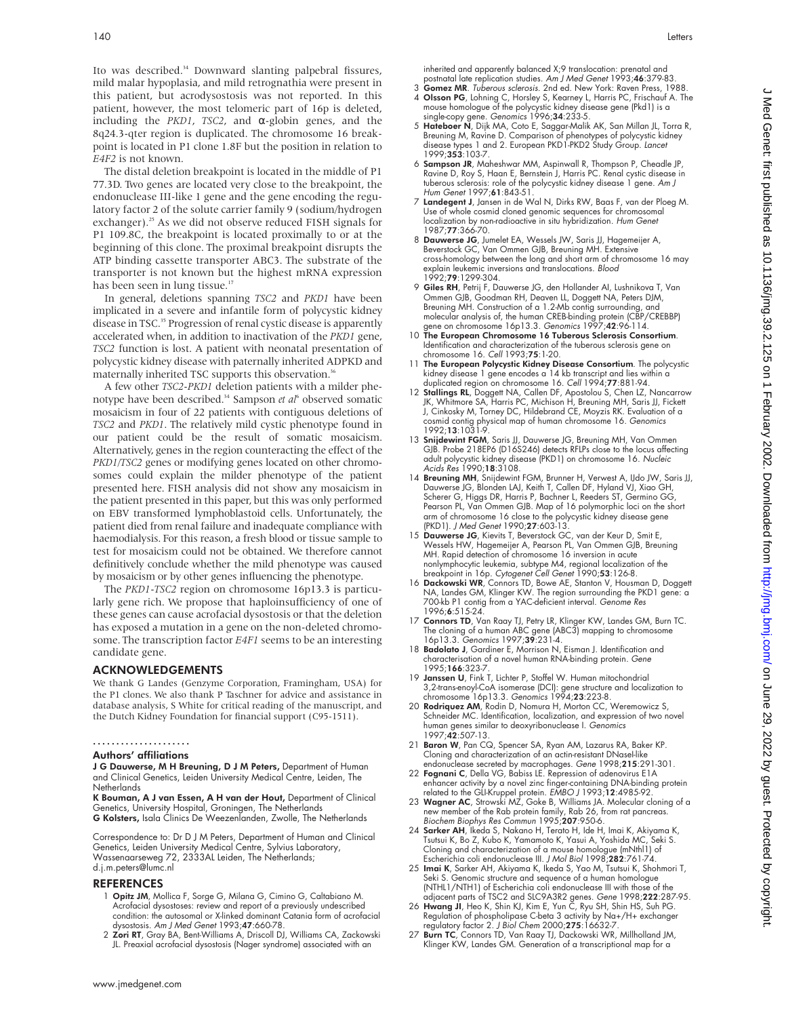Ito was described.<sup>34</sup> Downward slanting palpebral fissures, mild malar hypoplasia, and mild retrognathia were present in this patient, but acrodysostosis was not reported. In this patient, however, the most telomeric part of 16p is deleted, including the *PKD1*, *TSC2*, and  $\alpha$ -globin genes, and the 8q24.3-qter region is duplicated. The chromosome 16 breakpoint is located in P1 clone 1.8F but the position in relation to *E4F2* is not known.

The distal deletion breakpoint is located in the middle of P1 77.3D. Two genes are located very close to the breakpoint, the endonuclease III-like 1 gene and the gene encoding the regulatory factor 2 of the solute carrier family 9 (sodium/hydrogen exchanger).<sup>25</sup> As we did not observe reduced FISH signals for P1 109.8C, the breakpoint is located proximally to or at the beginning of this clone. The proximal breakpoint disrupts the ATP binding cassette transporter ABC3. The substrate of the transporter is not known but the highest mRNA expression has been seen in lung tissue.<sup>17</sup>

In general, deletions spanning *TSC2* and *PKD1* have been implicated in a severe and infantile form of polycystic kidney disease in TSC.<sup>35</sup> Progression of renal cystic disease is apparently accelerated when, in addition to inactivation of the *PKD1* gene, *TSC2* function is lost. A patient with neonatal presentation of polycystic kidney disease with paternally inherited ADPKD and maternally inherited TSC supports this observation.<sup>36</sup>

A few other *TSC2*-*PKD1* deletion patients with a milder phenotype have been described.34 Sampson *et al*<sup>6</sup> observed somatic mosaicism in four of 22 patients with contiguous deletions of *TSC2* and *PKD1*. The relatively mild cystic phenotype found in our patient could be the result of somatic mosaicism. Alternatively, genes in the region counteracting the effect of the *PKD1*/*TSC2* genes or modifying genes located on other chromosomes could explain the milder phenotype of the patient presented here. FISH analysis did not show any mosaicism in the patient presented in this paper, but this was only performed on EBV transformed lymphoblastoid cells. Unfortunately, the patient died from renal failure and inadequate compliance with haemodialysis. For this reason, a fresh blood or tissue sample to test for mosaicism could not be obtained. We therefore cannot definitively conclude whether the mild phenotype was caused by mosaicism or by other genes influencing the phenotype.

The *PKD1*-*TSC2* region on chromosome 16p13.3 is particularly gene rich. We propose that haploinsufficiency of one of these genes can cause acrofacial dysostosis or that the deletion has exposed a mutation in a gene on the non-deleted chromosome. The transcription factor *E4F1* seems to be an interesting candidate gene.

#### ACKNOWLEDGEMENTS

We thank G Landes (Genzyme Corporation, Framingham, USA) for the P1 clones. We also thank P Taschner for advice and assistance in database analysis, S White for critical reading of the manuscript, and the Dutch Kidney Foundation for financial support (C95-1511).

### .....................

#### Authors' affiliations

**J G Dauwerse, M H Breuning, D J M Peters,** Department of Human<br>and Clinical Genetics, Leiden University Medical Centre, Leiden, The **Netherlands** 

K Bouman, A J van Essen, A H van der Hout, Department of Clinical Genetics, University Hospital, Groningen, The Netherlands G Kolsters, Isala Clinics De Weezenlanden, Zwolle, The Netherlands

Correspondence to: Dr D J M Peters, Department of Human and Clinical Genetics, Leiden University Medical Centre, Sylvius Laboratory, Wassenaarseweg 72, 2333AL Leiden, The Netherlands; d.j.m.peters@lumc.nl

#### REFERENCES

- 1 Opitz JM, Mollica F, Sorge G, Milana G, Cimino G, Caltabiano M. Acrofacial dysostoses: review and report of a previously undescribed condition: the autosomal or X-linked dominant Catania form of acrofacial dysostosis. Am J Med Genet 1993;47:660-78.
- 2 Zori RT, Gray BA, Bent-Williams A, Driscoll DJ, Williams CA, Zackowski JL. Preaxial acrofacial dysostosis (Nager syndrome) associated with an

inherited and apparently balanced X;9 translocation: prenatal and<br>postnatal late replication studies. *Am J Med Genet* 1993;**46**:379-83.

- Gomez MR. Tuberous sclerosis. 2nd ed. New York: Raven Press, 1988. 4 Olsson PG, Lohning C, Horsley S, Kearney L, Harris PC, Frischauf A. The mouse homologue of the polycystic kidney disease gene (Pkd1) is a single-copy gene. Genomics 1996;34:233-5.
- 5 Hateboer N, Dijk MA, Coto E, Saggar-Malik AK, San Millan JL, Torra R, Breuning M, Ravine D. Comparison of phenotypes of polycystic kidney disease types 1 and 2. European PKD1-PKD2 Study Group. Lancet 1999;353:103-7.
- 6 Sampson JR, Maheshwar MM, Aspinwall R, Thompson P, Cheadle JP, Ravine D, Roy S, Haan E, Bernstein J, Harris PC. Renal cystic disease in tuberous sclerosis: role of the polycystic kidney disease 1 gene. Am J Hum Genet 1997;61:843-51.
- 7 Landegent J, Jansen in de Wal N, Dirks RW, Baas F, van der Ploeg M. Use of whole cosmid cloned genomic sequences for chromosomal localization by non-radioactive in situ hybridization. Hum Genet 1987;77:366-70.
- 8 Dauwerse JG, Jumelet EA, Wessels JW, Saris JJ, Hagemeijer A, Beverstock GC, Van Ommen GJB, Breuning MH. Extensive cross-homology between the long and short arm of chromosome 16 may explain leukemic inversions and translocations. Blood 1992:**79**:1299-304.
- 9 Giles RH, Petrij F, Dauwerse JG, den Hollander AI, Lushnikova T, Van Ommen GJB, Goodman RH, Deaven LL, Doggett NA, Peters DJM, Breuning MH. Construction of a 1.2-Mb contig surrounding, and<br>molecular analysis of, the human CREB-binding protein (CBP/CREBBP)<br>gene on chromosome 16p13.3. *Genomics* 1997;**42**:96-114.
- 10 The European Chromosome 16 Tuberous Sclerosis Consortium. Identification and characterization of the tuberous sclerosis gene on chromosome 16. Cell 1993;75:1-20.
- 11 The European Polycystic Kidney Disease Consortium. The polycystic kidney disease 1 gene encodes a 14 kb transcript and lies within a duplicated region on chromosome 16. Cell 1994;77:881-94.
- 12 Stallings RL, Doggett NA, Callen DF, Apostolou S, Chen LZ, Nancarrow JK, Whitmore SA, Harris PC, Michison H, Breuning MH, Saris JJ, Fickett J, Cinkosky M, Torney DC, Hildebrand CE, Moyzis RK. Evaluation of a cosmid contig physical map of human chromosome 16. Genomics 1992;13:1031-9
- 13 Snijdewint FGM, Saris JJ, Dauwerse JG, Breuning MH, Van Ommen GJB. Probe 218EP6 (D16S246) detects RFLPs close to the locus affecting adult polycystic kidney disease (PKD1) on chromosome 16. Nucleic Acids Res 1990;18:3108.
- 14 Breuning MH, Snijdewint FGM, Brunner H, Verwest A, Udo JW, Saris JJ, Dauwerse JG, Blonden LAJ, Keith T, Callen DF, Hyland VJ, Xiao GH, Scherer G, Higgs DR, Harris P, Bachner L, Reeders ST, Germino GG, Pearson PL, Van Ommen GJB. Map of 16 polymorphic loci on the short arm of chromosome 16 close to the polycystic kidney disease gene (PKD1). J Med Genet 1990;27:603-13.
- 15 Dauwerse JG, Kievits T, Beverstock GC, van der Keur D, Smit E, Wessels HW, Hagemeijer A, Pearson PL, Van Ommen GJB, Breuning MH. Rapid detection of chromosome 16 inversion in acute nonlymphocytic leukemia, subtype M4, regional localization of the<br>breakpoint in 16p. Cytogenet Cell Genet 1990;**53**:126-8.<br>16 **Dackowski WR**, Connors TD, Bowe AE, Stanton V, Housman D, Doggett
- NA, Landes GM, Klinger KW. The region surrounding the PKD1 gene: a 700-kb P1 contig from a YAC-deficient interval. Genome Res 1996;6:515-24.
- Connors TD, Van Raay TJ, Petry LR, Klinger KW, Landes GM, Burn TC. The cloning of a human ABC gene (ABC3) mapping to chromosome 16p13.3. Genomics 1997;39:231-4.
- 18 Badolato J, Gardiner E, Morrison N, Eisman J. Identification and characterisation of a novel human RNA-binding protein. Gene 1995;166:323-7.
- 19 Janssen U, Fink T, Lichter P, Stoffel W. Human mitochondrial 3,2-trans-enoyl-CoA isomerase (DCI): gene structure and localization to chromosome 16p13.3. Genomics 1994;23:223-8.
- 20 Rodriquez AM, Rodin D, Nomura H, Morton CC, Weremowicz S, Schneider MC. Identification, localization, and expression of two novel human genes similar to deoxyribonuclease I. Genomics 1997;42:507-13.
- 21 Baron W, Pan CQ, Spencer SA, Ryan AM, Lazarus RA, Baker KP. Cloning and characterization of an actin-resistant DNasel-like<br>endonuclease secreted by macrophages. *Gene* 1998;**215**:291-301.
- 22 Fognani C, Della VG, Babiss LE. Repression of adenovirus E1A enhancer activity by a novel zinc finger-containing DNA-binding protein related to the GLI-Kruppel protein.  $\mathit{\bar{EMBO}}$  J 1993;12:4985-92.
- 23 Wagner AC, Strowski MZ, Goke B, Williams JA. Molecular cloning of a new member of the Rab protein family, Rab 26, from rat pancreas. Biochem Biophys Res Commun 1995;207:950-6.
- 24 Sarker AH, Ikeda S, Nakano H, Terato H, Ide H, Imai K, Akiyama K, Tsutsui K, Bo Z, Kubo K, Yamamoto K, Yasui A, Yoshida MC, Seki S. Cloning and characterization of a mouse homologue (mNthl1) of Escherichia coli endonuclease III. J Mol Biol 1998;282:761-74.
- 25 Imai K, Sarker AH, Akiyama K, Ikeda S, Yao M, Tsutsui K, Shohmori T, Seki S. Genomic structure and sequence of a human homologue (NTHL1/NTH1) of Escherichia coli endonuclease III with those of the
- adjacent parts of TSC2 and SLC9A3R2 genes. *Gene* 1998;**222**:287-95.<br>26 **Hwang JI**, Heo K, Shin KJ, Kim E, Yun C, Ryu SH, Shin HS, Suh PG. Regulation of phospholipase C-beta 3 activity by Na+/H+ exchanger regulatory factor 2. J Biol Chem 2000;275:16632-7.
- 27 Burn TC, Connors TD, Van Raay TJ, Dackowski WR, Millholland JM, Klinger KW, Landes GM. Generation of a transcriptional map for a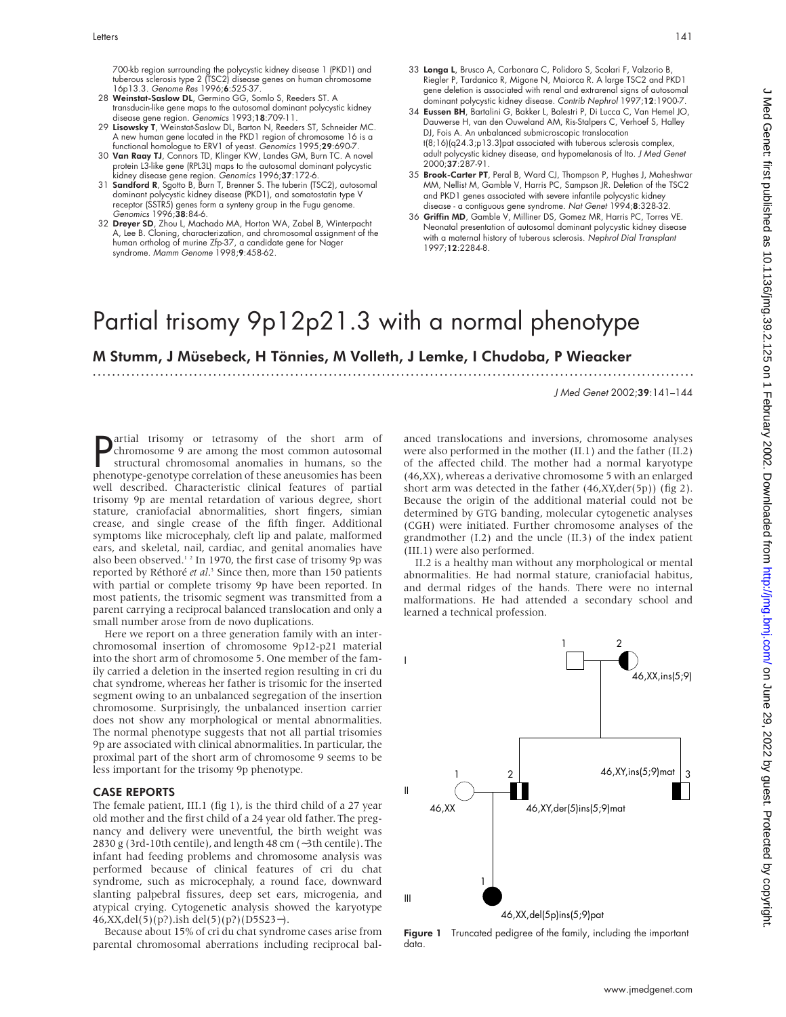700-kb region surrounding the polycystic kidney disease 1 (PKD1) and tuberous sclerosis type 2 (TSC2) disease genes on human chromosome 16p13.3. Genome Res 1996;6:525-37.

- 28 Weinstat-Saslow DL, Germino GG, Somlo S, Reeders ST. A transducin-like gene maps to the autosomal dominant polycystic kidney disease gene region. Genomics 1993;18:709-11.
- 29 Lisowsky T, Weinstat-Saslow DL, Barton N, Reeders ST, Schneider MC. A new human gene located in the PKD1 region of chromosome 16 is a functional homologue to ERV1 of yeast. Genomics 1995;29:690-7.
- 30 Van Raay TJ, Connors TD, Klinger KW, Landes GM, Burn TC. A novel protein L3-like gene (RPL3L) maps to the autosomal dominant polycystic<br>kidney disease gene region. *Genomics* 1996;**37**:172-6.
- 31 Sandford R, Sgotto B, Burn T, Brenner S. The tuberin (TSC2), autosomal dominant polycystic kidney disease (PKD1), and somatostatin type V receptor (SSTR5) genes form a synteny group in the Fugu genome. Genomics 1996;38:84-6.
- 32 Dreyer SD, Zhou L, Machado MA, Horton WA, Zabel B, Winterpacht A, Lee B. Cloning, characterization, and chromosomal assignment of the human ortholog of murine Zfp-37, a candidate gene for Nager syndrome. Mamm Genome 1998;9:458-62.
- 33 Longa L, Brusco A, Carbonara C, Polidoro S, Scolari F, Valzorio B, Riegler P, Tardanico R, Migone N, Maiorca R. A large TSC2 and PKD1 gene deletion is associated with renal and extrarenal signs of autosomal dominant polycystic kidney disease. Contrib Nephrol 1997;12:1900-7.
- 34 Eussen BH, Bartalini G, Bakker L, Balestri P, Di Lucca C, Van Hemel JO, Dauwerse H, van den Ouweland AM, Ris-Stalpers C, Verhoef S, Halley DJ, Fois A. An unbalanced submicroscopic translocation t(8;16)(q24.3;p13.3)pat associated with tuberous sclerosis complex, adult polycystic kidney disease, and hypomelanosis of Ito. J Med Genet 2000;37:287-91.
- 35 Brook-Carter PT, Peral B, Ward CJ, Thompson P, Hughes J, Maheshwar MM, Nellist M, Gamble V, Harris PC, Sampson JR. Deletion of the TSC2 and PKD1 genes associated with severe infantile polycystic kidney disease - a contiguous gene syndrome. Nat Genet 1994;8:328-32.
- 36 Griffin MD, Gamble V, Milliner DS, Gomez MR, Harris PC, Torres VE. Neonatal presentation of autosomal dominant polycystic kidney disease with a maternal history of tuberous sclerosis. Nephrol Dial Transplant 1997;12:2284-8.

# Partial trisomy 9p12p21.3 with a normal phenotype

M Stumm, J Müsebeck, H Tönnies, M Volleth, J Lemke, I Chudoba, P Wieacker

.............................................................................................................................

J Med Genet 2002;39:141–144

**P** artial trisomy or tetrasomy of the short arm of chromosome 9 are among the most common autosomal structural chromosomal anomalies in humans, so the phenotype-genotype correlation of these aneusomies has been artial trisomy or tetrasomy of the short arm of chromosome 9 are among the most common autosomal structural chromosomal anomalies in humans, so the well described. Characteristic clinical features of partial trisomy 9p are mental retardation of various degree, short stature, craniofacial abnormalities, short fingers, simian crease, and single crease of the fifth finger. Additional symptoms like microcephaly, cleft lip and palate, malformed ears, and skeletal, nail, cardiac, and genital anomalies have also been observed.<sup>12</sup> In 1970, the first case of trisomy 9p was reported by Réthoré *et al*. <sup>3</sup> Since then, more than 150 patients with partial or complete trisomy 9p have been reported. In most patients, the trisomic segment was transmitted from a parent carrying a reciprocal balanced translocation and only a small number arose from de novo duplications.

Here we report on a three generation family with an interchromosomal insertion of chromosome 9p12-p21 material into the short arm of chromosome 5. One member of the family carried a deletion in the inserted region resulting in cri du chat syndrome, whereas her father is trisomic for the inserted segment owing to an unbalanced segregation of the insertion chromosome. Surprisingly, the unbalanced insertion carrier does not show any morphological or mental abnormalities. The normal phenotype suggests that not all partial trisomies 9p are associated with clinical abnormalities. In particular, the proximal part of the short arm of chromosome 9 seems to be less important for the trisomy 9p phenotype.

#### CASE REPORTS

The female patient, III.1 (fig 1), is the third child of a 27 year old mother and the first child of a 24 year old father. The pregnancy and delivery were uneventful, the birth weight was 2830 g (3rd-10th centile), and length 48 cm (∼3th centile). The infant had feeding problems and chromosome analysis was performed because of clinical features of cri du chat syndrome, such as microcephaly, a round face, downward slanting palpebral fissures, deep set ears, microgenia, and atypical crying. Cytogenetic analysis showed the karyotype 46,XX,del(5)(p?).ish del(5)(p?)(D5S23−).

Because about 15% of cri du chat syndrome cases arise from parental chromosomal aberrations including reciprocal balanced translocations and inversions, chromosome analyses were also performed in the mother (II.1) and the father (II.2) of the affected child. The mother had a normal karyotype (46,XX), whereas a derivative chromosome 5 with an enlarged short arm was detected in the father (46,XY,der(5p)) (fig 2). Because the origin of the additional material could not be determined by GTG banding, molecular cytogenetic analyses (CGH) were initiated. Further chromosome analyses of the grandmother (I.2) and the uncle (II.3) of the index patient (III.1) were also performed.

II.2 is a healthy man without any morphological or mental abnormalities. He had normal stature, craniofacial habitus, and dermal ridges of the hands. There were no internal malformations. He had attended a secondary school and learned a technical profession.



Figure 1 Truncated pedigree of the family, including the important data.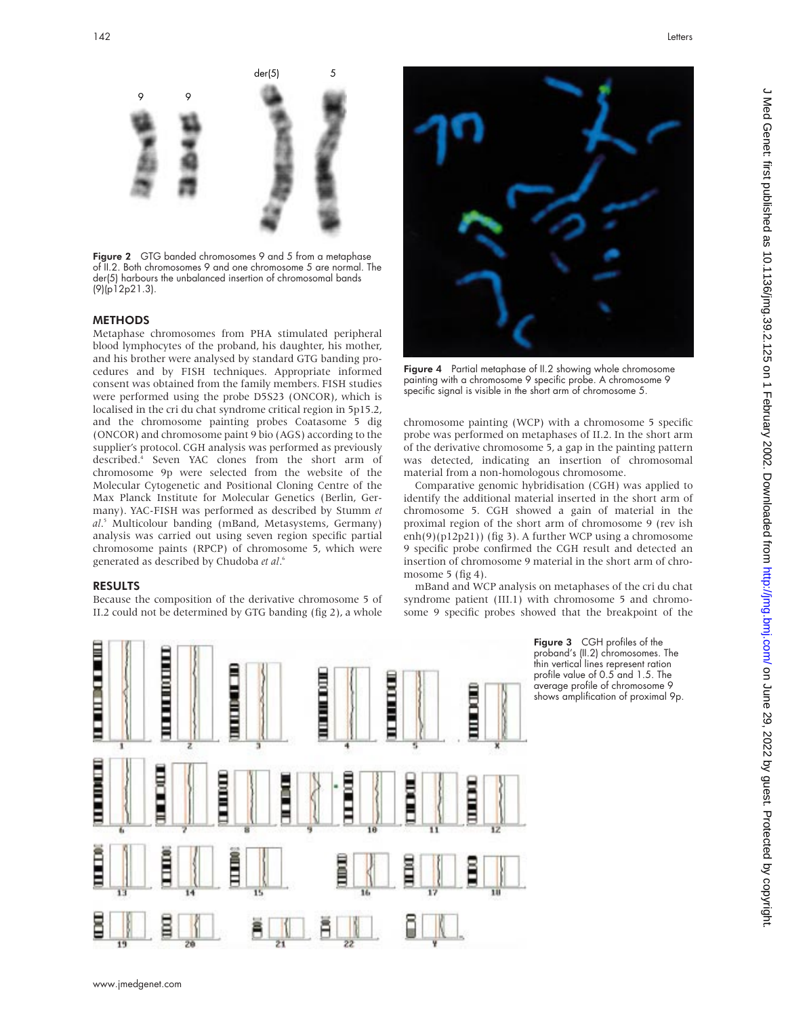

Figure 2 GTG banded chromosomes 9 and 5 from a metaphase of II.2. Both chromosomes 9 and one chromosome 5 are normal. The der(5) harbours the unbalanced insertion of chromosomal bands (9)(p12p21.3).

#### **METHODS**

Metaphase chromosomes from PHA stimulated peripheral blood lymphocytes of the proband, his daughter, his mother, and his brother were analysed by standard GTG banding procedures and by FISH techniques. Appropriate informed consent was obtained from the family members. FISH studies were performed using the probe D5S23 (ONCOR), which is localised in the cri du chat syndrome critical region in 5p15.2, and the chromosome painting probes Coatasome 5 dig (ONCOR) and chromosome paint 9 bio (AGS) according to the supplier's protocol. CGH analysis was performed as previously described.4 Seven YAC clones from the short arm of chromosome 9p were selected from the website of the Molecular Cytogenetic and Positional Cloning Centre of the Max Planck Institute for Molecular Genetics (Berlin, Germany). YAC-FISH was performed as described by Stumm *et al*. <sup>5</sup> Multicolour banding (mBand, Metasystems, Germany) analysis was carried out using seven region specific partial chromosome paints (RPCP) of chromosome 5, which were generated as described by Chudoba *et al*. 6

#### RESULTS

Because the composition of the derivative chromosome 5 of II.2 could not be determined by GTG banding (fig 2), a whole



Figure 4 Partial metaphase of II.2 showing whole chromosome painting with a chromosome 9 specific probe. A chromosome 9 specific signal is visible in the short arm of chromosome 5.

chromosome painting (WCP) with a chromosome 5 specific probe was performed on metaphases of II.2. In the short arm of the derivative chromosome 5, a gap in the painting pattern was detected, indicating an insertion of chromosomal material from a non-homologous chromosome.

Comparative genomic hybridisation (CGH) was applied to identify the additional material inserted in the short arm of chromosome 5. CGH showed a gain of material in the proximal region of the short arm of chromosome 9 (rev ish enh(9)(p12p21)) (fig 3). A further WCP using a chromosome 9 specific probe confirmed the CGH result and detected an insertion of chromosome 9 material in the short arm of chromosome 5 (fig 4).

mBand and WCP analysis on metaphases of the cri du chat syndrome patient (III.1) with chromosome 5 and chromosome 9 specific probes showed that the breakpoint of the

> Figure 3 CGH profiles of the proband's (II.2) chromosomes. The thin vertical lines represent ration profile value of 0.5 and 1.5. The average profile of chromosome 9 shows amplification of proximal 9p.

![](_page_24_Figure_14.jpeg)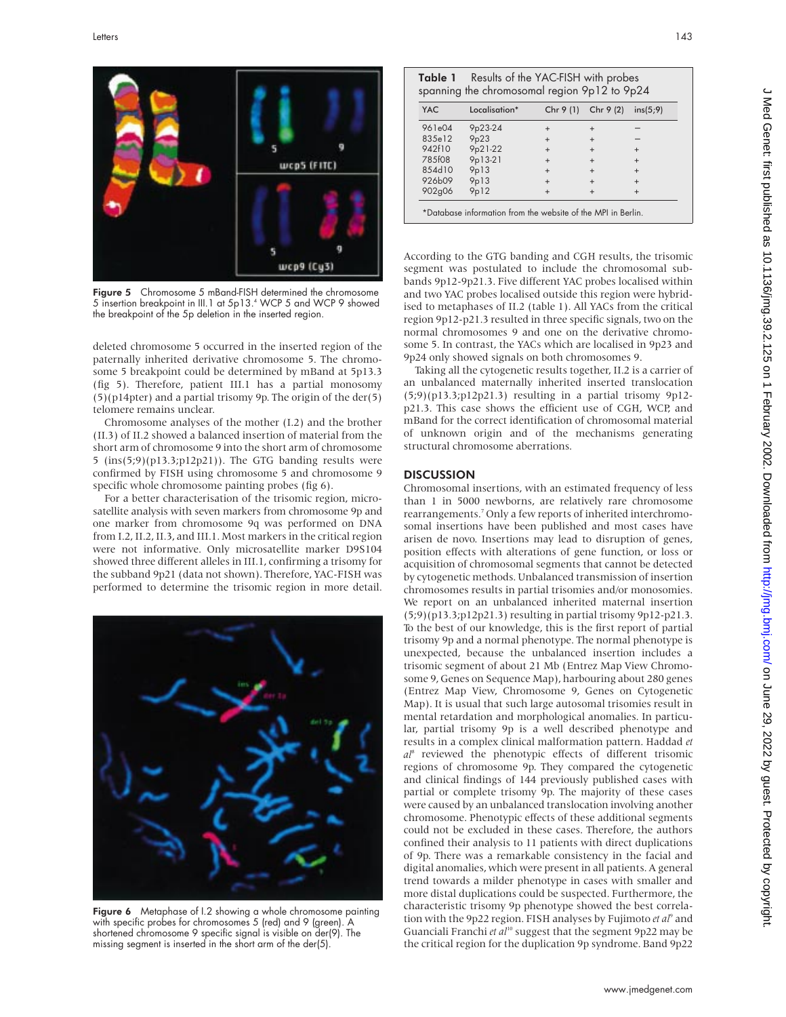![](_page_25_Figure_1.jpeg)

Figure 5 Chromosome 5 mBand-FISH determined the chromosome 5 insertion breakpoint in III.1 at 5p13.4 WCP 5 and WCP 9 showed the breakpoint of the 5p deletion in the inserted region.

deleted chromosome 5 occurred in the inserted region of the paternally inherited derivative chromosome 5. The chromosome 5 breakpoint could be determined by mBand at 5p13.3 (fig 5). Therefore, patient III.1 has a partial monosomy (5)(p14pter) and a partial trisomy 9p. The origin of the der(5) telomere remains unclear.

Chromosome analyses of the mother (I.2) and the brother (II.3) of II.2 showed a balanced insertion of material from the short arm of chromosome 9 into the short arm of chromosome 5 (ins(5;9)(p13.3;p12p21)). The GTG banding results were confirmed by FISH using chromosome 5 and chromosome 9 specific whole chromosome painting probes (fig 6).

For a better characterisation of the trisomic region, microsatellite analysis with seven markers from chromosome 9p and one marker from chromosome 9q was performed on DNA from I.2, II.2, II.3, and III.1. Most markers in the critical region were not informative. Only microsatellite marker D9S104 showed three different alleles in III.1, confirming a trisomy for the subband 9p21 (data not shown). Therefore, YAC-FISH was performed to determine the trisomic region in more detail.

![](_page_25_Picture_6.jpeg)

Figure 6 Metaphase of I.2 showing a whole chromosome painting with specific probes for chromosomes 5 (red) and 9 (green). A shortened chromosome 9 specific signal is visible on der(9). The missing segment is inserted in the short arm of the der(5).

|            | <b>Table 1</b> Results of the YAC-FISH with probes<br>spanning the chromosomal region 9p12 to 9p24 |           |             |           |
|------------|----------------------------------------------------------------------------------------------------|-----------|-------------|-----------|
| <b>YAC</b> | Localisation*                                                                                      | Chr 9(1)  | Chr 9 $(2)$ | ins(5,9)  |
| 961e04     | 9p23-24                                                                                            | $\ddot{}$ | $\ddot{}$   |           |
| 835e12     | 9p23                                                                                               | $\ddot{}$ | $\ddot{}$   |           |
| 942f10     | 9p21-22                                                                                            | $\ddot{}$ |             |           |
| 785f08     | 9p13-21                                                                                            | $\ddot{}$ | $\ddot{}$   | $\ddot{}$ |
| 854d10     | 9p13                                                                                               | $\ddot{}$ | $\ddot{}$   |           |
| 926b09     | 9p13                                                                                               | $\ddot{}$ |             |           |
| 902g06     | 9p12                                                                                               |           |             |           |

According to the GTG banding and CGH results, the trisomic segment was postulated to include the chromosomal subbands 9p12-9p21.3. Five different YAC probes localised within and two YAC probes localised outside this region were hybridised to metaphases of II.2 (table 1). All YACs from the critical region 9p12-p21.3 resulted in three specific signals, two on the normal chromosomes 9 and one on the derivative chromosome 5. In contrast, the YACs which are localised in 9p23 and 9p24 only showed signals on both chromosomes 9.

Taking all the cytogenetic results together, II.2 is a carrier of an unbalanced maternally inherited inserted translocation (5;9)(p13.3;p12p21.3) resulting in a partial trisomy 9p12 p21.3. This case shows the efficient use of CGH, WCP, and mBand for the correct identification of chromosomal material of unknown origin and of the mechanisms generating structural chromosome aberrations.

#### **DISCUSSION**

Chromosomal insertions, with an estimated frequency of less than 1 in 5000 newborns, are relatively rare chromosome rearrangements.<sup>7</sup> Only a few reports of inherited interchromosomal insertions have been published and most cases have arisen de novo. Insertions may lead to disruption of genes, position effects with alterations of gene function, or loss or acquisition of chromosomal segments that cannot be detected by cytogenetic methods. Unbalanced transmission of insertion chromosomes results in partial trisomies and/or monosomies. We report on an unbalanced inherited maternal insertion (5;9)(p13.3;p12p21.3) resulting in partial trisomy 9p12-p21.3. To the best of our knowledge, this is the first report of partial trisomy 9p and a normal phenotype. The normal phenotype is unexpected, because the unbalanced insertion includes a trisomic segment of about 21 Mb (Entrez Map View Chromosome 9, Genes on Sequence Map), harbouring about 280 genes (Entrez Map View, Chromosome 9, Genes on Cytogenetic Map). It is usual that such large autosomal trisomies result in mental retardation and morphological anomalies. In particular, partial trisomy 9p is a well described phenotype and results in a complex clinical malformation pattern. Haddad *et al*<sup>8</sup> reviewed the phenotypic effects of different trisomic regions of chromosome 9p. They compared the cytogenetic and clinical findings of 144 previously published cases with partial or complete trisomy 9p. The majority of these cases were caused by an unbalanced translocation involving another chromosome. Phenotypic effects of these additional segments could not be excluded in these cases. Therefore, the authors confined their analysis to 11 patients with direct duplications of 9p. There was a remarkable consistency in the facial and digital anomalies, which were present in all patients. A general trend towards a milder phenotype in cases with smaller and more distal duplications could be suspected. Furthermore, the characteristic trisomy 9p phenotype showed the best correlation with the 9p22 region. FISH analyses by Fujimoto *et al*<sup>9</sup> and Guanciali Franchi et al<sup>10</sup> suggest that the segment 9p22 may be the critical region for the duplication 9p syndrome. Band 9p22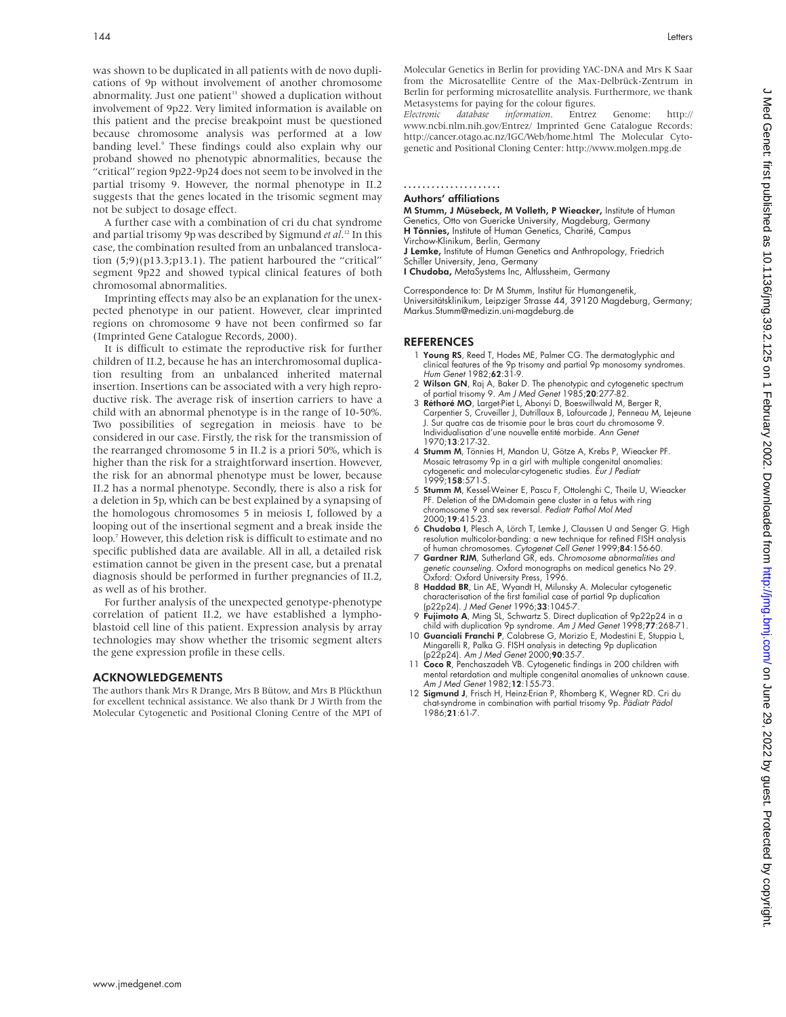was shown to be duplicated in all patients with de novo duplications of 9p without involvement of another chromosome abnormality. Just one patient<sup>11</sup> showed a duplication without involvement of 9p22. Very limited information is available on this patient and the precise breakpoint must be questioned because chromosome analysis was performed at a low banding level.<sup>9</sup> These findings could also explain why our proband showed no phenotypic abnormalities, because the "critical" region 9p22-9p24 does not seem to be involved in the partial trisomy 9. However, the normal phenotype in II.2 suggests that the genes located in the trisomic segment may not be subject to dosage effect.

A further case with a combination of cri du chat syndrome and partial trisomy 9p was described by Sigmund *et al*. <sup>12</sup> In this case, the combination resulted from an unbalanced translocation (5;9)(p13.3;p13.1). The patient harboured the "critical" segment 9p22 and showed typical clinical features of both chromosomal abnormalities.

Imprinting effects may also be an explanation for the unexpected phenotype in our patient. However, clear imprinted regions on chromosome 9 have not been confirmed so far (Imprinted Gene Catalogue Records, 2000).

It is difficult to estimate the reproductive risk for further children of II.2, because he has an interchromosomal duplication resulting from an unbalanced inherited maternal insertion. Insertions can be associated with a very high reproductive risk. The average risk of insertion carriers to have a child with an abnormal phenotype is in the range of 10-50%. Two possibilities of segregation in meiosis have to be considered in our case. Firstly, the risk for the transmission of the rearranged chromosome 5 in II.2 is a priori 50%, which is higher than the risk for a straightforward insertion. However, the risk for an abnormal phenotype must be lower, because II.2 has a normal phenotype. Secondly, there is also a risk for a deletion in 5p, which can be best explained by a synapsing of the homologous chromosomes 5 in meiosis I, followed by a looping out of the insertional segment and a break inside the loop.7 However, this deletion risk is difficult to estimate and no specific published data are available. All in all, a detailed risk estimation cannot be given in the present case, but a prenatal diagnosis should be performed in further pregnancies of II.2, as well as of his brother.

For further analysis of the unexpected genotype-phenotype correlation of patient II.2, we have established a lymphoblastoid cell line of this patient. Expression analysis by array technologies may show whether the trisomic segment alters the gene expression profile in these cells.

#### ACKNOWLEDGEMENTS

The authors thank Mrs R Drange, Mrs B Bütow, and Mrs B Plückthun for excellent technical assistance. We also thank Dr J Wirth from the Molecular Cytogenetic and Positional Cloning Centre of the MPI of J Med Genet: first published as 10.1136/jmg.39.2.125 on 1 February 2002. Downloaded from http://jmg.bmj.com/ on June 29, 2022 by guest. Protected by copyright J Med Genet: first published as 10.11136/jmg.39.2.125 on 1 February 2002. Downloaded from <http://jmg.bmj.com/> on June 29, 2022 by guest: Protected by copyright.

Molecular Genetics in Berlin for providing YAC-DNA and Mrs K Saar from the Microsatellite Centre of the Max-Delbrück-Zentrum in Berlin for performing microsatellite analysis. Furthermore, we thank Metasystems for paying for the colour figures.

*Electronic database information*. Entrez Genome: http:// www.ncbi.nlm.nih.gov/Entrez/ Imprinted Gene Catalogue Records: http://cancer.otago.ac.nz/IGC/Web/home.html The Molecular Cytogenetic and Positional Cloning Center: http://www.molgen.mpg.de

#### ..................... Authors' affiliations

M Stumm, J Müsebeck, M Volleth, P Wieacker, Institute of Human Genetics, Otto von Guericke University, Magdeburg, Germany

H Tönnies, Institute of Human Genetics, Charité, Campus Virchow-Klinikum, Berlin, Germany<br>**J Lemke,** Institute of Human Genetics and Anthropology, Friedrich Schiller University, Jena, Germany

I Chudoba, MetaSystems Inc, Altlussheim, Germany

Correspondence to: Dr M Stumm, Institut für Humangenetik, Universitätsklinikum, Leipziger Strasse 44, 39120 Magdeburg, Germany; Markus.Stumm@medizin.uni-magdeburg.de

#### **REFERENCES**

- 1 Young RS, Reed T, Hodes ME, Palmer CG. The dermatoglyphic and clinical features of the 9p trisomy and partial 9p monosomy syndromes.<br>*Hum Genet* 1982;**62**:31-9.
- 2 Wilson GN, Raj A, Baker D. The phenotypic and cytogenetic spectrum of partial trisomy 9. Am J Med Genet 1985;20:277-82.
- Réthoré MO, Larget-Piet L, Abonyi D, Boeswillwald M, Berger R, Carpentier S, Cruveiller J, Dutrillaux B, Lafourcade J, Penneau M, Lejeune J. Sur quatre cas de trisomie pour le bras court du chromosome 9. Individualisation d'une nouvelle entité morbide. Ann Genet 1970;13:217-32.
- 4 Stumm M, Tönnies H, Mandon U, Götze A, Krebs P, Wieacker PF. Mosaic tetrasomy 9p in a girl with multiple congenital anomalies: cytogenetic and molecular-cytogenetic studies. Eur J Pediatr  $1999:158:571.5$
- 5 Stumm M, Kessel-Weiner E, Pascu F, Ottolenghi C, Theile U, Wieacker PF. Deletion of the DM-domain gene cluster in a fetus with ring chromosome 9 and sex reversal. Pediatr Pathol Mol Med 2000;19:415-23.
- 6 Chudoba I, Plesch A, Lörch T, Lemke J, Claussen U and Senger G. High resolution multicolor-banding: a new technique for refined FISH analysis of human chromosomes. *Cytogenet Cell Genet* 1999;**84**:156-60.
- 7 Gardner RJM, Sutherland GR, eds. Chromosome abnormalities and genetic counseling. Oxford monographs on medical genetics No 29.<br>Oxford: Oxford University Press, 1996.<br>8 **Haddad BR**, Lin AE, Wyandt H, Milunsky A. Molecular cytogenetic
- characterisation of the first familial case of partial 9p duplication (p22p24). J Med Genet 1996;33:1045-7.
- 9 Fujimoto A, Ming SL, Schwartz S. Direct duplication of 9p22p24 in a
- child with duplication 9p syndrome. Am J Med Genet 1998;**77**:268-71.<br>10 **Guanciali Franchi P**, Calabrese G, Morizio E, Modestini E, Stuppia L,<br>Mingarelli R, Palka G. FISH analysis in detecting 9p duplication (p22p24). Am J Med Genet 2000;90:35-7.
- 11 Coco R, Penchaszadeh VB. Cytogenetic findings in 200 children with mental retardation and multiple congenital anomalies of unknown cause. Am J Med Genet 1982;12:155-73.
- 12 Sigmund J, Frisch H, Heinz-Erian P, Rhomberg K, Wegner RD. Cri du chat-syndrome in combination with partial trisomy 9p. Pädiatr Pädol 1986;21:61-7.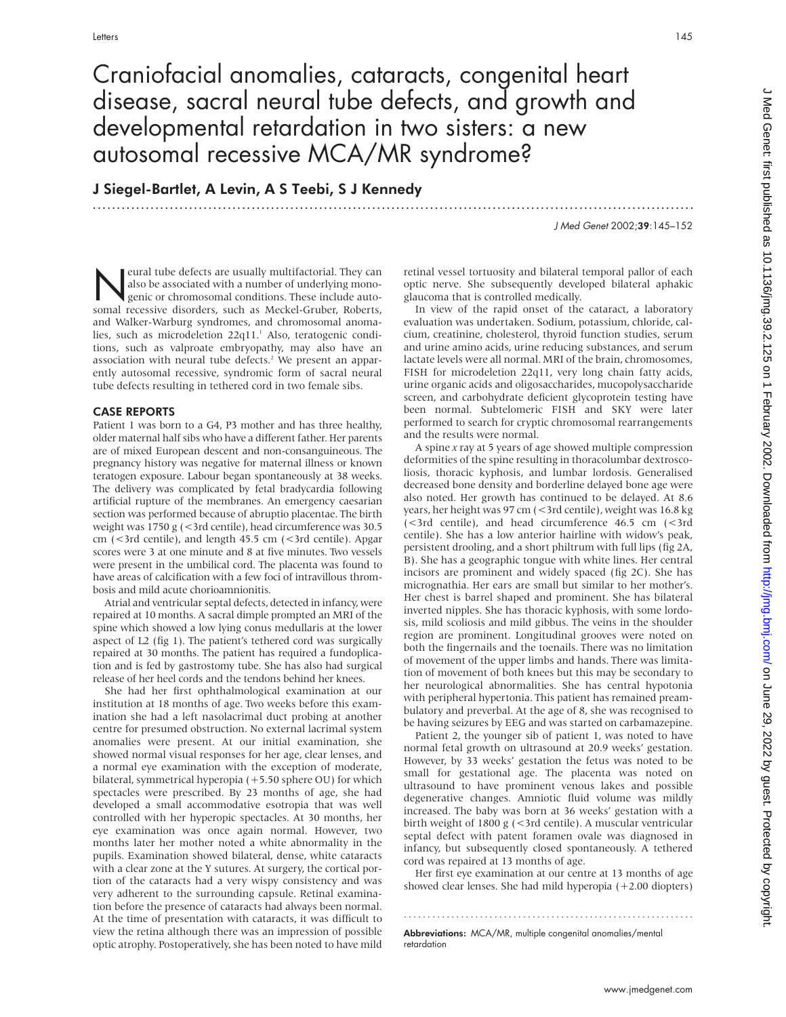## Craniofacial anomalies, cataracts, congenital heart disease, sacral neural tube defects, and growth and developmental retardation in two sisters: a new autosomal recessive MCA/MR syndrome?

.............................................................................................................................

J Siegel-Bartlet, A Levin, A S Teebi, S J Kennedy

J Med Genet 2002;39:145–152

Neural tube defects are usually multifactorial. They can<br>also be associated with a number of underlying mono-<br>genic or chromosomal conditions. These include auto-<br>somal recessive disorders, such as Meckel Gruber, Boberts also be associated with a number of underlying monosomal recessive disorders, such as Meckel-Gruber, Roberts, and Walker-Warburg syndromes, and chromosomal anomalies, such as microdeletion 22q11.<sup>1</sup> Also, teratogenic conditions, such as valproate embryopathy, may also have an association with neural tube defects.<sup>2</sup> We present an apparently autosomal recessive, syndromic form of sacral neural tube defects resulting in tethered cord in two female sibs.

#### CASE REPORTS

Patient 1 was born to a G4, P3 mother and has three healthy, older maternal half sibs who have a different father. Her parents are of mixed European descent and non-consanguineous. The pregnancy history was negative for maternal illness or known teratogen exposure. Labour began spontaneously at 38 weeks. The delivery was complicated by fetal bradycardia following artificial rupture of the membranes. An emergency caesarian section was performed because of abruptio placentae. The birth weight was 1750 g (<3rd centile), head circumference was 30.5 cm (<3rd centile), and length 45.5 cm (<3rd centile). Apgar scores were 3 at one minute and 8 at five minutes. Two vessels were present in the umbilical cord. The placenta was found to have areas of calcification with a few foci of intravillous thrombosis and mild acute chorioamnionitis.

Atrial and ventricular septal defects, detected in infancy, were repaired at 10 months. A sacral dimple prompted an MRI of the spine which showed a low lying conus medullaris at the lower aspect of L2 (fig 1). The patient's tethered cord was surgically repaired at 30 months. The patient has required a fundoplication and is fed by gastrostomy tube. She has also had surgical release of her heel cords and the tendons behind her knees.

She had her first ophthalmological examination at our institution at 18 months of age. Two weeks before this examination she had a left nasolacrimal duct probing at another centre for presumed obstruction. No external lacrimal system anomalies were present. At our initial examination, she showed normal visual responses for her age, clear lenses, and a normal eye examination with the exception of moderate, bilateral, symmetrical hyperopia (+5.50 sphere OU) for which spectacles were prescribed. By 23 months of age, she had developed a small accommodative esotropia that was well controlled with her hyperopic spectacles. At 30 months, her eye examination was once again normal. However, two months later her mother noted a white abnormality in the pupils. Examination showed bilateral, dense, white cataracts with a clear zone at the Y sutures. At surgery, the cortical portion of the cataracts had a very wispy consistency and was very adherent to the surrounding capsule. Retinal examination before the presence of cataracts had always been normal. At the time of presentation with cataracts, it was difficult to view the retina although there was an impression of possible optic atrophy. Postoperatively, she has been noted to have mild

retinal vessel tortuosity and bilateral temporal pallor of each optic nerve. She subsequently developed bilateral aphakic glaucoma that is controlled medically.

In view of the rapid onset of the cataract, a laboratory evaluation was undertaken. Sodium, potassium, chloride, calcium, creatinine, cholesterol, thyroid function studies, serum and urine amino acids, urine reducing substances, and serum lactate levels were all normal. MRI of the brain, chromosomes, FISH for microdeletion 22q11, very long chain fatty acids, urine organic acids and oligosaccharides, mucopolysaccharide screen, and carbohydrate deficient glycoprotein testing have been normal. Subtelomeric FISH and SKY were later performed to search for cryptic chromosomal rearrangements and the results were normal.

A spine *x* ray at 5 years of age showed multiple compression deformities of the spine resulting in thoracolumbar dextroscoliosis, thoracic kyphosis, and lumbar lordosis. Generalised decreased bone density and borderline delayed bone age were also noted. Her growth has continued to be delayed. At 8.6 years, her height was 97 cm (<3rd centile), weight was 16.8 kg (<3rd centile), and head circumference 46.5 cm (<3rd centile). She has a low anterior hairline with widow's peak, persistent drooling, and a short philtrum with full lips (fig 2A, B). She has a geographic tongue with white lines. Her central incisors are prominent and widely spaced (fig 2C). She has micrognathia. Her ears are small but similar to her mother's. Her chest is barrel shaped and prominent. She has bilateral inverted nipples. She has thoracic kyphosis, with some lordosis, mild scoliosis and mild gibbus. The veins in the shoulder region are prominent. Longitudinal grooves were noted on both the fingernails and the toenails. There was no limitation of movement of the upper limbs and hands. There was limitation of movement of both knees but this may be secondary to her neurological abnormalities. She has central hypotonia with peripheral hypertonia. This patient has remained preambulatory and preverbal. At the age of 8, she was recognised to be having seizures by EEG and was started on carbamazepine.

Patient 2, the younger sib of patient 1, was noted to have normal fetal growth on ultrasound at 20.9 weeks' gestation. However, by 33 weeks' gestation the fetus was noted to be small for gestational age. The placenta was noted on ultrasound to have prominent venous lakes and possible degenerative changes. Amniotic fluid volume was mildly increased. The baby was born at 36 weeks' gestation with a birth weight of 1800 g (<3rd centile). A muscular ventricular septal defect with patent foramen ovale was diagnosed in infancy, but subsequently closed spontaneously. A tethered cord was repaired at 13 months of age.

Her first eye examination at our centre at 13 months of age showed clear lenses. She had mild hyperopia (+2.00 diopters)

.............................................................

Abbreviations: MCA/MR, multiple congenital anomalies/mental retardation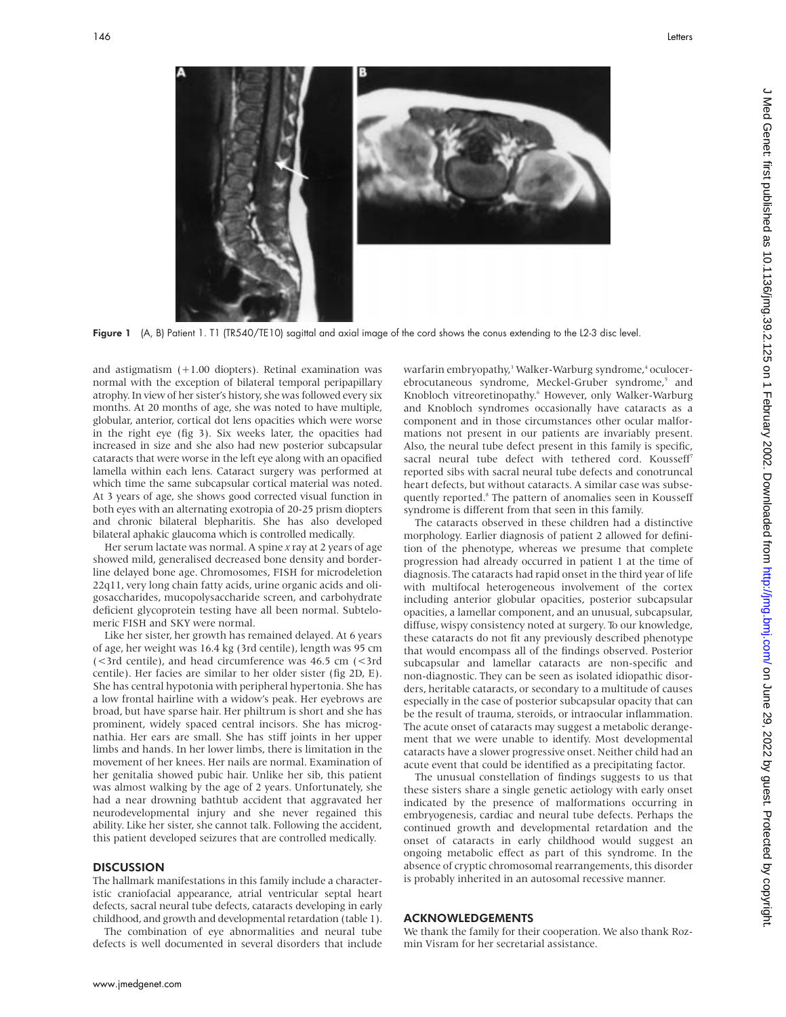![](_page_28_Picture_2.jpeg)

Figure 1 (A, B) Patient 1. T1 (TR540/TE10) sagittal and axial image of the cord shows the conus extending to the L2-3 disc level.

and astigmatism (+1.00 diopters). Retinal examination was normal with the exception of bilateral temporal peripapillary atrophy. In view of her sister's history, she was followed every six months. At 20 months of age, she was noted to have multiple, globular, anterior, cortical dot lens opacities which were worse in the right eye (fig 3). Six weeks later, the opacities had increased in size and she also had new posterior subcapsular cataracts that were worse in the left eye along with an opacified lamella within each lens. Cataract surgery was performed at which time the same subcapsular cortical material was noted. At 3 years of age, she shows good corrected visual function in both eyes with an alternating exotropia of 20-25 prism diopters and chronic bilateral blepharitis. She has also developed bilateral aphakic glaucoma which is controlled medically.

Her serum lactate was normal. A spine *x* ray at 2 years of age showed mild, generalised decreased bone density and borderline delayed bone age. Chromosomes, FISH for microdeletion 22q11, very long chain fatty acids, urine organic acids and oligosaccharides, mucopolysaccharide screen, and carbohydrate deficient glycoprotein testing have all been normal. Subtelomeric FISH and SKY were normal.

Like her sister, her growth has remained delayed. At 6 years of age, her weight was 16.4 kg (3rd centile), length was 95 cm (<3rd centile), and head circumference was 46.5 cm (<3rd centile). Her facies are similar to her older sister (fig 2D, E). She has central hypotonia with peripheral hypertonia. She has a low frontal hairline with a widow's peak. Her eyebrows are broad, but have sparse hair. Her philtrum is short and she has prominent, widely spaced central incisors. She has micrognathia. Her ears are small. She has stiff joints in her upper limbs and hands. In her lower limbs, there is limitation in the movement of her knees. Her nails are normal. Examination of her genitalia showed pubic hair. Unlike her sib, this patient was almost walking by the age of 2 years. Unfortunately, she had a near drowning bathtub accident that aggravated her neurodevelopmental injury and she never regained this ability. Like her sister, she cannot talk. Following the accident, this patient developed seizures that are controlled medically.

### **DISCUSSION**

The hallmark manifestations in this family include a characteristic craniofacial appearance, atrial ventricular septal heart defects, sacral neural tube defects, cataracts developing in early childhood, and growth and developmental retardation (table 1).

The combination of eye abnormalities and neural tube defects is well documented in several disorders that include

warfarin embryopathy,<sup>3</sup> Walker-Warburg syndrome,<sup>4</sup> oculocerebrocutaneous syndrome, Meckel-Gruber syndrome,<sup>5</sup> and Knobloch vitreoretinopathy.<sup>6</sup> However, only Walker-Warburg and Knobloch syndromes occasionally have cataracts as a component and in those circumstances other ocular malformations not present in our patients are invariably present. Also, the neural tube defect present in this family is specific, sacral neural tube defect with tethered cord. Kousseff7 reported sibs with sacral neural tube defects and conotruncal heart defects, but without cataracts. A similar case was subsequently reported.<sup>8</sup> The pattern of anomalies seen in Kousseff syndrome is different from that seen in this family.

The cataracts observed in these children had a distinctive morphology. Earlier diagnosis of patient 2 allowed for definition of the phenotype, whereas we presume that complete progression had already occurred in patient 1 at the time of diagnosis. The cataracts had rapid onset in the third year of life with multifocal heterogeneous involvement of the cortex including anterior globular opacities, posterior subcapsular opacities, a lamellar component, and an unusual, subcapsular, diffuse, wispy consistency noted at surgery. To our knowledge, these cataracts do not fit any previously described phenotype that would encompass all of the findings observed. Posterior subcapsular and lamellar cataracts are non-specific and non-diagnostic. They can be seen as isolated idiopathic disorders, heritable cataracts, or secondary to a multitude of causes especially in the case of posterior subcapsular opacity that can be the result of trauma, steroids, or intraocular inflammation. The acute onset of cataracts may suggest a metabolic derangement that we were unable to identify. Most developmental cataracts have a slower progressive onset. Neither child had an acute event that could be identified as a precipitating factor.

The unusual constellation of findings suggests to us that these sisters share a single genetic aetiology with early onset indicated by the presence of malformations occurring in embryogenesis, cardiac and neural tube defects. Perhaps the continued growth and developmental retardation and the onset of cataracts in early childhood would suggest an ongoing metabolic effect as part of this syndrome. In the absence of cryptic chromosomal rearrangements, this disorder is probably inherited in an autosomal recessive manner.

### ACKNOWLEDGEMENTS

We thank the family for their cooperation. We also thank Rozmin Visram for her secretarial assistance.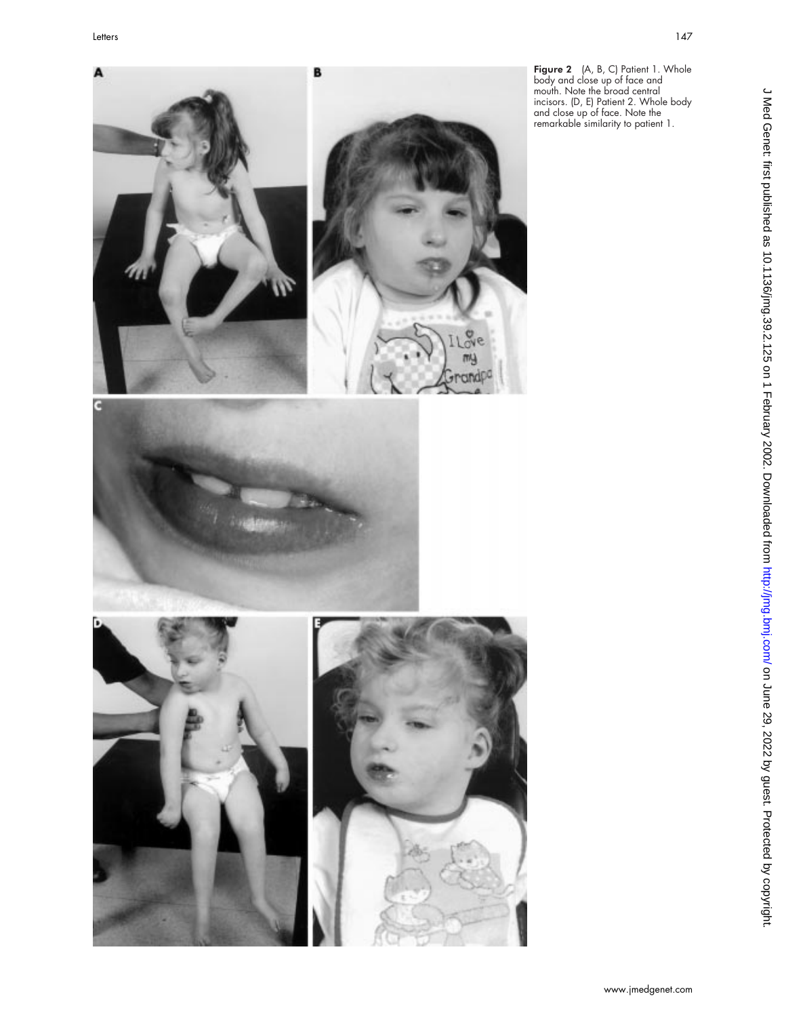![](_page_29_Picture_2.jpeg)

**Figure 2** (A, B, C) Patient 1. Whole body and close up of face and mouth. Note the broad central incisors. (D, E) Patient 2. Whole body and close up of face. Note the remarkable similarity to patient 1.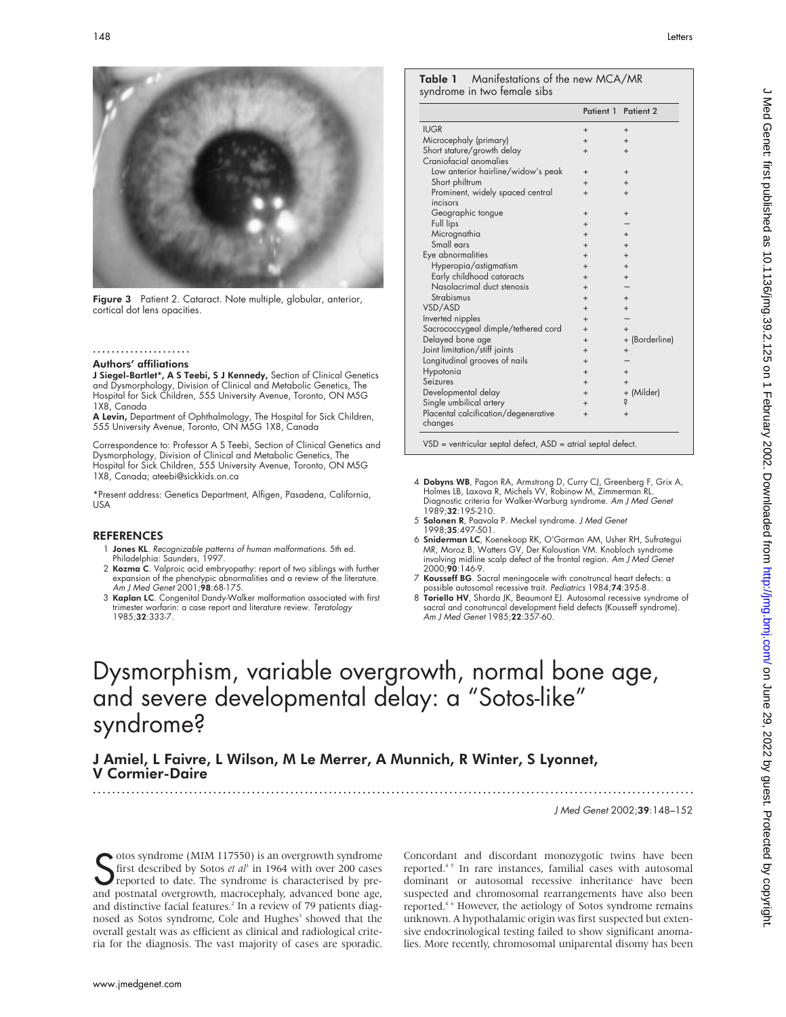![](_page_30_Picture_1.jpeg)

Figure 3 Patient 2. Cataract. Note multiple, globular, anterior, cortical dot lens opacities.

## .....................

### Authors' affiliations

J Siegel-Bartlet\*, A S Teebi, S J Kennedy, Section of Clinical Genetics and Dysmorphology, Division of Clinical and Metabolic Genetics, The Hospital for Sick Children, 555 University Avenue, Toronto, ON M5G 1X8, Canada

**A Levin,** Department of Ophthalmology, The Hospital for Sick Children,<br>555 University Avenue, Toronto, ON M5G 1X8, Canada

Correspondence to: Professor A S Teebi, Section of Clinical Genetics and Dysmorphology, Division of Clinical and Metabolic Genetics, The Hospital for Sick Children, 555 University Avenue, Toronto, ON M5G 1X8, Canada; ateebi@sickkids.on.ca

\*Present address: Genetics Department, Alfigen, Pasadena, California, USA

#### **REFERENCES**

- 1 Jones KL. Recognizable patterns of human malformations. 5th ed. Philadelphia: Saunders, 1997.
- 2 Kozma C. Valproic acid embryopathy: report of two siblings with further expansion of the phenotypic abnormalities and a review of the literature. Am J Med Genet 2001;98:68-175.
- 3 Kaplan LC. Congenital Dandy-Walker malformation associated with first trimester warfarin: a case report and literature review. Teratology 1985;32:333-7.

Table 1 Manifestations of the new MCA/MR syndrome in two female sibs

|                                                 |           | Patient 1 Patient 2 |
|-------------------------------------------------|-----------|---------------------|
| <b>IUGR</b>                                     | $\ddot{}$ | $\ddot{}$           |
| Microcephaly (primary)                          | $^{+}$    | $\ddot{}$           |
| Short stature/growth delay                      | $\ddot{}$ | $\ddot{}$           |
| Craniofacial anomalies                          |           |                     |
| Low anterior hairline/widow's peak              | $\ddot{}$ | $\ddot{}$           |
| Short philtrum                                  | $\ddot{}$ | $\ddot{}$           |
| Prominent, widely spaced central                | $\ddot{}$ | $\ddot{}$           |
| incisors                                        |           |                     |
| Geographic tongue                               | $\ddot{}$ | $\ddot{}$           |
| Full lips                                       | $^{+}$    |                     |
| Micrognathia                                    | $\ddot{}$ | $^{+}$              |
| Small ears                                      | $\ddot{}$ | $\ddot{}$           |
| Eye abnormalities                               | $\ddot{}$ | $\ddot{}$           |
| Hyperopia/astigmatism                           | $^{+}$    | $\ddot{}$           |
| Early childhood cataracts                       | $\ddot{}$ | $^{+}$              |
| Nasolacrimal duct stenosis                      | $^{+}$    |                     |
| Strabismus                                      | $\ddot{}$ | $^{+}$              |
| VSD/ASD                                         | $\ddot{}$ | $^{+}$              |
| Inverted nipples                                | $^{+}$    |                     |
| Sacrococcygeal dimple/tethered cord             | $^{+}$    | $\ddot{}$           |
| Delayed bone age                                | $\ddot{}$ | + (Borderline)      |
| Joint limitation/stiff joints                   | $\ddot{}$ | $\ddot{}$           |
| Longitudinal grooves of nails                   | $\ddot{}$ |                     |
| Hypotonia                                       | $\ddot{}$ | $^{+}$              |
| Seizures                                        | $^{+}$    | $\ddot{}$           |
| Developmental delay                             | $^{+}$    | + (Milder)          |
| Single umbilical artery                         | $\ddot{}$ | S                   |
| Placental calcification/degenerative<br>changes | $^{+}$    | $^{+}$              |

VSD = ventricular septal defect, ASD = atrial septal defect.

- 4 Dobyns WB, Pagon RA, Armstrong D, Curry CJ, Greenberg F, Grix A, Holmes LB, Laxova R, Michels VV, Robinow M, Zimmerman RL. Diagnostic criteria for Walker-Warburg syndrome. Am J Med Genet 1989;32:195-210.
- 5 Salonen R, Paavola P. Meckel syndrome. J Med Genet 1998;35:497-501.
- 6 Sniderman LC, Koenekoop RK, O'Gorman AM, Usher RH, Sufrategui MR, Moroz B, Watters GV, Der Kaloustian VM. Knobloch syndrome involving midline scalp defect of the frontal region. Am J Med Genet 2000:90:146-9.
- 7 Kousseff BG. Sacral meningocele with conotruncal heart defects: a possible autosomal recessive trait. Pediatrics 1984;74:395-8.
- 8 Toriello HV, Sharda JK, Beaumont EJ. Autosomal recessive syndrome of sacral and conotruncal development field defects (Kousseff syndrome). Am J Med Genet 1985;22:357-60.

# Dysmorphism, variable overgrowth, normal bone age, and severe developmental delay: a "Sotos-like" syndrome?

## J Amiel, L Faivre, L Wilson, M Le Merrer, A Munnich, R Winter, S Lyonnet, V Cormier-Daire

.............................................................................................................................

J Med Genet 2002;39:148–152

Sotos syndrome (MIM 117550) is an overgrowth syndrome<br>
Sinst described by Sotos *et al*<sup>1</sup> in 1964 with over 200 cases<br>
reported to date. The syndrome is characterised by pre-<br>
and postnatal overgrowth macrocenhaly advanc first described by Sotos et al<sup>1</sup> in 1964 with over 200 cases reported to date. The syndrome is characterised by preand postnatal overgrowth, macrocephaly, advanced bone age, and distinctive facial features.<sup>2</sup> In a review of 79 patients diagnosed as Sotos syndrome, Cole and Hughes<sup>3</sup> showed that the overall gestalt was as efficient as clinical and radiological criteria for the diagnosis. The vast majority of cases are sporadic.

Concordant and discordant monozygotic twins have been reported.<sup>45</sup> In rare instances, familial cases with autosomal dominant or autosomal recessive inheritance have been suspected and chromosomal rearrangements have also been reported.<sup>4 6</sup> However, the aetiology of Sotos syndrome remains unknown. A hypothalamic origin was first suspected but extensive endocrinological testing failed to show significant anomalies. More recently, chromosomal uniparental disomy has been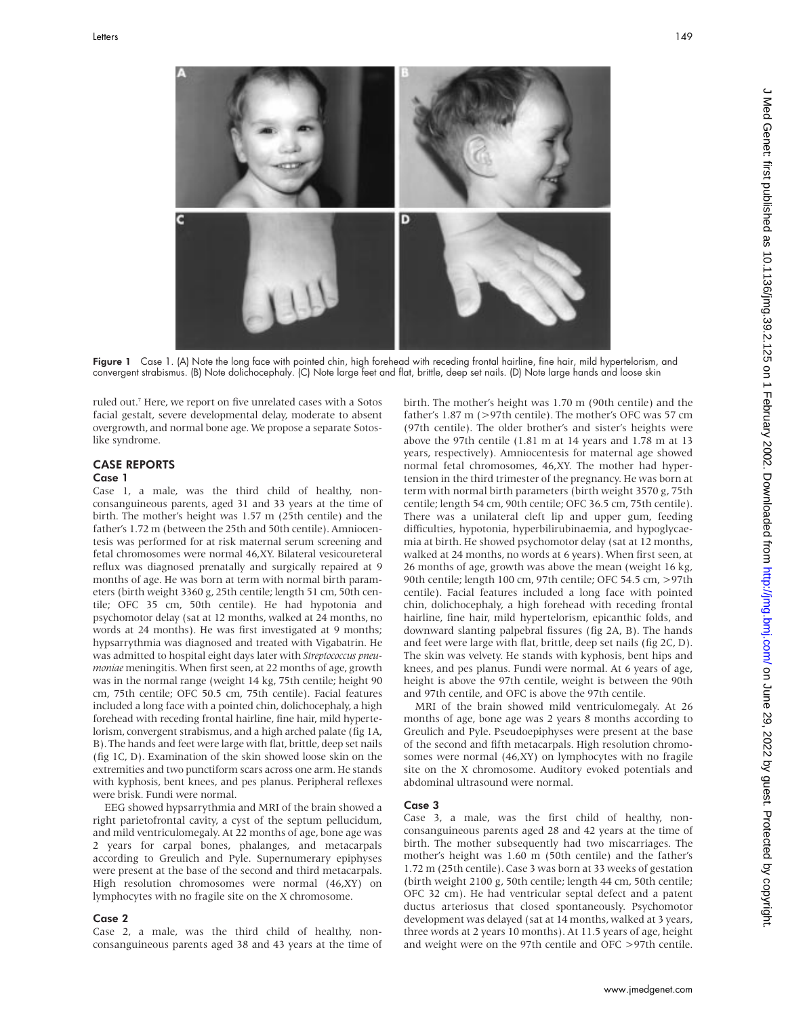![](_page_31_Figure_1.jpeg)

Figure 1 Case 1. (A) Note the long face with pointed chin, high forehead with receding frontal hairline, fine hair, mild hypertelorism, and convergent strabismus. (B) Note dolichocephaly. (C) Note large feet and flat, brittle, deep set nails. (D) Note large hands and loose skin

ruled out.7 Here, we report on five unrelated cases with a Sotos facial gestalt, severe developmental delay, moderate to absent overgrowth, and normal bone age. We propose a separate Sotoslike syndrome.

## CASE REPORTS

## Case 1 Case 1, a male, was the third child of healthy, non-

consanguineous parents, aged 31 and 33 years at the time of birth. The mother's height was 1.57 m (25th centile) and the father's 1.72 m (between the 25th and 50th centile). Amniocentesis was performed for at risk maternal serum screening and fetal chromosomes were normal 46,XY. Bilateral vesicoureteral reflux was diagnosed prenatally and surgically repaired at 9 months of age. He was born at term with normal birth parameters (birth weight 3360 g, 25th centile; length 51 cm, 50th centile; OFC 35 cm, 50th centile). He had hypotonia and psychomotor delay (sat at 12 months, walked at 24 months, no words at 24 months). He was first investigated at 9 months; hypsarrythmia was diagnosed and treated with Vigabatrin. He was admitted to hospital eight days later with *Streptococcus pneumoniae* meningitis. When first seen, at 22 months of age, growth was in the normal range (weight 14 kg, 75th centile; height 90 cm, 75th centile; OFC 50.5 cm, 75th centile). Facial features included a long face with a pointed chin, dolichocephaly, a high forehead with receding frontal hairline, fine hair, mild hypertelorism, convergent strabismus, and a high arched palate (fig 1A, B). The hands and feet were large with flat, brittle, deep set nails (fig 1C, D). Examination of the skin showed loose skin on the extremities and two punctiform scars across one arm. He stands with kyphosis, bent knees, and pes planus. Peripheral reflexes were brisk. Fundi were normal.

EEG showed hypsarrythmia and MRI of the brain showed a right parietofrontal cavity, a cyst of the septum pellucidum, and mild ventriculomegaly. At 22 months of age, bone age was 2 years for carpal bones, phalanges, and metacarpals according to Greulich and Pyle. Supernumerary epiphyses were present at the base of the second and third metacarpals. High resolution chromosomes were normal (46,XY) on lymphocytes with no fragile site on the X chromosome.

#### Case 2

Case 2, a male, was the third child of healthy, nonconsanguineous parents aged 38 and 43 years at the time of birth. The mother's height was 1.70 m (90th centile) and the father's 1.87 m (>97th centile). The mother's OFC was 57 cm (97th centile). The older brother's and sister's heights were above the 97th centile (1.81 m at 14 years and 1.78 m at 13 years, respectively). Amniocentesis for maternal age showed normal fetal chromosomes, 46,XY. The mother had hypertension in the third trimester of the pregnancy. He was born at term with normal birth parameters (birth weight 3570 g, 75th centile; length 54 cm, 90th centile; OFC 36.5 cm, 75th centile). There was a unilateral cleft lip and upper gum, feeding difficulties, hypotonia, hyperbilirubinaemia, and hypoglycaemia at birth. He showed psychomotor delay (sat at 12 months, walked at 24 months, no words at 6 years). When first seen, at 26 months of age, growth was above the mean (weight 16 kg, 90th centile; length 100 cm, 97th centile; OFC 54.5 cm, >97th centile). Facial features included a long face with pointed chin, dolichocephaly, a high forehead with receding frontal hairline, fine hair, mild hypertelorism, epicanthic folds, and downward slanting palpebral fissures (fig 2A, B). The hands and feet were large with flat, brittle, deep set nails (fig 2C, D). The skin was velvety. He stands with kyphosis, bent hips and knees, and pes planus. Fundi were normal. At 6 years of age, height is above the 97th centile, weight is between the 90th and 97th centile, and OFC is above the 97th centile.

MRI of the brain showed mild ventriculomegaly. At 26 months of age, bone age was 2 years 8 months according to Greulich and Pyle. Pseudoepiphyses were present at the base of the second and fifth metacarpals. High resolution chromosomes were normal (46,XY) on lymphocytes with no fragile site on the X chromosome. Auditory evoked potentials and abdominal ultrasound were normal.

#### Case 3

Case 3, a male, was the first child of healthy, nonconsanguineous parents aged 28 and 42 years at the time of birth. The mother subsequently had two miscarriages. The mother's height was 1.60 m (50th centile) and the father's 1.72 m (25th centile). Case 3 was born at 33 weeks of gestation (birth weight 2100 g, 50th centile; length 44 cm, 50th centile; OFC 32 cm). He had ventricular septal defect and a patent ductus arteriosus that closed spontaneously. Psychomotor development was delayed (sat at 14 months, walked at 3 years, three words at 2 years 10 months). At 11.5 years of age, height and weight were on the 97th centile and OFC >97th centile.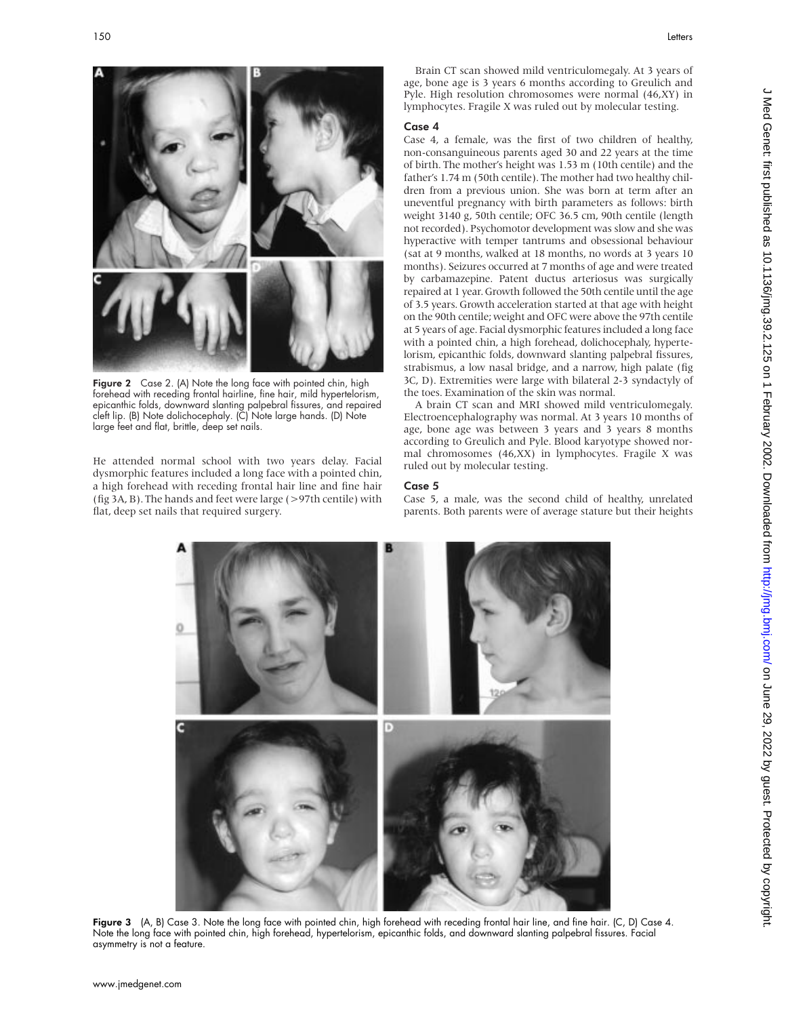![](_page_32_Picture_2.jpeg)

Figure 2 Case 2. (A) Note the long face with pointed chin, high forehead with receding frontal hairline, fine hair, mild hypertelorism, epicanthic folds, downward slanting palpebral fissures, and repaired cleft lip. (B) Note dolichocephaly. (C) Note large hands. (D) Note large feet and flat, brittle, deep set nails.

He attended normal school with two years delay. Facial dysmorphic features included a long face with a pointed chin, a high forehead with receding frontal hair line and fine hair (fig 3A, B). The hands and feet were large (>97th centile) with flat, deep set nails that required surgery.

Brain CT scan showed mild ventriculomegaly. At 3 years of age, bone age is 3 years 6 months according to Greulich and Pyle. High resolution chromosomes were normal (46,XY) in lymphocytes. Fragile X was ruled out by molecular testing.

## Case 4

Case 4, a female, was the first of two children of healthy, non-consanguineous parents aged 30 and 22 years at the time of birth. The mother's height was 1.53 m (10th centile) and the father's 1.74 m (50th centile). The mother had two healthy children from a previous union. She was born at term after an uneventful pregnancy with birth parameters as follows: birth weight 3140 g, 50th centile; OFC 36.5 cm, 90th centile (length not recorded). Psychomotor development was slow and she was hyperactive with temper tantrums and obsessional behaviour (sat at 9 months, walked at 18 months, no words at 3 years 10 months). Seizures occurred at 7 months of age and were treated by carbamazepine. Patent ductus arteriosus was surgically repaired at 1 year. Growth followed the 50th centile until the age of 3.5 years. Growth acceleration started at that age with height on the 90th centile; weight and OFC were above the 97th centile at 5 years of age. Facial dysmorphic features included a long face with a pointed chin, a high forehead, dolichocephaly, hypertelorism, epicanthic folds, downward slanting palpebral fissures, strabismus, a low nasal bridge, and a narrow, high palate (fig 3C, D). Extremities were large with bilateral 2-3 syndactyly of the toes. Examination of the skin was normal.

A brain CT scan and MRI showed mild ventriculomegaly. Electroencephalography was normal. At 3 years 10 months of age, bone age was between 3 years and 3 years 8 months according to Greulich and Pyle. Blood karyotype showed normal chromosomes (46,XX) in lymphocytes. Fragile X was ruled out by molecular testing.

#### Case 5

Case 5, a male, was the second child of healthy, unrelated parents. Both parents were of average stature but their heights

![](_page_32_Figure_11.jpeg)

Figure 3 (A, B) Case 3. Note the long face with pointed chin, high forehead with receding frontal hair line, and fine hair. (C, D) Case 4. Note the long face with pointed chin, high forehead, hypertelorism, epicanthic folds, and downward slanting palpebral fissures. Facial asymmetry is not a feature.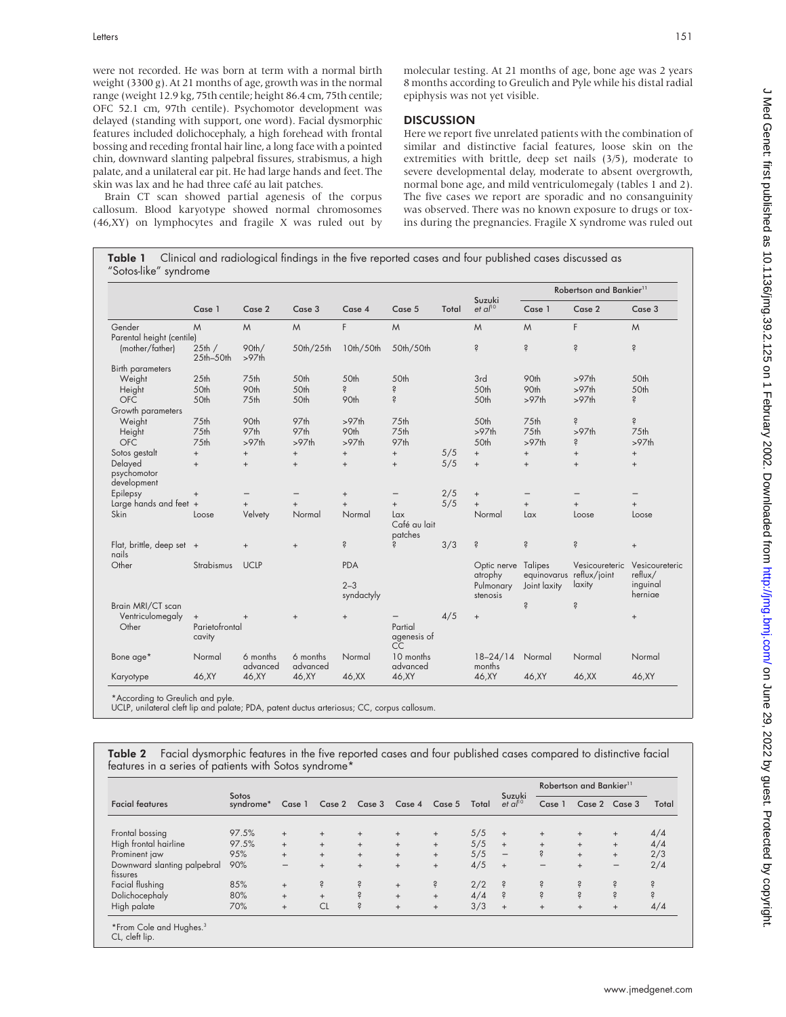were not recorded. He was born at term with a normal birth weight (3300 g). At 21 months of age, growth was in the normal range (weight 12.9 kg, 75th centile; height 86.4 cm, 75th centile; OFC 52.1 cm, 97th centile). Psychomotor development was delayed (standing with support, one word). Facial dysmorphic features included dolichocephaly, a high forehead with frontal bossing and receding frontal hair line, a long face with a pointed chin, downward slanting palpebral fissures, strabismus, a high palate, and a unilateral ear pit. He had large hands and feet. The skin was lax and he had three café au lait patches.

Brain CT scan showed partial agenesis of the corpus callosum. Blood karyotype showed normal chromosomes (46,XY) on lymphocytes and fragile X was ruled out by molecular testing. At 21 months of age, bone age was 2 years 8 months according to Greulich and Pyle while his distal radial epiphysis was not yet visible.

### DISCUSSION

Here we report five unrelated patients with the combination of similar and distinctive facial features, loose skin on the extremities with brittle, deep set nails (3/5), moderate to severe developmental delay, moderate to absent overgrowth, normal bone age, and mild ventriculomegaly (tables 1 and 2). The five cases we report are sporadic and no consanguinity was observed. There was no known exposure to drugs or toxins during the pregnancies. Fragile X syndrome was ruled out

|                                    |                                  |                            |                                  |                                  |                                  |       |                                  |                                     | Robertson and Bankier <sup>11</sup> |                                  |
|------------------------------------|----------------------------------|----------------------------|----------------------------------|----------------------------------|----------------------------------|-------|----------------------------------|-------------------------------------|-------------------------------------|----------------------------------|
|                                    | Case 1                           | Case 2                     | Case 3                           | Case 4                           | Case 5                           | Total | Suzuki<br>$et$ al <sup>10</sup>  | Case 1                              | Case 2                              | Case 3                           |
| Gender                             | M                                | M                          | M                                | F                                | M                                |       | M                                | M                                   | F                                   | M                                |
| Parental height (centile)          |                                  |                            |                                  |                                  |                                  |       |                                  |                                     |                                     |                                  |
| (mother/father)                    | 25th/<br>$25th-50th$             | 90th/<br>>97 <sub>th</sub> | 50th/25th                        | 10th/50th                        | 50th/50th                        |       | ŝ                                | ŝ                                   | ŝ                                   | ŝ                                |
| <b>Birth parameters</b>            |                                  |                            |                                  |                                  |                                  |       |                                  |                                     |                                     |                                  |
| Weight                             | 25 <sub>th</sub>                 | 75 <sub>th</sub>           | 50th                             | 50th                             | 50th                             |       | 3rd                              | 90th                                | >97th                               | 50th                             |
| Height                             | 50th                             | 90th                       | 50th                             | Ŝ                                | ŝ                                |       | 50th                             | 90th                                | >97th                               | 50th                             |
| <b>OFC</b>                         | 50th                             | 75th                       | 50th                             | 90th                             | ŝ                                |       | 50th                             | >97th                               | >97th                               | ŝ                                |
| Growth parameters                  |                                  |                            |                                  |                                  |                                  |       |                                  |                                     |                                     |                                  |
| Weight                             | 75 <sub>th</sub>                 | 90th                       | 97th                             | >97 <sub>th</sub>                | 75 <sub>th</sub>                 |       | 50th                             | 75 <sub>th</sub>                    | Ŝ                                   | ŝ                                |
| Height                             | 75 <sub>th</sub>                 | 97th                       | 97th                             | 90th                             | 75 <sub>th</sub>                 |       | >97th                            | 75 <sub>th</sub>                    | >97th                               | 75 <sub>th</sub>                 |
| <b>OFC</b>                         | 75 <sub>th</sub>                 | >97th                      | >97 <sub>th</sub>                | >97th                            | 97th                             |       | 50th                             | >97 <sub>th</sub>                   | ŝ                                   | >97th                            |
| Sotos gestalt                      | $\begin{array}{c} + \end{array}$ | $\qquad \qquad +$          | $\begin{array}{c} + \end{array}$ | $\begin{array}{c} + \end{array}$ | $\begin{array}{c} + \end{array}$ | 5/5   | $\begin{array}{c} + \end{array}$ | $\begin{array}{c} + \end{array}$    | $\begin{array}{c} + \end{array}$    | $\begin{array}{c} + \end{array}$ |
| Delayed                            | $\ddot{}$                        | $^{+}$                     | $^{+}$                           | $^{+}$                           | $\qquad \qquad +$                | 5/5   | $\qquad \qquad +$                | $\qquad \qquad +$                   | $^{+}$                              | $\qquad \qquad +$                |
| psychomotor<br>development         |                                  |                            |                                  |                                  |                                  |       |                                  |                                     |                                     |                                  |
| Epilepsy                           | $\begin{array}{c} + \end{array}$ |                            |                                  | $\qquad \qquad +$                | $\qquad \qquad -$                | 2/5   | $^{+}$                           | $\qquad \qquad -$                   | $\qquad \qquad -$                   |                                  |
| Large hands and feet +             |                                  | $^{+}$                     | $^{+}$                           | $+$                              | $+$                              | 5/5   | $^{+}$                           | $+$                                 | $+$                                 | $^{+}$                           |
| Skin                               | Loose                            | Velvety                    | Normal                           | Normal                           | Lax<br>Café au lait<br>patches   |       | Normal                           | Lax                                 | Loose                               | Loose                            |
| Flat, brittle, deep set +<br>nails |                                  | $^{+}$                     | $^{+}$                           | ŝ                                | S                                | 3/3   | ŝ                                | ŝ                                   | ŝ                                   | $\qquad \qquad +$                |
| Other                              | <b>Strabismus</b>                | <b>UCLP</b>                |                                  | <b>PDA</b>                       |                                  |       | Optic nerve<br>atrophy           | Talipes<br>equinovarus reflux/joint | Vesicoureteric                      | Vesicoureteric<br>reflux/        |
|                                    |                                  |                            |                                  | $2 - 3$<br>syndactyly            |                                  |       | Pulmonary<br>stenosis            | Joint laxity                        | laxity                              | inguinal<br>herniae              |
| Brain MRI/CT scan                  |                                  |                            |                                  |                                  |                                  |       |                                  | ŝ                                   | Ŝ                                   |                                  |
| Ventriculomegaly                   | $\qquad \qquad +$                |                            | $\begin{array}{c} + \end{array}$ | $\begin{array}{c} + \end{array}$ |                                  | 4/5   | $\begin{array}{c} + \end{array}$ |                                     |                                     | $\begin{array}{c} + \end{array}$ |
| Other                              | Parietofrontal<br>cavity         |                            |                                  |                                  | Partial<br>agenesis of<br>CC     |       |                                  |                                     |                                     |                                  |
| Bone age*                          | Normal                           | 6 months<br>advanced       | 6 months<br>advanced             | Normal                           | 10 months<br>advanced            |       | $18 - 24/14$<br>months           | Normal                              | Normal                              | Normal                           |
| Karyotype                          | 46, XY                           | 46, XY                     | 46, XY                           | 46, XX                           | 46, XY                           |       | 46, XY                           | 46, XY                              | 46, XX                              | 46, XY                           |

\*According to Greulich and pyle. UCLP, unilateral cleft lip and palate; PDA, patent ductus arteriosus; CC, corpus callosum.

Table 2 Facial dysmorphic features in the five reported cases and four published cases compared to distinctive facial features in a series of patients with Sotos syndrome\*

|                                         |                    |           |           |        |               |        |       |                          | Robertson and Bankier <sup>11</sup> |           |                   |       |
|-----------------------------------------|--------------------|-----------|-----------|--------|---------------|--------|-------|--------------------------|-------------------------------------|-----------|-------------------|-------|
| <b>Facial features</b>                  | Sotos<br>syndrome* | Case 1    | Case 2    |        | Case 3 Case 4 | Case 5 | Total | Suzuki<br>$et$ $al10$    | Case 1                              |           | Case 2 Case 3     | Total |
| Frontal bossing                         | 97.5%              | $\ddot{}$ | $^{+}$    | $^{+}$ | $^{+}$        | $^{+}$ | 5/5   | $\ddot{}$                | $^{+}$                              | $\ddot{}$ | $^{+}$            | 4/4   |
| High frontal hairline                   | 97.5%              | $\ddot{}$ | $^{+}$    | $+$    | $^{+}$        | $^{+}$ | 5/5   | $+$                      | $\ddot{}$                           | $\ddot{}$ | $+$               | 4/4   |
| Prominent jaw                           | 95%                | $\ddot{}$ | $^{+}$    | $^{+}$ | $^{+}$        | $^{+}$ | 5/5   | $\overline{\phantom{m}}$ | ŝ                                   | $\ddot{}$ | $^{+}$            | 2/3   |
| Downward slanting palpebral<br>fissures | 90%                | $-$       | $^{+}$    | $+$    | $^{+}$        | $^{+}$ | 4/5   | $\ddot{}$                | $\overline{\phantom{0}}$            | $\ddot{}$ | $\qquad \qquad -$ | 2/4   |
| <b>Facial flushing</b>                  | 85%                | $+$       | ŝ         | ŝ      | $^{+}$        | ŝ      | 2/2   | ŝ                        | ŝ                                   | ŝ         | ŝ                 | ŝ     |
| Dolichocephaly                          | 80%                | $\ddot{}$ | $^{+}$    | ŝ      | $^{+}$        | $^{+}$ | 4/4   | S                        | ŝ                                   | ŝ         | Ŝ                 | Ŝ     |
| High palate                             | 70%                | $^{+}$    | <b>CL</b> | Ŝ      | $+$           | $^{+}$ | 3/3   | $+$                      | $\ddot{}$                           | $\ddot{}$ | $+$               | 4/4   |